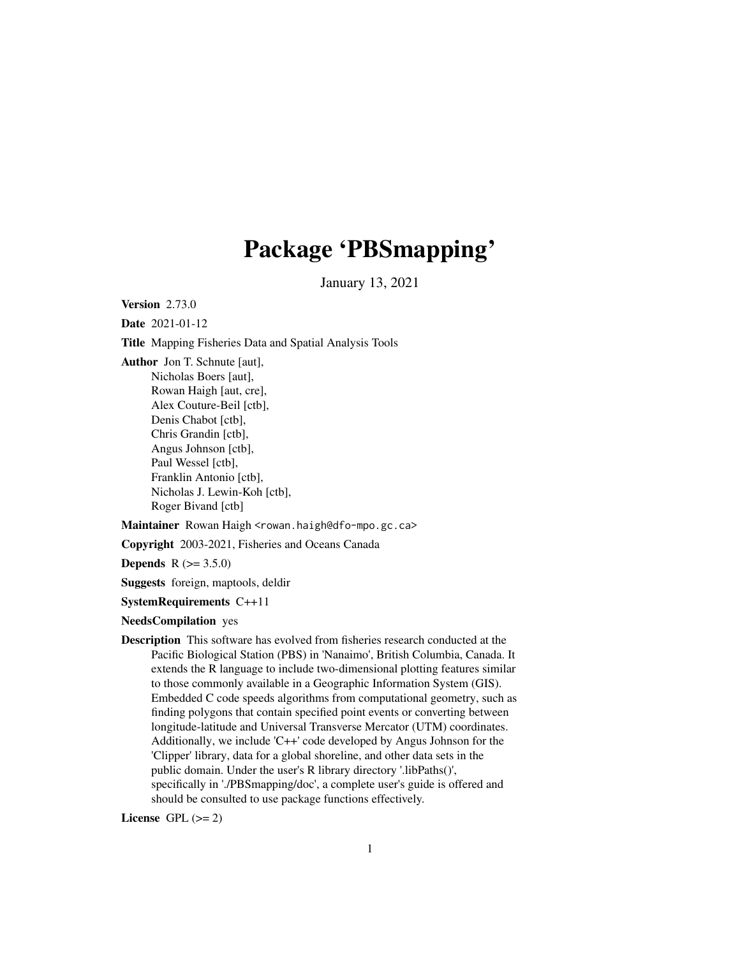# Package 'PBSmapping'

January 13, 2021

<span id="page-0-0"></span>Version 2.73.0

Date 2021-01-12

Title Mapping Fisheries Data and Spatial Analysis Tools

Author Jon T. Schnute [aut], Nicholas Boers [aut], Rowan Haigh [aut, cre], Alex Couture-Beil [ctb], Denis Chabot [ctb], Chris Grandin [ctb], Angus Johnson [ctb], Paul Wessel [ctb], Franklin Antonio [ctb], Nicholas J. Lewin-Koh [ctb], Roger Bivand [ctb]

Maintainer Rowan Haigh <rowan.haigh@dfo-mpo.gc.ca>

Copyright 2003-2021, Fisheries and Oceans Canada

**Depends** R  $(>= 3.5.0)$ 

Suggests foreign, maptools, deldir

SystemRequirements C++11

NeedsCompilation yes

Description This software has evolved from fisheries research conducted at the Pacific Biological Station (PBS) in 'Nanaimo', British Columbia, Canada. It extends the R language to include two-dimensional plotting features similar to those commonly available in a Geographic Information System (GIS). Embedded C code speeds algorithms from computational geometry, such as finding polygons that contain specified point events or converting between longitude-latitude and Universal Transverse Mercator (UTM) coordinates. Additionally, we include 'C++' code developed by Angus Johnson for the 'Clipper' library, data for a global shoreline, and other data sets in the public domain. Under the user's R library directory '.libPaths()', specifically in './PBSmapping/doc', a complete user's guide is offered and should be consulted to use package functions effectively.

License GPL  $(>= 2)$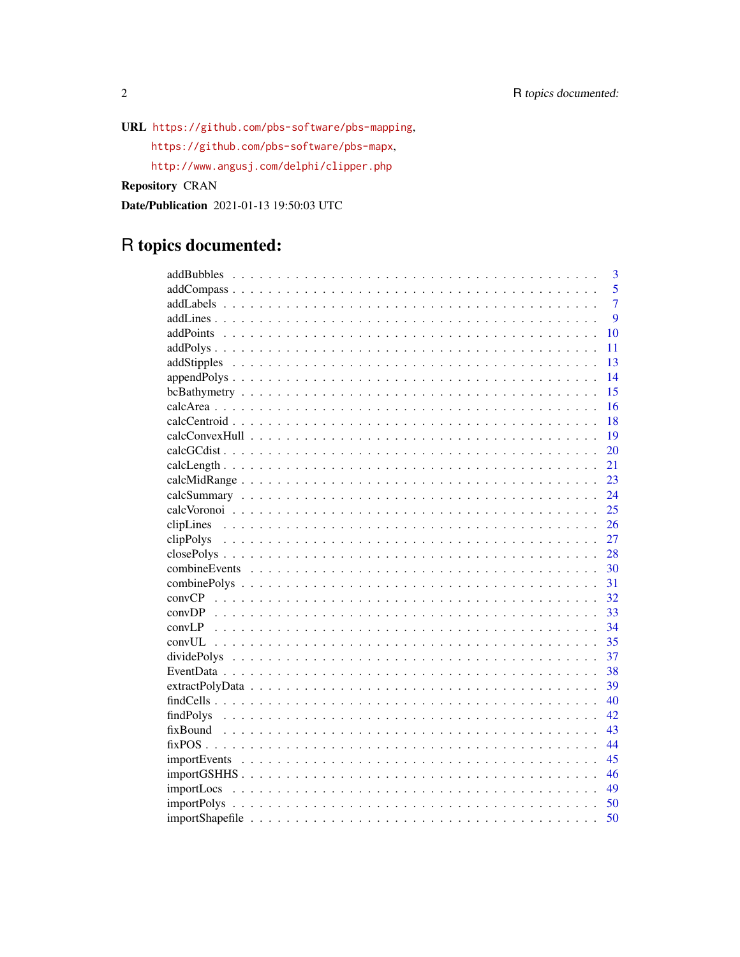URL https://github.com/pbs-software/pbs-mapping,

https://github.com/pbs-software/pbs-mapx,

http://www.angusj.com/delphi/clipper.php

**Repository CRAN** 

Date/Publication 2021-01-13 19:50:03 UTC

# R topics documented:

|           |  |  |  |  |  |  |  |  |  |  |  |  |  |  |  |  |  | $\overline{3}$ |
|-----------|--|--|--|--|--|--|--|--|--|--|--|--|--|--|--|--|--|----------------|
|           |  |  |  |  |  |  |  |  |  |  |  |  |  |  |  |  |  | 5              |
|           |  |  |  |  |  |  |  |  |  |  |  |  |  |  |  |  |  | $\overline{7}$ |
|           |  |  |  |  |  |  |  |  |  |  |  |  |  |  |  |  |  | $\overline{Q}$ |
|           |  |  |  |  |  |  |  |  |  |  |  |  |  |  |  |  |  | 10             |
|           |  |  |  |  |  |  |  |  |  |  |  |  |  |  |  |  |  | 11             |
|           |  |  |  |  |  |  |  |  |  |  |  |  |  |  |  |  |  | 13             |
|           |  |  |  |  |  |  |  |  |  |  |  |  |  |  |  |  |  | 14             |
|           |  |  |  |  |  |  |  |  |  |  |  |  |  |  |  |  |  | 15             |
|           |  |  |  |  |  |  |  |  |  |  |  |  |  |  |  |  |  | 16             |
|           |  |  |  |  |  |  |  |  |  |  |  |  |  |  |  |  |  | 18             |
|           |  |  |  |  |  |  |  |  |  |  |  |  |  |  |  |  |  | 19             |
|           |  |  |  |  |  |  |  |  |  |  |  |  |  |  |  |  |  | 20             |
|           |  |  |  |  |  |  |  |  |  |  |  |  |  |  |  |  |  | 21             |
|           |  |  |  |  |  |  |  |  |  |  |  |  |  |  |  |  |  | 23             |
|           |  |  |  |  |  |  |  |  |  |  |  |  |  |  |  |  |  | 24             |
|           |  |  |  |  |  |  |  |  |  |  |  |  |  |  |  |  |  | 25             |
|           |  |  |  |  |  |  |  |  |  |  |  |  |  |  |  |  |  | 26             |
|           |  |  |  |  |  |  |  |  |  |  |  |  |  |  |  |  |  | 27             |
|           |  |  |  |  |  |  |  |  |  |  |  |  |  |  |  |  |  | 28             |
|           |  |  |  |  |  |  |  |  |  |  |  |  |  |  |  |  |  | 30             |
|           |  |  |  |  |  |  |  |  |  |  |  |  |  |  |  |  |  | 31             |
|           |  |  |  |  |  |  |  |  |  |  |  |  |  |  |  |  |  | 32             |
|           |  |  |  |  |  |  |  |  |  |  |  |  |  |  |  |  |  | 33             |
|           |  |  |  |  |  |  |  |  |  |  |  |  |  |  |  |  |  | 34             |
|           |  |  |  |  |  |  |  |  |  |  |  |  |  |  |  |  |  | 35             |
|           |  |  |  |  |  |  |  |  |  |  |  |  |  |  |  |  |  | 37             |
|           |  |  |  |  |  |  |  |  |  |  |  |  |  |  |  |  |  | 38             |
|           |  |  |  |  |  |  |  |  |  |  |  |  |  |  |  |  |  | 39             |
|           |  |  |  |  |  |  |  |  |  |  |  |  |  |  |  |  |  | 40             |
| findPolys |  |  |  |  |  |  |  |  |  |  |  |  |  |  |  |  |  | 42             |
|           |  |  |  |  |  |  |  |  |  |  |  |  |  |  |  |  |  | 43             |
|           |  |  |  |  |  |  |  |  |  |  |  |  |  |  |  |  |  | 44             |
|           |  |  |  |  |  |  |  |  |  |  |  |  |  |  |  |  |  | 45             |
|           |  |  |  |  |  |  |  |  |  |  |  |  |  |  |  |  |  | 46             |
|           |  |  |  |  |  |  |  |  |  |  |  |  |  |  |  |  |  | 49             |
|           |  |  |  |  |  |  |  |  |  |  |  |  |  |  |  |  |  | 50             |
|           |  |  |  |  |  |  |  |  |  |  |  |  |  |  |  |  |  | 50             |

 $\overline{2}$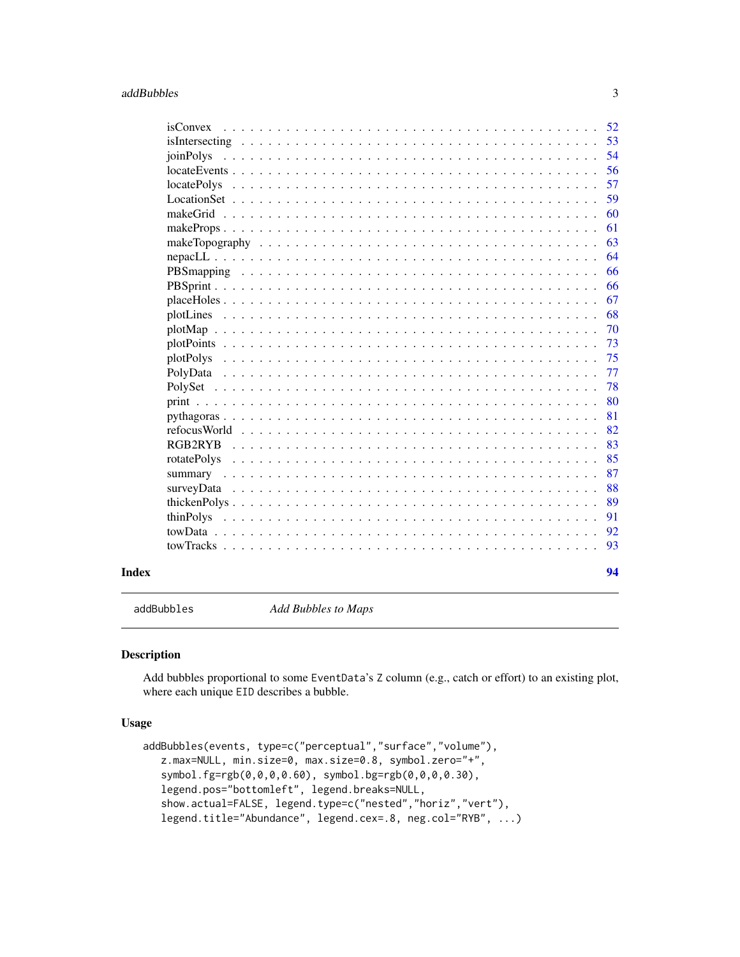<span id="page-2-0"></span>

| Index |                    | 94 |
|-------|--------------------|----|
|       |                    | 93 |
|       |                    | 92 |
|       | thinPolys          | 91 |
|       |                    | 89 |
|       |                    | 88 |
|       |                    | 87 |
|       | rotatePolys        | 85 |
|       | RGB2RYB            | 83 |
|       |                    | 82 |
|       |                    | 81 |
|       |                    | 80 |
|       |                    | 78 |
|       | PolyData           | 77 |
|       | plotPolys          | 75 |
|       |                    | 73 |
|       |                    | 70 |
|       |                    | 68 |
|       |                    | 67 |
|       |                    | 66 |
|       |                    | 66 |
|       |                    | 64 |
|       |                    | 63 |
|       |                    | 61 |
|       |                    | 60 |
|       |                    | 59 |
|       | <i>locatePolys</i> | 57 |
|       |                    | 56 |
|       | ioinPolys          | 54 |
|       |                    | 53 |
|       | isConvex           | 52 |

<span id="page-2-1"></span>addBubbles *Add Bubbles to Maps*

#### Description

Add bubbles proportional to some EventData's Z column (e.g., catch or effort) to an existing plot, where each unique EID describes a bubble.

# Usage

```
addBubbles(events, type=c("perceptual","surface","volume"),
  z.max=NULL, min.size=0, max.size=0.8, symbol.zero="+",
   symbol.fg=rgb(0,0,0,0.60), symbol.bg=rgb(0,0,0,0.30),
  legend.pos="bottomleft", legend.breaks=NULL,
   show.actual=FALSE, legend.type=c("nested","horiz","vert"),
  legend.title="Abundance", legend.cex=.8, neg.col="RYB", ...)
```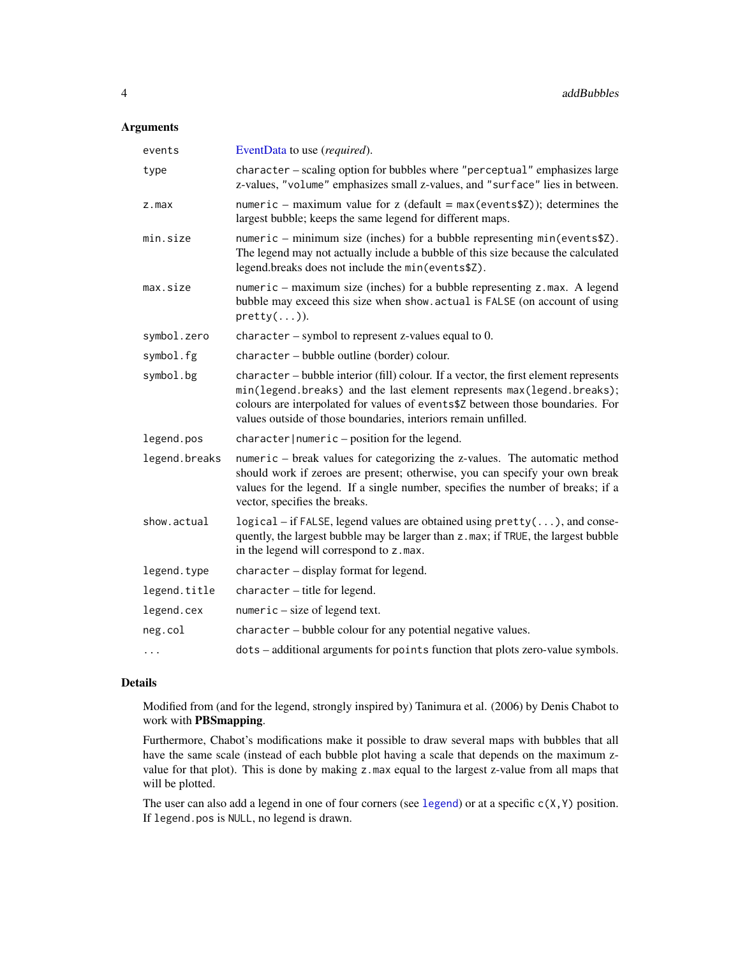# Arguments

| events        | EventData to use (required).                                                                                                                                                                                                                                                                                       |
|---------------|--------------------------------------------------------------------------------------------------------------------------------------------------------------------------------------------------------------------------------------------------------------------------------------------------------------------|
| type          | character - scaling option for bubbles where "perceptual" emphasizes large<br>z-values, "volume" emphasizes small z-values, and "surface" lies in between.                                                                                                                                                         |
| z.max         | numeric – maximum value for z (default = $max(eventsZ)$ ); determines the<br>largest bubble; keeps the same legend for different maps.                                                                                                                                                                             |
| min.size      | numeric – minimum size (inches) for a bubble representing min(events\$Z).<br>The legend may not actually include a bubble of this size because the calculated<br>legend.breaks does not include the min(events\$Z).                                                                                                |
| max.size      | numeric – maximum size (inches) for a bubble representing z.max. A legend<br>bubble may exceed this size when show. actual is FALSE (on account of using<br>$pretty( \dots )).$                                                                                                                                    |
| symbol.zero   | character – symbol to represent z-values equal to $0$ .                                                                                                                                                                                                                                                            |
| symbol.fg     | character - bubble outline (border) colour.                                                                                                                                                                                                                                                                        |
| symbol.bg     | character – bubble interior (fill) colour. If a vector, the first element represents<br>min(legend.breaks) and the last element represents max(legend.breaks);<br>colours are interpolated for values of events\$2 between those boundaries. For<br>values outside of those boundaries, interiors remain unfilled. |
| legend.pos    | character   numeric - position for the legend.                                                                                                                                                                                                                                                                     |
| legend.breaks | numeric – break values for categorizing the z-values. The automatic method<br>should work if zeroes are present; otherwise, you can specify your own break<br>values for the legend. If a single number, specifies the number of breaks; if a<br>vector, specifies the breaks.                                     |
| show.actual   | $logical$ – if FALSE, legend values are obtained using $pretry$ (), and conse-<br>quently, the largest bubble may be larger than z.max; if TRUE, the largest bubble<br>in the legend will correspond to z.max.                                                                                                     |
| legend.type   | character - display format for legend.                                                                                                                                                                                                                                                                             |
| legend.title  | character - title for legend.                                                                                                                                                                                                                                                                                      |
| legend.cex    | $numeric - size of legend text.$                                                                                                                                                                                                                                                                                   |
| neg.col       | character - bubble colour for any potential negative values.                                                                                                                                                                                                                                                       |
| .             | dots - additional arguments for points function that plots zero-value symbols.                                                                                                                                                                                                                                     |

#### Details

Modified from (and for the legend, strongly inspired by) Tanimura et al. (2006) by Denis Chabot to work with PBSmapping.

Furthermore, Chabot's modifications make it possible to draw several maps with bubbles that all have the same scale (instead of each bubble plot having a scale that depends on the maximum zvalue for that plot). This is done by making z.max equal to the largest z-value from all maps that will be plotted.

The user can also add a [legend](#page-0-0) in one of four corners (see legend) or at a specific  $c(X, Y)$  position. If legend.pos is NULL, no legend is drawn.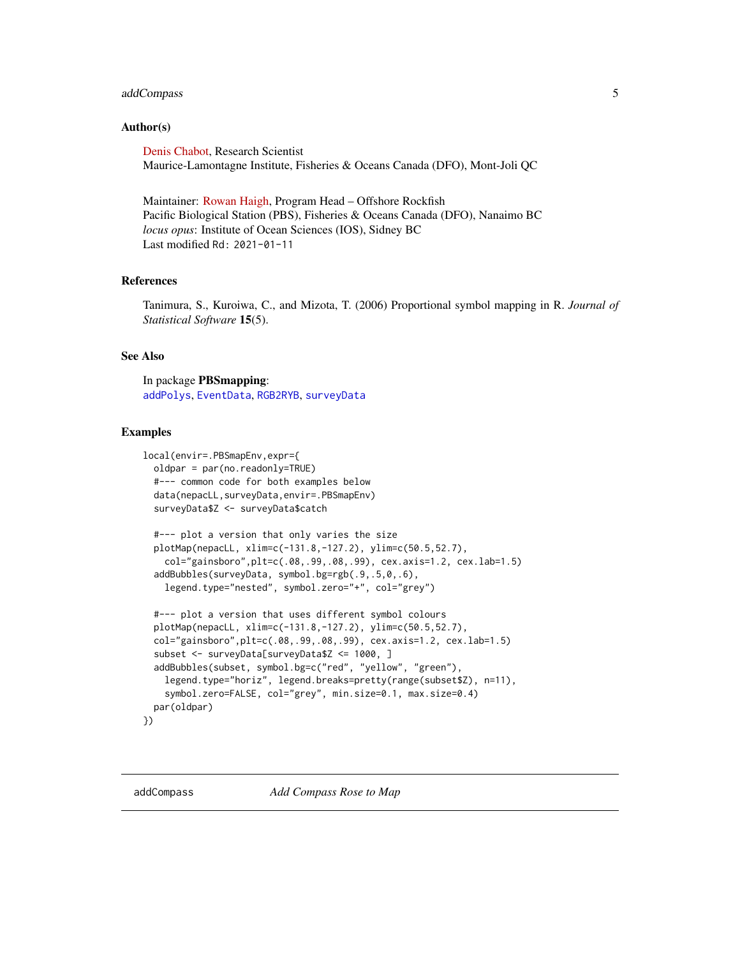# <span id="page-4-0"></span>addCompass 5

#### Author(s)

[Denis Chabot,](https://profils-profiles.science.gc.ca/en/profile/denis-chabot?wbdisable=true) Research Scientist Maurice-Lamontagne Institute, Fisheries & Oceans Canada (DFO), Mont-Joli QC

Maintainer: [Rowan Haigh,](mailto:rowan.haigh@dfo-mpo.gc.ca) Program Head – Offshore Rockfish Pacific Biological Station (PBS), Fisheries & Oceans Canada (DFO), Nanaimo BC *locus opus*: Institute of Ocean Sciences (IOS), Sidney BC Last modified Rd: 2021-01-11

# References

Tanimura, S., Kuroiwa, C., and Mizota, T. (2006) Proportional symbol mapping in R. *Journal of Statistical Software* 15(5).

#### See Also

In package PBSmapping: [addPolys](#page-10-1), [EventData](#page-37-1), [RGB2RYB](#page-82-1), [surveyData](#page-87-1)

```
local(envir=.PBSmapEnv,expr={
 oldpar = par(no.readonly=TRUE)
 #--- common code for both examples below
 data(nepacLL,surveyData,envir=.PBSmapEnv)
 surveyData$Z <- surveyData$catch
 #--- plot a version that only varies the size
 plotMap(nepacLL, xlim=c(-131.8,-127.2), ylim=c(50.5,52.7),
    col="gainsboro",plt=c(.08,.99,.08,.99), cex.axis=1.2, cex.lab=1.5)
 addBubbles(surveyData, symbol.bg=rgb(.9,.5,0,.6),
   legend.type="nested", symbol.zero="+", col="grey")
 #--- plot a version that uses different symbol colours
 plotMap(nepacLL, xlim=c(-131.8,-127.2), ylim=c(50.5,52.7),
 col="gainsboro",plt=c(.08,.99,.08,.99), cex.axis=1.2, cex.lab=1.5)
 subset <- surveyData[surveyData$Z <= 1000, ]
 addBubbles(subset, symbol.bg=c("red", "yellow", "green"),
    legend.type="horiz", legend.breaks=pretty(range(subset$Z), n=11),
    symbol.zero=FALSE, col="grey", min.size=0.1, max.size=0.4)
 par(oldpar)
})
```
<span id="page-4-1"></span>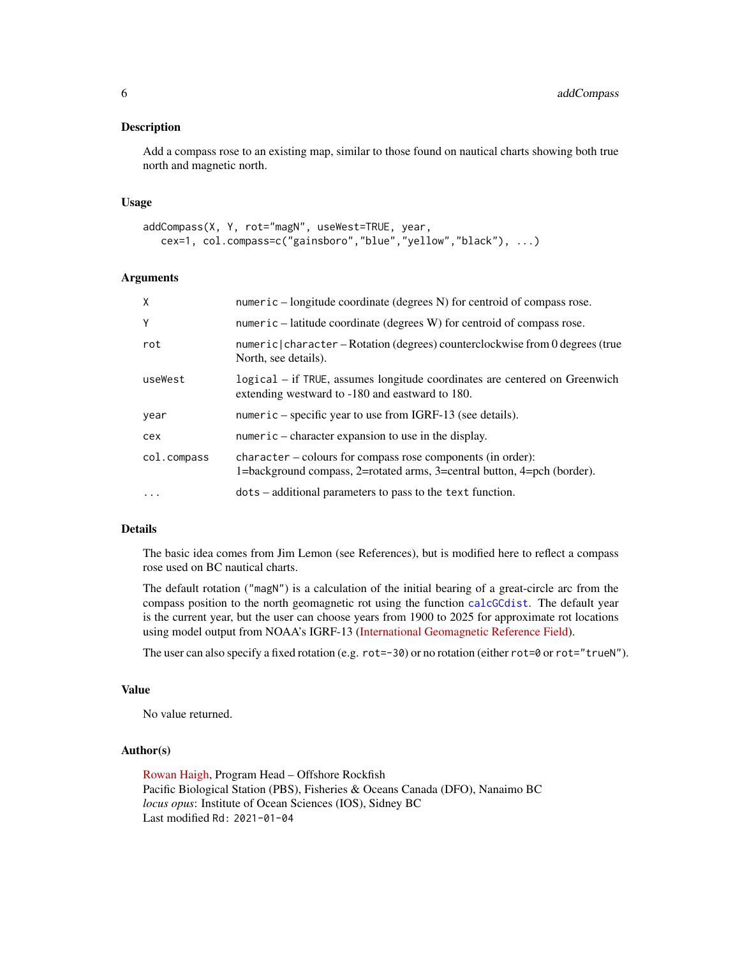Add a compass rose to an existing map, similar to those found on nautical charts showing both true north and magnetic north.

#### Usage

```
addCompass(X, Y, rot="magN", useWest=TRUE, year,
  cex=1, col.compass=c("gainsboro","blue","yellow","black"), ...)
```
# Arguments

| $\mathsf{X}$ | numeric $-$ longitude coordinate (degrees N) for centroid of compass rose.                                                             |
|--------------|----------------------------------------------------------------------------------------------------------------------------------------|
| Y            | numeric $-$ latitude coordinate (degrees W) for centroid of compass rose.                                                              |
| rot          | numeric   character – Rotation (degrees) counterclockwise from 0 degrees (true<br>North, see details).                                 |
| useWest      | logical – if TRUE, assumes longitude coordinates are centered on Greenwich<br>extending westward to -180 and eastward to 180.          |
| year         | numeric – specific year to use from IGRF-13 (see details).                                                                             |
| cex          | numeric – character expansion to use in the display.                                                                                   |
| col.compass  | character – colours for compass rose components (in order):<br>1=background compass, 2=rotated arms, 3=central button, 4=pch (border). |
| $\ddotsc$    | dots – additional parameters to pass to the text function.                                                                             |

#### Details

The basic idea comes from Jim Lemon (see References), but is modified here to reflect a compass rose used on BC nautical charts.

The default rotation ("magN") is a calculation of the initial bearing of a great-circle arc from the compass position to the north geomagnetic rot using the function [calcGCdist](#page-19-1). The default year is the current year, but the user can choose years from 1900 to 2025 for approximate rot locations using model output from NOAA's IGRF-13 [\(International Geomagnetic Reference Field\)](https://www.ngdc.noaa.gov/IAGA/vmod/igrf.html).

The user can also specify a fixed rotation (e.g. rot=-30) or no rotation (either rot=0 or rot="trueN").

#### Value

No value returned.

# Author(s)

[Rowan Haigh,](mailto:rowan.haigh@dfo-mpo.gc.ca) Program Head – Offshore Rockfish Pacific Biological Station (PBS), Fisheries & Oceans Canada (DFO), Nanaimo BC *locus opus*: Institute of Ocean Sciences (IOS), Sidney BC Last modified Rd: 2021-01-04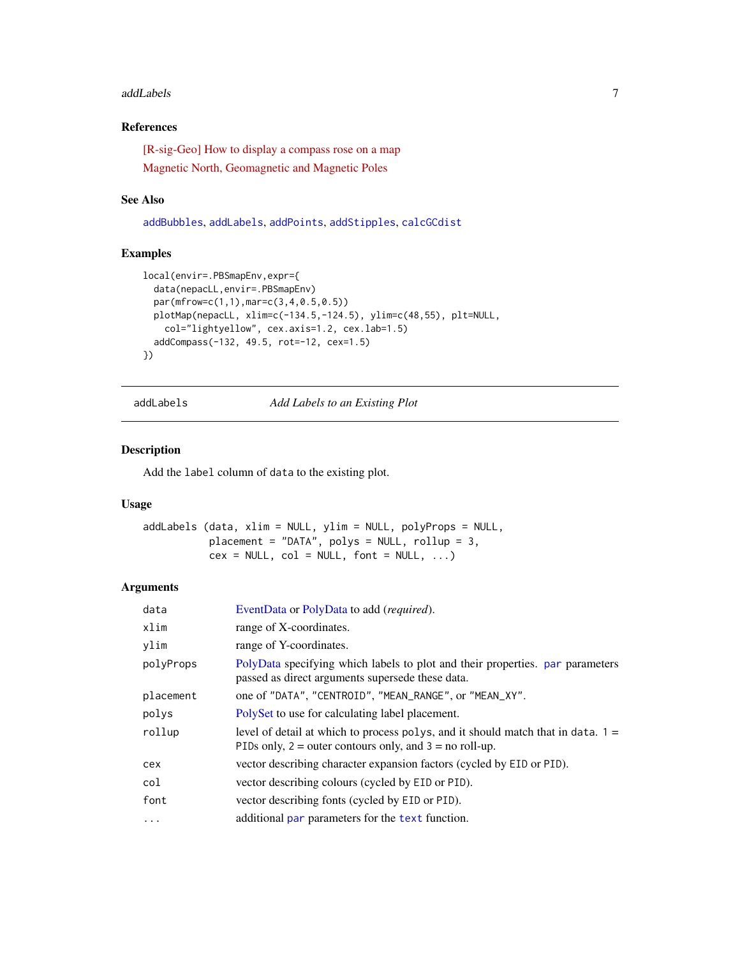#### <span id="page-6-0"></span>addLabels **7**

# References

[\[R-sig-Geo\] How to display a compass rose on a map](https://stat.ethz.ch/pipermail/r-sig-geo/2010-February/007564.html) [Magnetic North, Geomagnetic and Magnetic Poles](http://wdc.kugi.kyoto-u.ac.jp/poles/polesexp.html)

#### See Also

[addBubbles](#page-2-1), [addLabels](#page-6-1), [addPoints](#page-9-1), [addStipples](#page-12-1), [calcGCdist](#page-19-1)

# Examples

```
local(envir=.PBSmapEnv,expr={
  data(nepacLL,envir=.PBSmapEnv)
  par(mfrow=c(1,1),mar=c(3,4,0.5,0.5))
  plotMap(nepacLL, xlim=c(-134.5,-124.5), ylim=c(48,55), plt=NULL,
   col="lightyellow", cex.axis=1.2, cex.lab=1.5)
  addCompass(-132, 49.5, rot=-12, cex=1.5)
})
```
<span id="page-6-1"></span>addLabels *Add Labels to an Existing Plot*

#### Description

Add the label column of data to the existing plot.

# Usage

```
addLabels (data, xlim = NULL, ylim = NULL, polyProps = NULL,
          placement = "DATA", polys = NULL, rollup = 3,
          cex = NULL, col = NULL, font = NULL, ...)
```
# Arguments

| data      | EventData or PolyData to add (required).                                                                                                          |
|-----------|---------------------------------------------------------------------------------------------------------------------------------------------------|
| xlim      | range of X-coordinates.                                                                                                                           |
| ylim      | range of Y-coordinates.                                                                                                                           |
| polyProps | PolyData specifying which labels to plot and their properties, par parameters<br>passed as direct arguments supersede these data.                 |
| placement | one of "DATA", "CENTROID", "MEAN_RANGE", or "MEAN_XY".                                                                                            |
| polys     | PolySet to use for calculating label placement.                                                                                                   |
| rollup    | level of detail at which to process polys, and it should match that in data. $1 =$<br>PIDs only, $2 =$ outer contours only, and $3 =$ no roll-up. |
| cex       | vector describing character expansion factors (cycled by EID or PID).                                                                             |
| col       | vector describing colours (cycled by EID or PID).                                                                                                 |
| font      | vector describing fonts (cycled by EID or PID).                                                                                                   |
| $\cdots$  | additional par parameters for the text function.                                                                                                  |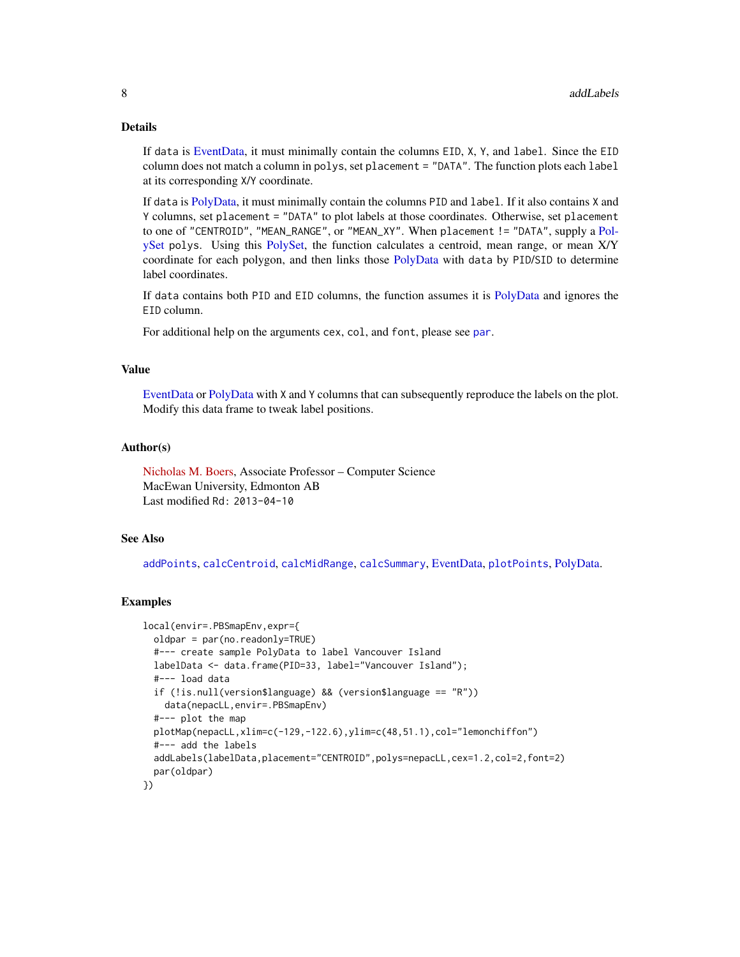# Details

If data is [EventData,](#page-37-1) it must minimally contain the columns EID, X, Y, and label. Since the EID column does not match a column in polys, set placement = "DATA". The function plots each label at its corresponding X/Y coordinate.

If data is [PolyData,](#page-76-1) it must minimally contain the columns PID and label. If it also contains X and Y columns, set placement = "DATA" to plot labels at those coordinates. Otherwise, set placement to one of "CENTROID", "MEAN\_RANGE", or "MEAN\_XY". When placement != "DATA", supply a [Pol](#page-77-1)[ySet](#page-77-1) polys. Using this [PolySet,](#page-77-1) the function calculates a centroid, mean range, or mean X/Y coordinate for each polygon, and then links those [PolyData](#page-76-1) with data by PID/SID to determine label coordinates.

If data contains both PID and EID columns, the function assumes it is [PolyData](#page-76-1) and ignores the EID column.

For additional help on the arguments cex, col, and font, please see [par](#page-0-0).

#### Value

[EventData](#page-37-1) or [PolyData](#page-76-1) with X and Y columns that can subsequently reproduce the labels on the plot. Modify this data frame to tweak label positions.

#### Author(s)

[Nicholas M. Boers,](https://academic.macewan.ca/boersn/) Associate Professor – Computer Science MacEwan University, Edmonton AB Last modified Rd: 2013-04-10

#### See Also

[addPoints](#page-9-1), [calcCentroid](#page-17-1), [calcMidRange](#page-22-1), [calcSummary](#page-23-1), [EventData,](#page-37-1) [plotPoints](#page-72-1), [PolyData.](#page-76-1)

```
local(envir=.PBSmapEnv,expr={
 oldpar = par(no.readonly=TRUE)
 #--- create sample PolyData to label Vancouver Island
 labelData <- data.frame(PID=33, label="Vancouver Island");
 #--- load data
 if (!is.null(version$language) && (version$language == "R"))
   data(nepacLL,envir=.PBSmapEnv)
 #--- plot the map
 plotMap(nepacLL,xlim=c(-129,-122.6),ylim=c(48,51.1),col="lemonchiffon")
 #--- add the labels
 addLabels(labelData,placement="CENTROID",polys=nepacLL,cex=1.2,col=2,font=2)
 par(oldpar)
})
```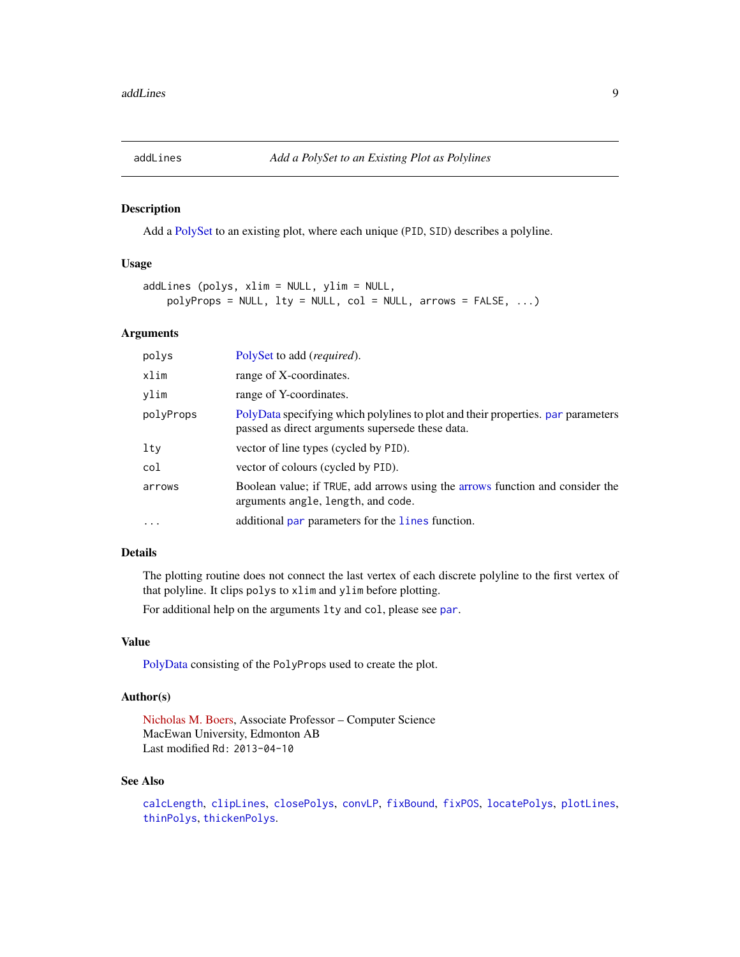<span id="page-8-1"></span><span id="page-8-0"></span>

Add a [PolySet](#page-77-1) to an existing plot, where each unique (PID, SID) describes a polyline.

#### Usage

```
addLines (polys, xlim = NULL, ylim = NULL,
   polyProps = NULL, lty = NULL, col = NULL, arrows = FALSE, ...)
```
#### Arguments

| polys     | PolySet to add (required).                                                                                                           |
|-----------|--------------------------------------------------------------------------------------------------------------------------------------|
| xlim      | range of X-coordinates.                                                                                                              |
| vlim      | range of Y-coordinates.                                                                                                              |
| polyProps | PolyData specifying which polylines to plot and their properties, par parameters<br>passed as direct arguments supersede these data. |
| $1$ ty    | vector of line types (cycled by PID).                                                                                                |
| col       | vector of colours (cycled by PID).                                                                                                   |
| arrows    | Boolean value; if TRUE, add arrows using the arrows function and consider the<br>arguments angle, length, and code.                  |
| $\cdot$   | additional par parameters for the lines function.                                                                                    |

# Details

The plotting routine does not connect the last vertex of each discrete polyline to the first vertex of that polyline. It clips polys to xlim and ylim before plotting.

For additional help on the arguments lty and col, please see [par](#page-0-0).

# Value

[PolyData](#page-76-1) consisting of the PolyProps used to create the plot.

# Author(s)

[Nicholas M. Boers,](https://academic.macewan.ca/boersn/) Associate Professor – Computer Science MacEwan University, Edmonton AB Last modified Rd: 2013-04-10

#### See Also

[calcLength](#page-20-1), [clipLines](#page-25-1), [closePolys](#page-27-1), [convLP](#page-33-1), [fixBound](#page-42-1), [fixPOS](#page-43-1), [locatePolys](#page-56-1), [plotLines](#page-67-1), [thinPolys](#page-90-1), [thickenPolys](#page-88-1).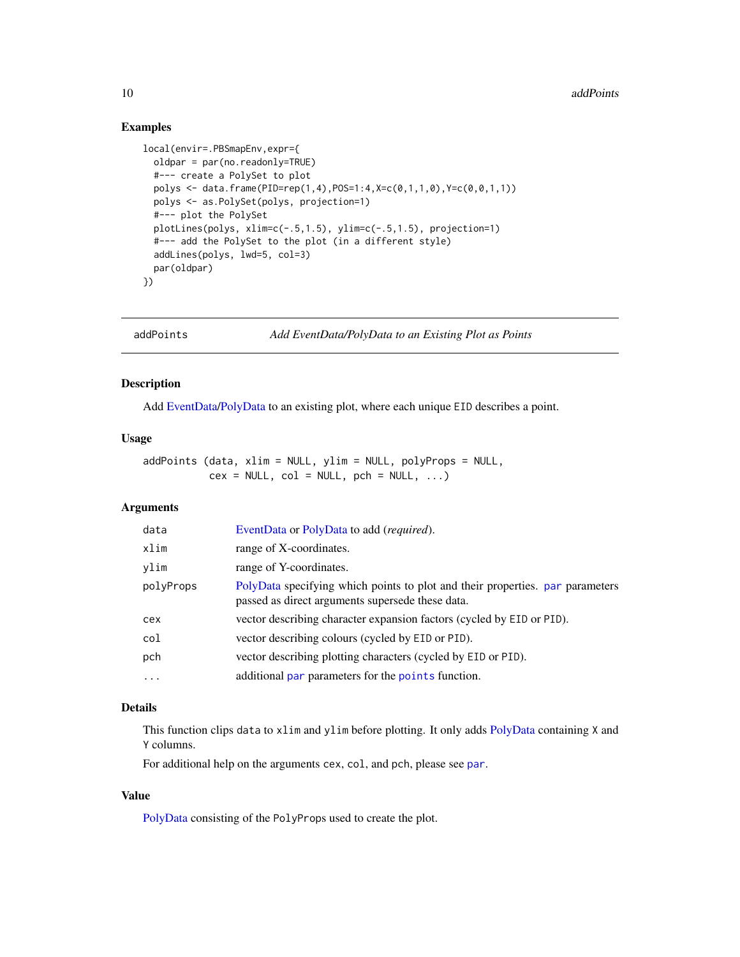# Examples

```
local(envir=.PBSmapEnv,expr={
  oldpar = par(no.readonly=TRUE)
  #--- create a PolySet to plot
  polys <- data.frame(PID=rep(1,4),POS=1:4,X=c(0,1,1,0),Y=c(0,0,1,1))
  polys <- as.PolySet(polys, projection=1)
  #--- plot the PolySet
  plotLines(polys, xlim=c(-.5,1.5), ylim=c(-.5,1.5), projection=1)
  #--- add the PolySet to the plot (in a different style)
  addLines(polys, lwd=5, col=3)
  par(oldpar)
})
```
<span id="page-9-1"></span>

addPoints *Add EventData/PolyData to an Existing Plot as Points*

# Description

Add [EventData/](#page-37-1)[PolyData](#page-76-1) to an existing plot, where each unique EID describes a point.

# Usage

addPoints (data, xlim = NULL, ylim = NULL, polyProps = NULL,  $cex = NULL$ ,  $col = NULL$ ,  $pch = NULL$ , ...)

# Arguments

| data      | EventData or PolyData to add ( <i>required</i> ).                                                                                 |
|-----------|-----------------------------------------------------------------------------------------------------------------------------------|
| xlim      | range of X-coordinates.                                                                                                           |
| vlim      | range of Y-coordinates.                                                                                                           |
| polyProps | PolyData specifying which points to plot and their properties. par parameters<br>passed as direct arguments supersede these data. |
| cex       | vector describing character expansion factors (cycled by EID or PID).                                                             |
| col       | vector describing colours (cycled by EID or PID).                                                                                 |
| pch       | vector describing plotting characters (cycled by EID or PID).                                                                     |
| $\cdot$   | additional par parameters for the points function.                                                                                |

#### Details

This function clips data to xlim and ylim before plotting. It only adds [PolyData](#page-76-1) containing X and Y columns.

For additional help on the arguments cex, col, and pch, please see [par](#page-0-0).

# Value

[PolyData](#page-76-1) consisting of the PolyProps used to create the plot.

<span id="page-9-0"></span>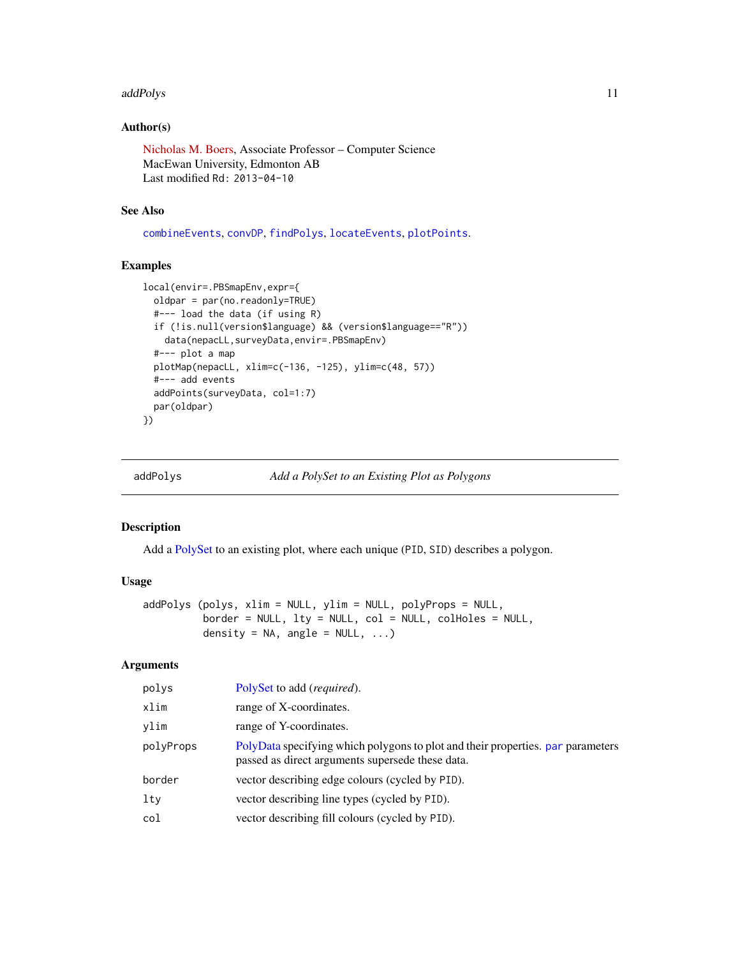#### <span id="page-10-0"></span>addPolys and the contract of the contract of the contract of the contract of the contract of the contract of the contract of the contract of the contract of the contract of the contract of the contract of the contract of t

# Author(s)

[Nicholas M. Boers,](https://academic.macewan.ca/boersn/) Associate Professor – Computer Science MacEwan University, Edmonton AB Last modified Rd: 2013-04-10

#### See Also

[combineEvents](#page-29-1), [convDP](#page-32-1), [findPolys](#page-41-1), [locateEvents](#page-55-1), [plotPoints](#page-72-1).

# Examples

```
local(envir=.PBSmapEnv,expr={
  oldpar = par(no.readonly=TRUE)
  #--- load the data (if using R)
  if (!is.null(version$language) && (version$language=="R"))
    data(nepacLL,surveyData,envir=.PBSmapEnv)
  #--- plot a map
  plotMap(nepacLL, xlim=c(-136, -125), ylim=c(48, 57))
  #--- add events
  addPoints(surveyData, col=1:7)
  par(oldpar)
})
```
<span id="page-10-1"></span>addPolys *Add a PolySet to an Existing Plot as Polygons*

# Description

Add a [PolySet](#page-77-1) to an existing plot, where each unique (PID, SID) describes a polygon.

#### Usage

```
addPolys (polys, xlim = NULL, ylim = NULL, polyProps = NULL,
         border = NULL, lty = NULL, col = NULL, colHoles = NULL,
         density = NA, angle = NULL, ...)
```
# Arguments

| polys     | PolySet to add ( <i>required</i> ).                                                                                                 |
|-----------|-------------------------------------------------------------------------------------------------------------------------------------|
| xlim      | range of X-coordinates.                                                                                                             |
| vlim      | range of Y-coordinates.                                                                                                             |
| polyProps | PolyData specifying which polygons to plot and their properties, par parameters<br>passed as direct arguments supersede these data. |
| border    | vector describing edge colours (cycled by PID).                                                                                     |
| $1$ ty    | vector describing line types (cycled by PID).                                                                                       |
| col       | vector describing fill colours (cycled by PID).                                                                                     |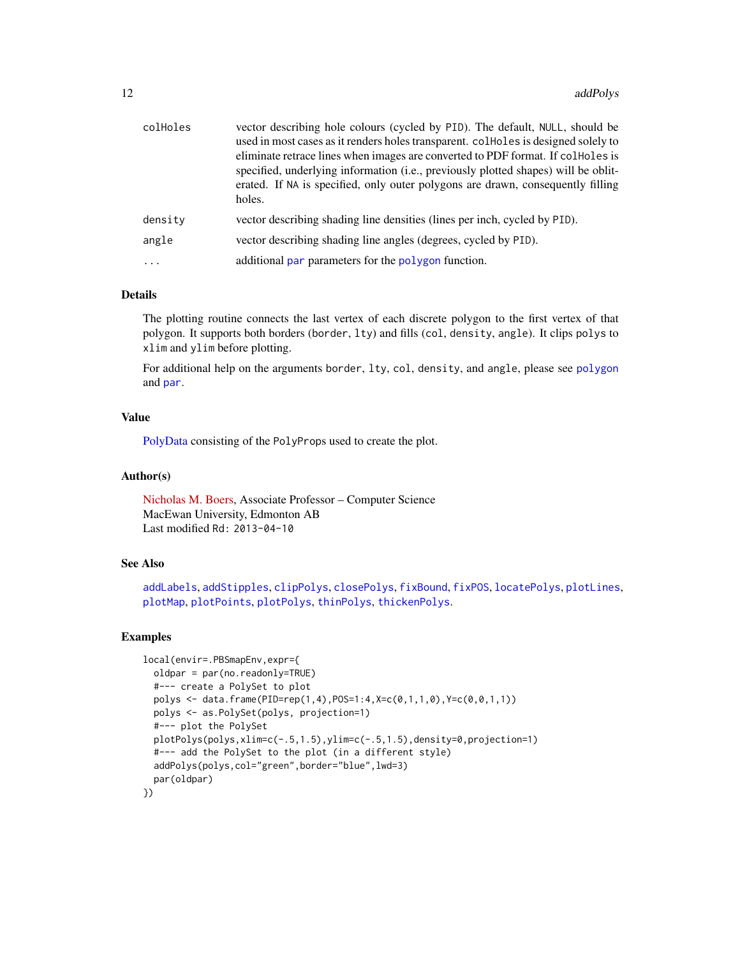| colHoles | vector describing hole colours (cycled by PID). The default, NULL, should be                                                                                                    |
|----------|---------------------------------------------------------------------------------------------------------------------------------------------------------------------------------|
|          | used in most cases as it renders holes transparent. collected is designed solely to<br>eliminate retrace lines when images are converted to PDF format. If collected is         |
|          | specified, underlying information (i.e., previously plotted shapes) will be oblit-<br>erated. If NA is specified, only outer polygons are drawn, consequently filling<br>holes. |
| density  | vector describing shading line densities (lines per inch, cycled by PID).                                                                                                       |
| angle    | vector describing shading line angles (degrees, cycled by PID).                                                                                                                 |
| $\cdots$ | additional par parameters for the polygon function.                                                                                                                             |
|          |                                                                                                                                                                                 |

# Details

The plotting routine connects the last vertex of each discrete polygon to the first vertex of that polygon. It supports both borders (border, lty) and fills (col, density, angle). It clips polys to xlim and ylim before plotting.

For additional help on the arguments border, lty, col, density, and angle, please see [polygon](#page-0-0) and [par](#page-0-0).

# Value

[PolyData](#page-76-1) consisting of the PolyProps used to create the plot.

#### Author(s)

[Nicholas M. Boers,](https://academic.macewan.ca/boersn/) Associate Professor – Computer Science MacEwan University, Edmonton AB Last modified Rd: 2013-04-10

#### See Also

[addLabels](#page-6-1), [addStipples](#page-12-1), [clipPolys](#page-26-1), [closePolys](#page-27-1), [fixBound](#page-42-1), [fixPOS](#page-43-1), [locatePolys](#page-56-1), [plotLines](#page-67-1), [plotMap](#page-69-1), [plotPoints](#page-72-1), [plotPolys](#page-74-1), [thinPolys](#page-90-1), [thickenPolys](#page-88-1).

```
local(envir=.PBSmapEnv,expr={
 oldpar = par(no.readonly=TRUE)
 #--- create a PolySet to plot
 polys <- data.frame(PID=rep(1,4),POS=1:4,X=c(0,1,1,0),Y=c(0,0,1,1))
 polys <- as.PolySet(polys, projection=1)
 #--- plot the PolySet
 plotPolys(polys,xlim=c(-.5,1.5),ylim=c(-.5,1.5),density=0,projection=1)
 #--- add the PolySet to the plot (in a different style)
 addPolys(polys,col="green",border="blue",lwd=3)
 par(oldpar)
})
```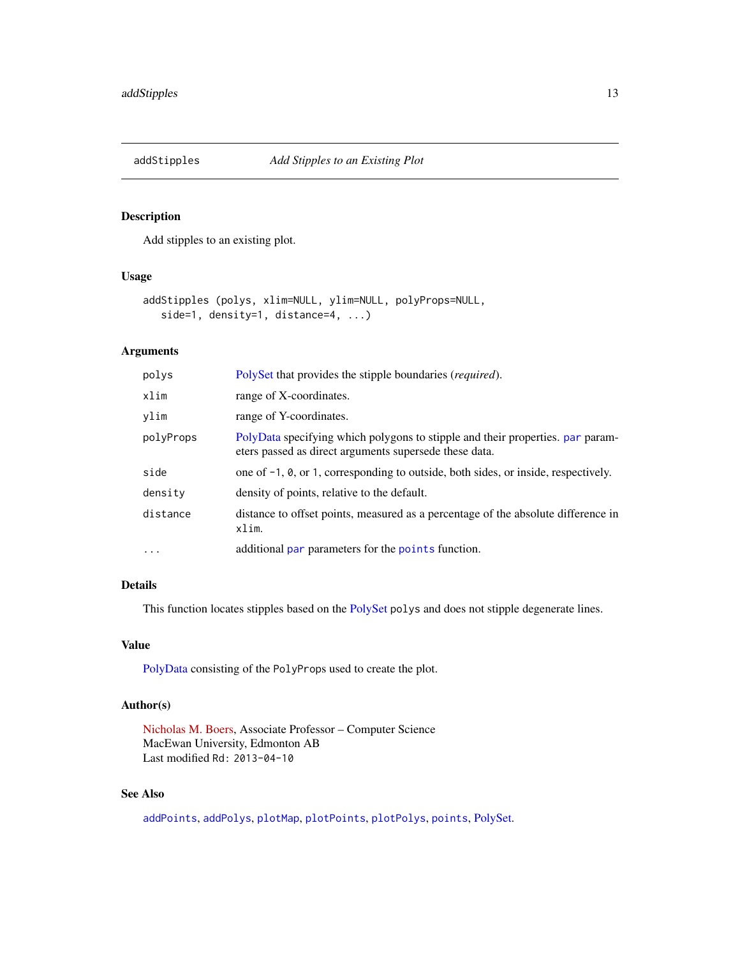<span id="page-12-1"></span><span id="page-12-0"></span>

Add stipples to an existing plot.

#### Usage

```
addStipples (polys, xlim=NULL, ylim=NULL, polyProps=NULL,
   side=1, density=1, distance=4, ...)
```
# Arguments

| polys      | PolySet that provides the stipple boundaries ( <i>required</i> ).                                                                        |
|------------|------------------------------------------------------------------------------------------------------------------------------------------|
| xlim       | range of X-coordinates.                                                                                                                  |
| ylim       | range of Y-coordinates.                                                                                                                  |
| polyProps  | PolyData specifying which polygons to stipple and their properties, par param-<br>eters passed as direct arguments supersede these data. |
| side       | one of $-1$ , $\theta$ , or 1, corresponding to outside, both sides, or inside, respectively.                                            |
| density    | density of points, relative to the default.                                                                                              |
| distance   | distance to offset points, measured as a percentage of the absolute difference in<br>xlim.                                               |
| $\ddots$ . | additional par parameters for the points function.                                                                                       |

# Details

This function locates stipples based on the [PolySet](#page-77-1) polys and does not stipple degenerate lines.

# Value

[PolyData](#page-76-1) consisting of the PolyProps used to create the plot.

# Author(s)

[Nicholas M. Boers,](https://academic.macewan.ca/boersn/) Associate Professor – Computer Science MacEwan University, Edmonton AB Last modified Rd: 2013-04-10

# See Also

[addPoints](#page-9-1), [addPolys](#page-10-1), [plotMap](#page-69-1), [plotPoints](#page-72-1), [plotPolys](#page-74-1), [points](#page-0-0), [PolySet.](#page-77-1)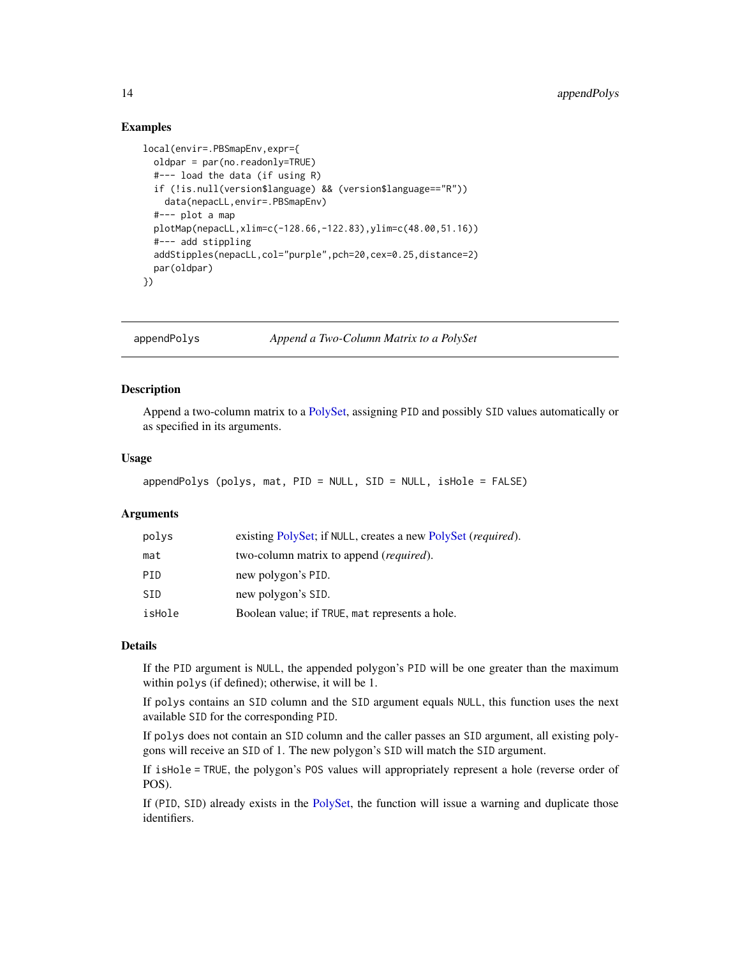#### <span id="page-13-0"></span>Examples

```
local(envir=.PBSmapEnv,expr={
 oldpar = par(no.readonly=TRUE)
 #--- load the data (if using R)
 if (!is.null(version$language) && (version$language=="R"))
   data(nepacLL,envir=.PBSmapEnv)
 #--- plot a map
 plotMap(nepacLL,xlim=c(-128.66,-122.83),ylim=c(48.00,51.16))
 #--- add stippling
 addStipples(nepacLL,col="purple",pch=20,cex=0.25,distance=2)
 par(oldpar)
})
```
<span id="page-13-1"></span>appendPolys *Append a Two-Column Matrix to a PolySet*

# Description

Append a two-column matrix to a [PolySet,](#page-77-1) assigning PID and possibly SID values automatically or as specified in its arguments.

# Usage

```
appendPolys (polys, mat, PID = NULL, SID = NULL, isHole = FALSE)
```
#### Arguments

| polys  | existing PolySet; if NULL, creates a new PolySet ( <i>required</i> ). |
|--------|-----------------------------------------------------------------------|
| mat    | two-column matrix to append ( <i>required</i> ).                      |
| PID    | new polygon's PID.                                                    |
| SID    | new polygon's SID.                                                    |
| isHole | Boolean value; if TRUE, mat represents a hole.                        |

# Details

If the PID argument is NULL, the appended polygon's PID will be one greater than the maximum within polys (if defined); otherwise, it will be 1.

If polys contains an SID column and the SID argument equals NULL, this function uses the next available SID for the corresponding PID.

If polys does not contain an SID column and the caller passes an SID argument, all existing polygons will receive an SID of 1. The new polygon's SID will match the SID argument.

If isHole = TRUE, the polygon's POS values will appropriately represent a hole (reverse order of POS).

If (PID, SID) already exists in the [PolySet,](#page-77-1) the function will issue a warning and duplicate those identifiers.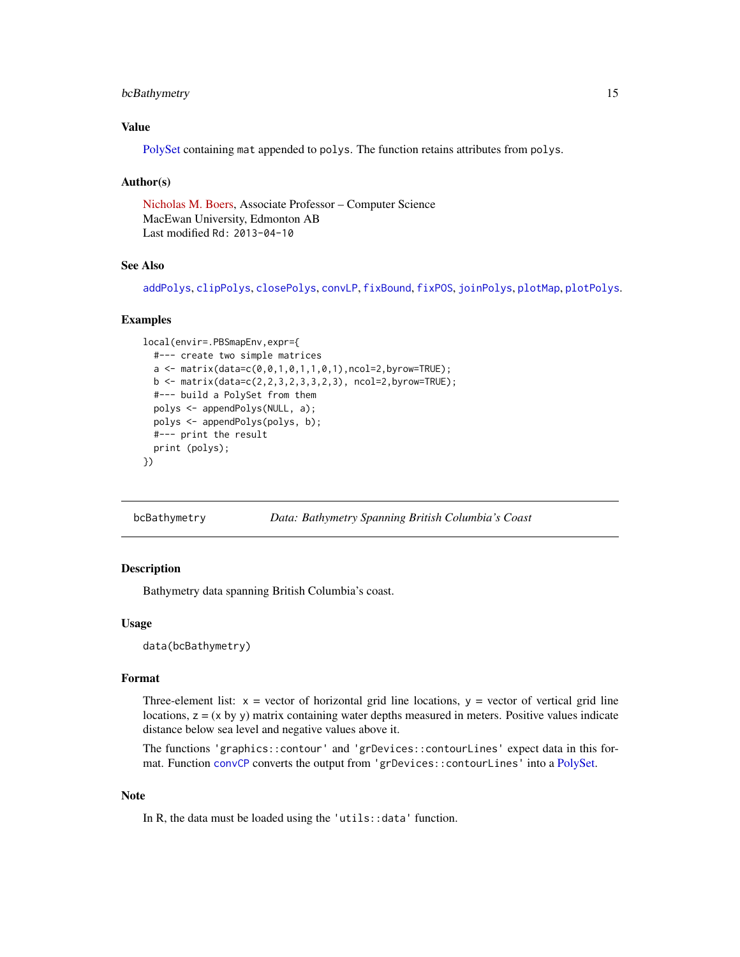# <span id="page-14-0"></span>bcBathymetry 15

# Value

[PolySet](#page-77-1) containing mat appended to polys. The function retains attributes from polys.

#### Author(s)

[Nicholas M. Boers,](https://academic.macewan.ca/boersn/) Associate Professor – Computer Science MacEwan University, Edmonton AB Last modified Rd: 2013-04-10

# See Also

[addPolys](#page-10-1), [clipPolys](#page-26-1), [closePolys](#page-27-1), [convLP](#page-33-1), [fixBound](#page-42-1), [fixPOS](#page-43-1), [joinPolys](#page-53-1), [plotMap](#page-69-1), [plotPolys](#page-74-1).

#### Examples

```
local(envir=.PBSmapEnv,expr={
 #--- create two simple matrices
 a \leq matrix(data=c(0,0,1,0,1,1,0,1),ncol=2,byrow=TRUE);
 b <- matrix(data=c(2,2,3,2,3,3,2,3), ncol=2,byrow=TRUE);
 #--- build a PolySet from them
 polys <- appendPolys(NULL, a);
 polys <- appendPolys(polys, b);
 #--- print the result
 print (polys);
})
```
bcBathymetry *Data: Bathymetry Spanning British Columbia's Coast*

### Description

Bathymetry data spanning British Columbia's coast.

#### Usage

data(bcBathymetry)

#### Format

Three-element list:  $x =$  vector of horizontal grid line locations,  $y =$  vector of vertical grid line locations,  $z = (x \, by \, y)$  matrix containing water depths measured in meters. Positive values indicate distance below sea level and negative values above it.

The functions 'graphics::contour' and 'grDevices::contourLines' expect data in this format. Function [convCP](#page-31-1) converts the output from 'grDevices::contourLines' into a [PolySet.](#page-77-1)

#### Note

In R, the data must be loaded using the 'utils::data' function.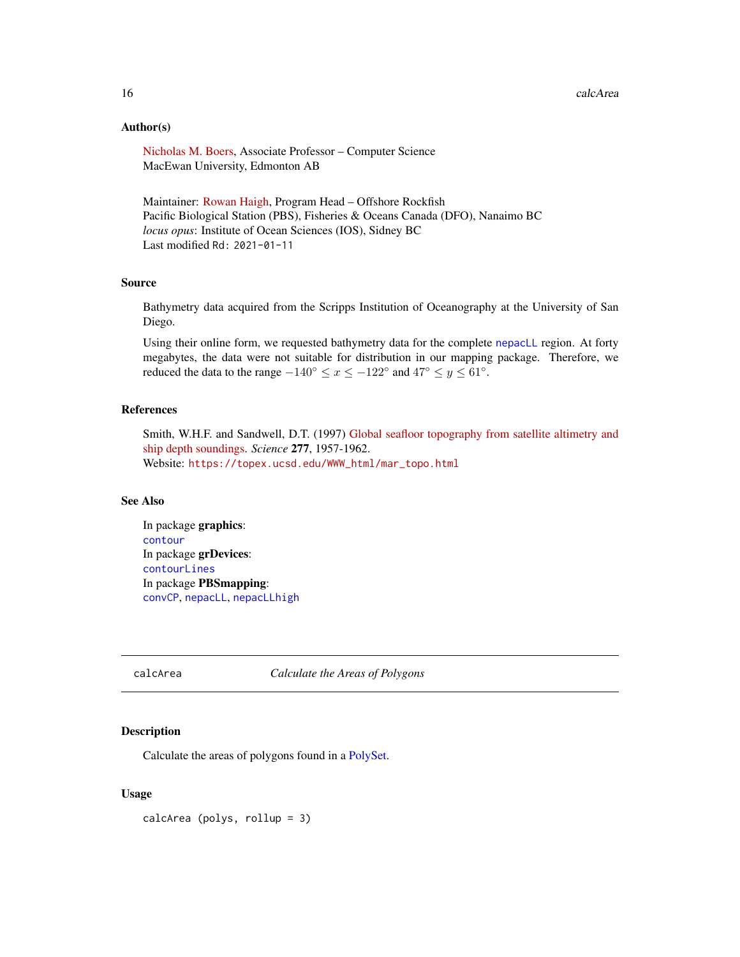# <span id="page-15-0"></span>Author(s)

[Nicholas M. Boers,](https://academic.macewan.ca/boersn/) Associate Professor – Computer Science MacEwan University, Edmonton AB

Maintainer: [Rowan Haigh,](mailto:rowan.haigh@dfo-mpo.gc.ca) Program Head – Offshore Rockfish Pacific Biological Station (PBS), Fisheries & Oceans Canada (DFO), Nanaimo BC *locus opus*: Institute of Ocean Sciences (IOS), Sidney BC Last modified Rd: 2021-01-11

#### Source

Bathymetry data acquired from the Scripps Institution of Oceanography at the University of San Diego.

Using their online form, we requested bathymetry data for the complete [nepacLL](#page-63-1) region. At forty megabytes, the data were not suitable for distribution in our mapping package. Therefore, we reduced the data to the range  $-140^{\circ} \le x \le -122^{\circ}$  and  $47^{\circ} \le y \le 61^{\circ}$ .

#### References

Smith, W.H.F. and Sandwell, D.T. (1997) [Global seafloor topography from satellite altimetry and](https://science.sciencemag.org/content/277/5334/1956) [ship depth soundings.](https://science.sciencemag.org/content/277/5334/1956) *Science* 277, 1957-1962. Website: [https://topex.ucsd.edu/WWW\\_html/mar\\_topo.html](https://topex.ucsd.edu/WWW_html/mar_topo.html)

#### See Also

In package graphics: [contour](#page-0-0) In package grDevices: [contourLines](#page-0-0) In package PBSmapping: [convCP](#page-31-1), [nepacLL](#page-63-1), [nepacLLhigh](#page-63-2)

<span id="page-15-1"></span>calcArea *Calculate the Areas of Polygons*

# Description

Calculate the areas of polygons found in a [PolySet.](#page-77-1)

#### Usage

calcArea (polys, rollup = 3)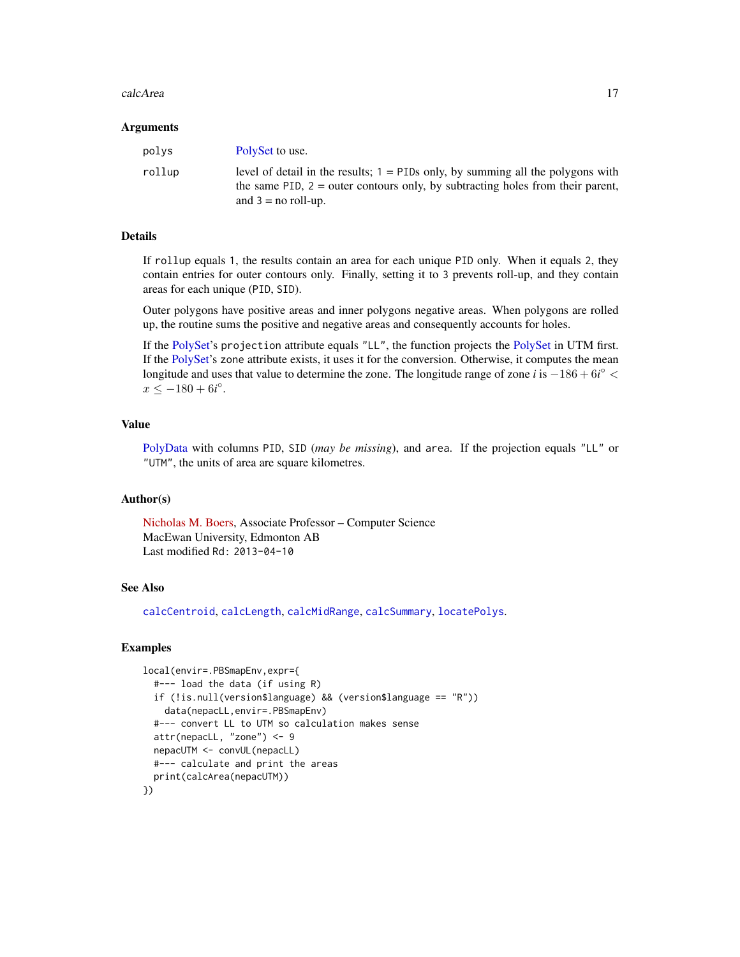#### calcArea 17

#### Arguments

| polys  | PolySet to use.                                                                                                                                                                                |
|--------|------------------------------------------------------------------------------------------------------------------------------------------------------------------------------------------------|
| rollup | level of detail in the results; $1 =$ PIDs only, by summing all the polygons with<br>the same PID, $2 =$ outer contours only, by subtracting holes from their parent,<br>and $3 =$ no roll-up. |

#### Details

If rollup equals 1, the results contain an area for each unique PID only. When it equals 2, they contain entries for outer contours only. Finally, setting it to 3 prevents roll-up, and they contain areas for each unique (PID, SID).

Outer polygons have positive areas and inner polygons negative areas. When polygons are rolled up, the routine sums the positive and negative areas and consequently accounts for holes.

If the [PolySet'](#page-77-1)s projection attribute equals "LL", the function projects the [PolySet](#page-77-1) in UTM first. If the [PolySet'](#page-77-1)s zone attribute exists, it uses it for the conversion. Otherwise, it computes the mean longitude and uses that value to determine the zone. The longitude range of zone *i* is  $-186 + 6i^{\circ}$  <  $x \le -180 + 6i^{\circ}.$ 

# Value

[PolyData](#page-76-1) with columns PID, SID (*may be missing*), and area. If the projection equals "LL" or "UTM", the units of area are square kilometres.

# Author(s)

[Nicholas M. Boers,](https://academic.macewan.ca/boersn/) Associate Professor – Computer Science MacEwan University, Edmonton AB Last modified Rd: 2013-04-10

# See Also

[calcCentroid](#page-17-1), [calcLength](#page-20-1), [calcMidRange](#page-22-1), [calcSummary](#page-23-1), [locatePolys](#page-56-1).

```
local(envir=.PBSmapEnv,expr={
  #--- load the data (if using R)
  if (!is.null(version$language) && (version$language == "R"))
    data(nepacLL,envir=.PBSmapEnv)
  #--- convert LL to UTM so calculation makes sense
  attr(nepacLL, "zone") <- 9
  nepacUTM <- convUL(nepacLL)
  #--- calculate and print the areas
  print(calcArea(nepacUTM))
})
```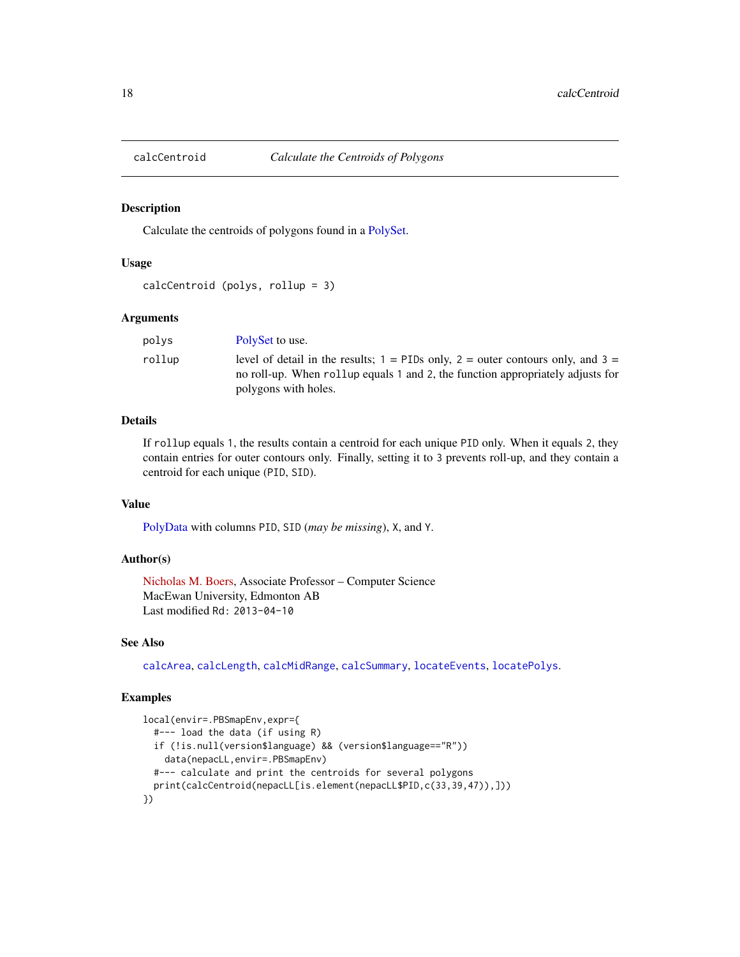<span id="page-17-1"></span><span id="page-17-0"></span>

Calculate the centroids of polygons found in a [PolySet.](#page-77-1)

#### Usage

```
calcCentroid (polys, rollup = 3)
```
# Arguments

| polvs  | PolySet to use.                                                                                                                                                          |
|--------|--------------------------------------------------------------------------------------------------------------------------------------------------------------------------|
| rollup | level of detail in the results; $1 =$ PIDs only, $2 =$ outer contours only, and $3 =$<br>no roll-up. When roll up equals 1 and 2, the function appropriately adjusts for |
|        | polygons with holes.                                                                                                                                                     |

# Details

If rollup equals 1, the results contain a centroid for each unique PID only. When it equals 2, they contain entries for outer contours only. Finally, setting it to 3 prevents roll-up, and they contain a centroid for each unique (PID, SID).

# Value

[PolyData](#page-76-1) with columns PID, SID (*may be missing*), X, and Y.

# Author(s)

[Nicholas M. Boers,](https://academic.macewan.ca/boersn/) Associate Professor – Computer Science MacEwan University, Edmonton AB Last modified Rd: 2013-04-10

#### See Also

[calcArea](#page-15-1), [calcLength](#page-20-1), [calcMidRange](#page-22-1), [calcSummary](#page-23-1), [locateEvents](#page-55-1), [locatePolys](#page-56-1).

```
local(envir=.PBSmapEnv,expr={
  #--- load the data (if using R)
  if (!is.null(version$language) && (version$language=="R"))
    data(nepacLL,envir=.PBSmapEnv)
  #--- calculate and print the centroids for several polygons
  print(calcCentroid(nepacLL[is.element(nepacLL$PID,c(33,39,47)),]))
})
```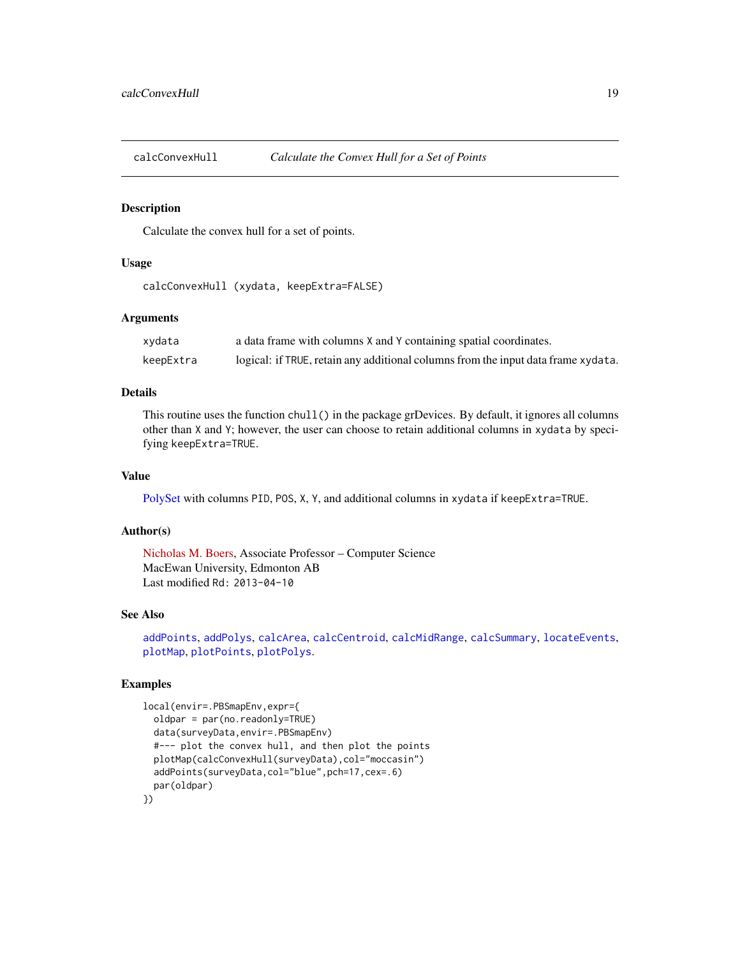<span id="page-18-1"></span><span id="page-18-0"></span>

Calculate the convex hull for a set of points.

#### Usage

calcConvexHull (xydata, keepExtra=FALSE)

# Arguments

| xydata    | a data frame with columns X and Y containing spatial coordinates.                 |
|-----------|-----------------------------------------------------------------------------------|
| keepExtra | logical: if TRUE, retain any additional columns from the input data frame xydata. |

# Details

This routine uses the function chull() in the package grDevices. By default, it ignores all columns other than X and Y; however, the user can choose to retain additional columns in xydata by specifying keepExtra=TRUE.

#### Value

[PolySet](#page-77-1) with columns PID, POS, X, Y, and additional columns in xydata if keepExtra=TRUE.

# Author(s)

[Nicholas M. Boers,](https://academic.macewan.ca/boersn/) Associate Professor – Computer Science MacEwan University, Edmonton AB Last modified Rd: 2013-04-10

# See Also

[addPoints](#page-9-1), [addPolys](#page-10-1), [calcArea](#page-15-1), [calcCentroid](#page-17-1), [calcMidRange](#page-22-1), [calcSummary](#page-23-1), [locateEvents](#page-55-1), [plotMap](#page-69-1), [plotPoints](#page-72-1), [plotPolys](#page-74-1).

```
local(envir=.PBSmapEnv,expr={
  oldpar = par(no.readonly=TRUE)
  data(surveyData,envir=.PBSmapEnv)
  #--- plot the convex hull, and then plot the points
  plotMap(calcConvexHull(surveyData),col="moccasin")
  addPoints(surveyData,col="blue",pch=17,cex=.6)
  par(oldpar)
})
```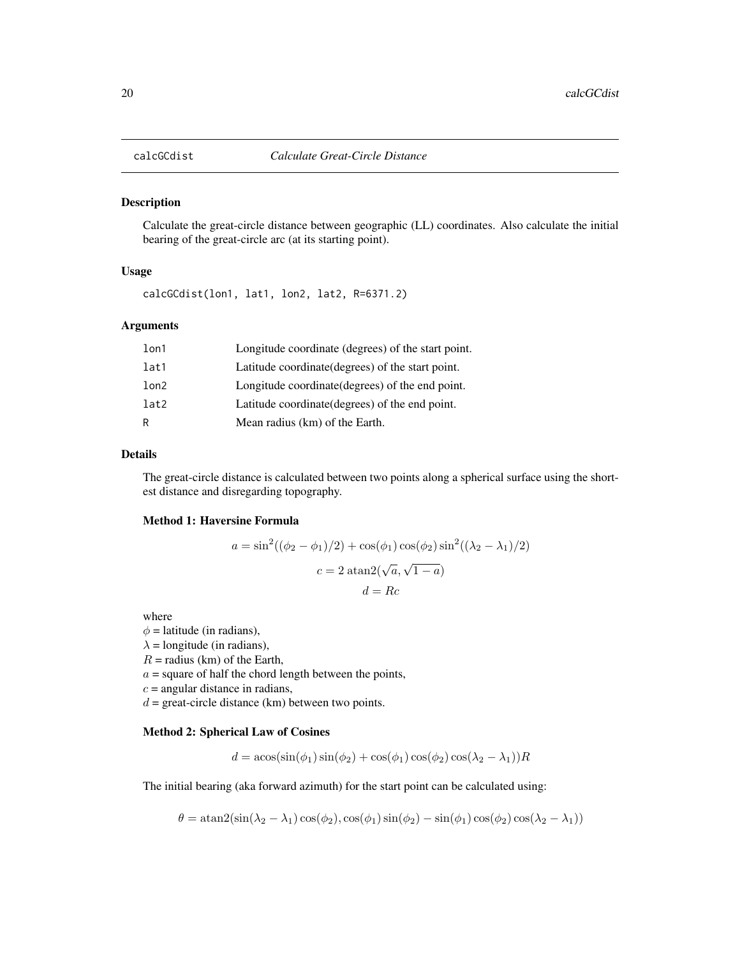<span id="page-19-1"></span><span id="page-19-0"></span>

Calculate the great-circle distance between geographic (LL) coordinates. Also calculate the initial bearing of the great-circle arc (at its starting point).

# Usage

calcGCdist(lon1, lat1, lon2, lat2, R=6371.2)

# Arguments

| lon1 | Longitude coordinate (degrees) of the start point. |
|------|----------------------------------------------------|
| lat1 | Latitude coordinate (degrees) of the start point.  |
| lon2 | Longitude coordinate (degrees) of the end point.   |
| lat2 | Latitude coordinate (degrees) of the end point.    |
| R    | Mean radius (km) of the Earth.                     |

#### Details

The great-circle distance is calculated between two points along a spherical surface using the shortest distance and disregarding topography.

#### Method 1: Haversine Formula

$$
a = \sin^2((\phi_2 - \phi_1)/2) + \cos(\phi_1)\cos(\phi_2)\sin^2((\lambda_2 - \lambda_1)/2)
$$

$$
c = 2 \operatorname{atan2}(\sqrt{a}, \sqrt{1 - a})
$$

$$
d = Rc
$$

where

 $\phi$  = latitude (in radians),  $\lambda$  = longitude (in radians),  $R =$  radius (km) of the Earth,  $a =$  square of half the chord length between the points,  $c =$  angular distance in radians,  $d =$  great-circle distance (km) between two points.

#### Method 2: Spherical Law of Cosines

$$
d = \operatorname{acos}(\sin(\phi_1)\sin(\phi_2) + \cos(\phi_1)\cos(\phi_2)\cos(\lambda_2 - \lambda_1))R
$$

The initial bearing (aka forward azimuth) for the start point can be calculated using:

$$
\theta = \operatorname{atan2}(\sin(\lambda_2 - \lambda_1)\cos(\phi_2), \cos(\phi_1)\sin(\phi_2) - \sin(\phi_1)\cos(\phi_2)\cos(\lambda_2 - \lambda_1))
$$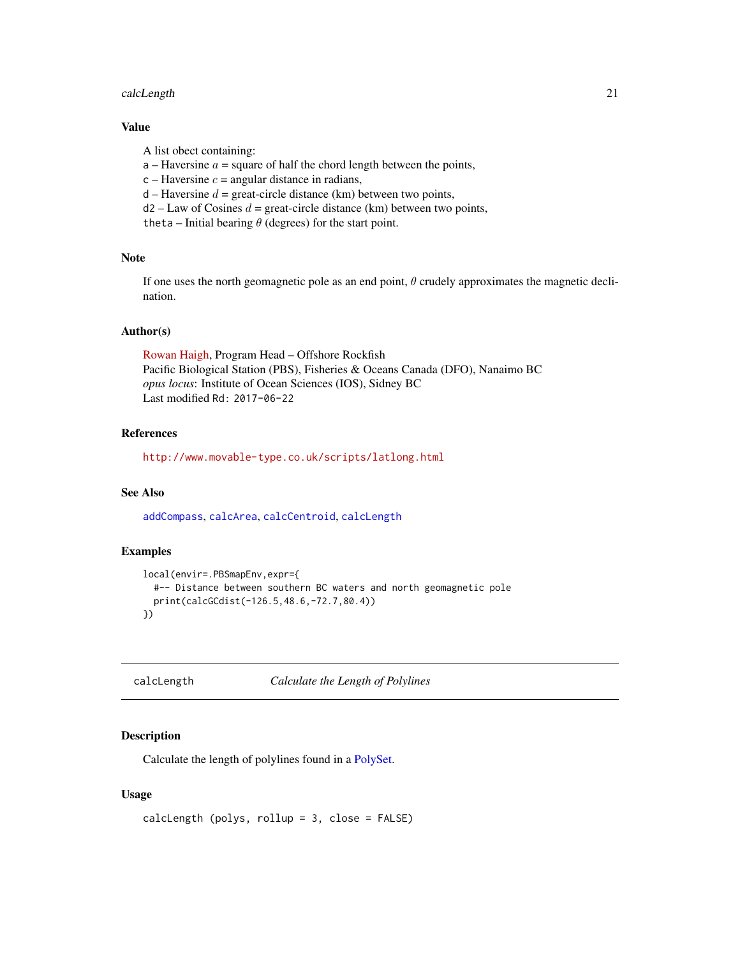# <span id="page-20-0"></span>calcLength 21

# Value

A list obect containing:

- $a$  Haversine  $a$  = square of half the chord length between the points,
- $c$  Haversine  $c$  = angular distance in radians,
- $d$  Haversine  $d$  = great-circle distance (km) between two points,
- $d2 Law$  of Cosines  $d = great$ -circle distance (km) between two points,

theta – Initial bearing  $\theta$  (degrees) for the start point.

#### Note

If one uses the north geomagnetic pole as an end point,  $\theta$  crudely approximates the magnetic declination.

# Author(s)

[Rowan Haigh,](mailto:rowan.haigh@dfo-mpo.gc.ca) Program Head – Offshore Rockfish Pacific Biological Station (PBS), Fisheries & Oceans Canada (DFO), Nanaimo BC *opus locus*: Institute of Ocean Sciences (IOS), Sidney BC Last modified Rd: 2017-06-22

#### References

<http://www.movable-type.co.uk/scripts/latlong.html>

# See Also

[addCompass](#page-4-1), [calcArea](#page-15-1), [calcCentroid](#page-17-1), [calcLength](#page-20-1)

#### Examples

```
local(envir=.PBSmapEnv,expr={
  #-- Distance between southern BC waters and north geomagnetic pole
  print(calcGCdist(-126.5,48.6,-72.7,80.4))
})
```
<span id="page-20-1"></span>calcLength *Calculate the Length of Polylines*

#### Description

Calculate the length of polylines found in a [PolySet.](#page-77-1)

# Usage

```
calcLength (polys, rollup = 3, close = FALSE)
```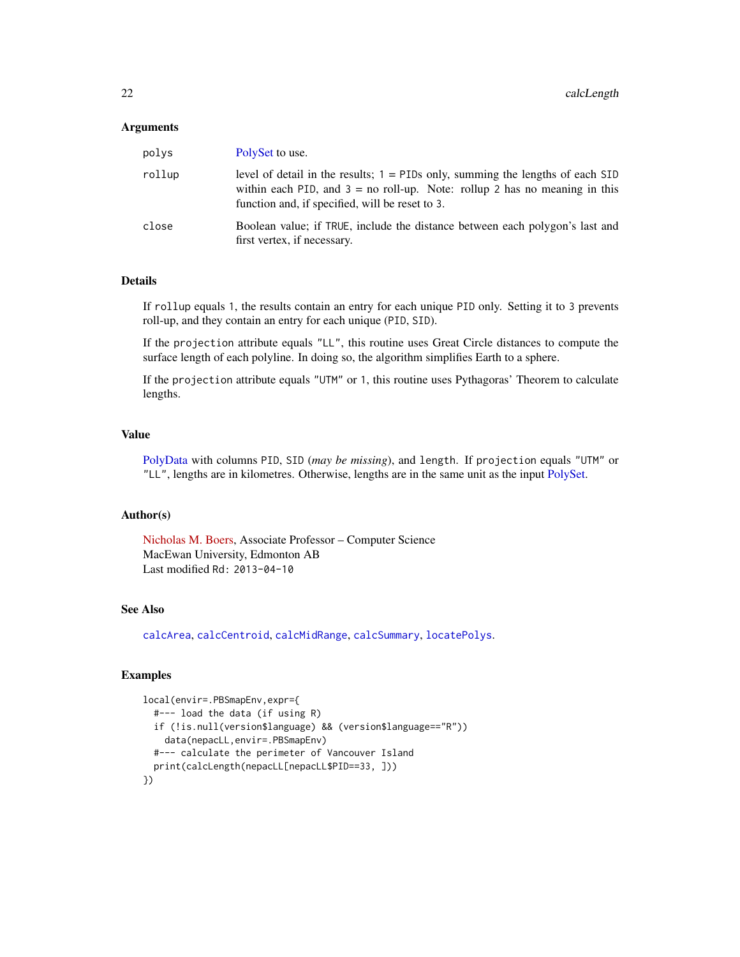#### Arguments

| polys  | PolySet to use.                                                                                                                                                                                                     |
|--------|---------------------------------------------------------------------------------------------------------------------------------------------------------------------------------------------------------------------|
| rollup | level of detail in the results; $1 =$ PIDs only, summing the lengths of each SID<br>within each PID, and $3 =$ no roll-up. Note: rollup 2 has no meaning in this<br>function and, if specified, will be reset to 3. |
| close  | Boolean value; if TRUE, include the distance between each polygon's last and<br>first vertex, if necessary.                                                                                                         |

#### Details

If rollup equals 1, the results contain an entry for each unique PID only. Setting it to 3 prevents roll-up, and they contain an entry for each unique (PID, SID).

If the projection attribute equals "LL", this routine uses Great Circle distances to compute the surface length of each polyline. In doing so, the algorithm simplifies Earth to a sphere.

If the projection attribute equals "UTM" or 1, this routine uses Pythagoras' Theorem to calculate lengths.

#### Value

[PolyData](#page-76-1) with columns PID, SID (*may be missing*), and length. If projection equals "UTM" or "LL", lengths are in kilometres. Otherwise, lengths are in the same unit as the input [PolySet.](#page-77-1)

#### Author(s)

[Nicholas M. Boers,](https://academic.macewan.ca/boersn/) Associate Professor – Computer Science MacEwan University, Edmonton AB Last modified Rd: 2013-04-10

#### See Also

[calcArea](#page-15-1), [calcCentroid](#page-17-1), [calcMidRange](#page-22-1), [calcSummary](#page-23-1), [locatePolys](#page-56-1).

```
local(envir=.PBSmapEnv,expr={
  #--- load the data (if using R)
  if (!is.null(version$language) && (version$language=="R"))
    data(nepacLL,envir=.PBSmapEnv)
  #--- calculate the perimeter of Vancouver Island
  print(calcLength(nepacLL[nepacLL$PID==33, ]))
})
```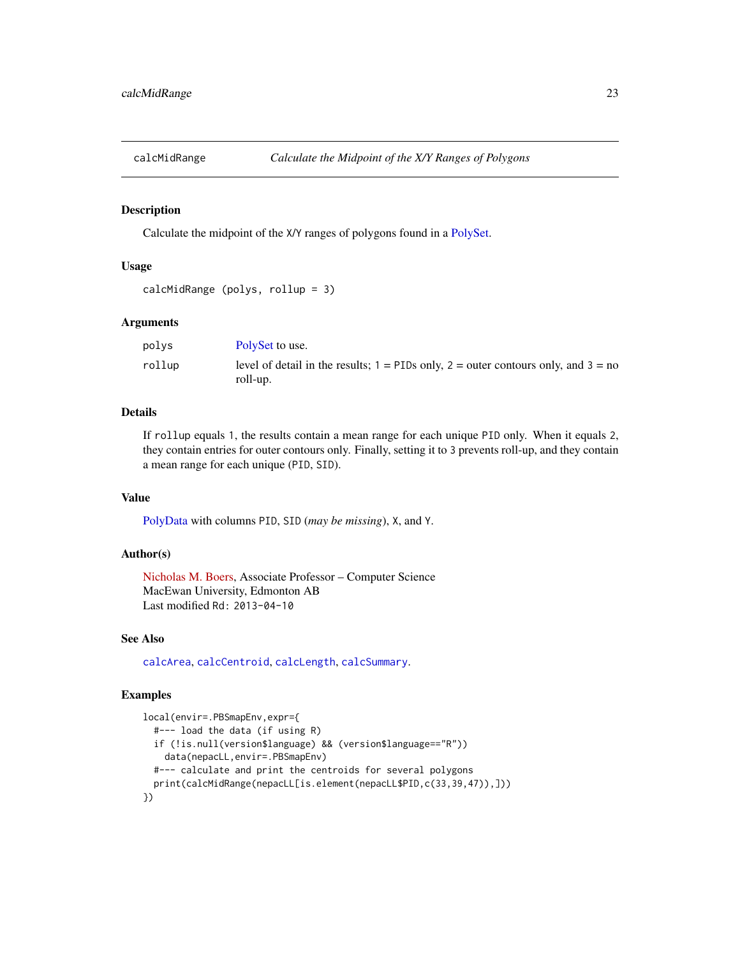<span id="page-22-1"></span><span id="page-22-0"></span>

Calculate the midpoint of the X/Y ranges of polygons found in a [PolySet.](#page-77-1)

# Usage

```
calcMidRange (polys, rollup = 3)
```
### Arguments

| polys  | PolySet to use.                                                                                      |
|--------|------------------------------------------------------------------------------------------------------|
| rollup | level of detail in the results; $1 =$ PIDs only, $2 =$ outer contours only, and $3 =$ no<br>roll-up. |

# Details

If rollup equals 1, the results contain a mean range for each unique PID only. When it equals 2, they contain entries for outer contours only. Finally, setting it to 3 prevents roll-up, and they contain a mean range for each unique (PID, SID).

# Value

[PolyData](#page-76-1) with columns PID, SID (*may be missing*), X, and Y.

#### Author(s)

[Nicholas M. Boers,](https://academic.macewan.ca/boersn/) Associate Professor – Computer Science MacEwan University, Edmonton AB Last modified Rd: 2013-04-10

# See Also

[calcArea](#page-15-1), [calcCentroid](#page-17-1), [calcLength](#page-20-1), [calcSummary](#page-23-1).

```
local(envir=.PBSmapEnv,expr={
 #--- load the data (if using R)
 if (!is.null(version$language) && (version$language=="R"))
    data(nepacLL,envir=.PBSmapEnv)
 #--- calculate and print the centroids for several polygons
 print(calcMidRange(nepacLL[is.element(nepacLL$PID,c(33,39,47)),]))
})
```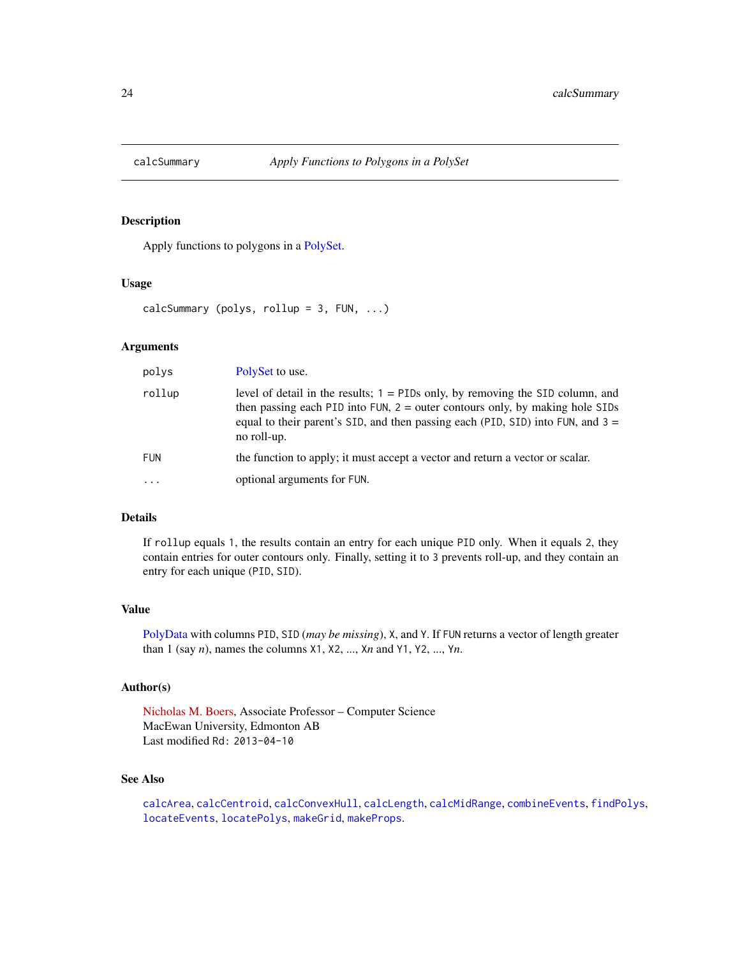<span id="page-23-1"></span><span id="page-23-0"></span>

Apply functions to polygons in a [PolySet.](#page-77-1)

#### Usage

```
calcSummary (polys, rollup = 3, FUN, ...)
```
# Arguments

| polys      | PolySet to use.                                                                                                                                                                                                                                                        |  |
|------------|------------------------------------------------------------------------------------------------------------------------------------------------------------------------------------------------------------------------------------------------------------------------|--|
| rollup     | level of detail in the results; $1 =$ PIDs only, by removing the SID column, and<br>then passing each PID into FUN, $2 =$ outer contours only, by making hole SIDs<br>equal to their parent's SID, and then passing each (PID, SID) into FUN, and $3 =$<br>no roll-up. |  |
| <b>FUN</b> | the function to apply; it must accept a vector and return a vector or scalar.                                                                                                                                                                                          |  |
| $\cdot$    | optional arguments for FUN.                                                                                                                                                                                                                                            |  |

# Details

If rollup equals 1, the results contain an entry for each unique PID only. When it equals 2, they contain entries for outer contours only. Finally, setting it to 3 prevents roll-up, and they contain an entry for each unique (PID, SID).

#### Value

[PolyData](#page-76-1) with columns PID, SID (*may be missing*), X, and Y. If FUN returns a vector of length greater than 1 (say *n*), names the columns X1, X2, ..., X*n* and Y1, Y2, ..., Y*n*.

# Author(s)

[Nicholas M. Boers,](https://academic.macewan.ca/boersn/) Associate Professor – Computer Science MacEwan University, Edmonton AB Last modified Rd: 2013-04-10

# See Also

[calcArea](#page-15-1), [calcCentroid](#page-17-1), [calcConvexHull](#page-18-1), [calcLength](#page-20-1), [calcMidRange](#page-22-1), [combineEvents](#page-29-1), [findPolys](#page-41-1), [locateEvents](#page-55-1), [locatePolys](#page-56-1), [makeGrid](#page-59-1), [makeProps](#page-60-1).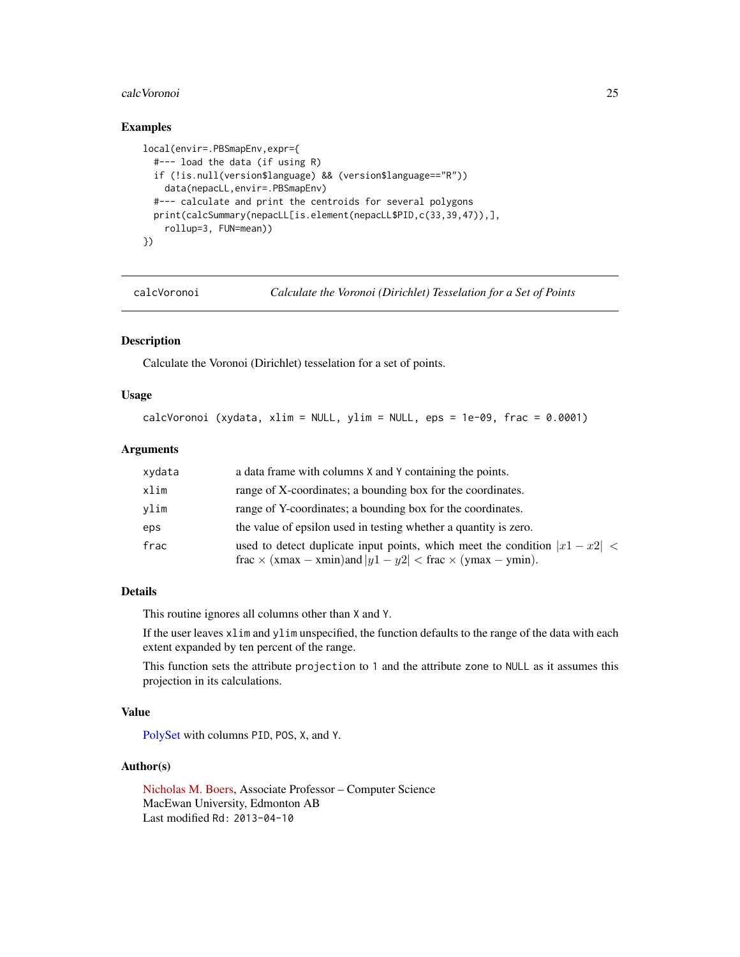#### <span id="page-24-0"></span>calcVoronoi 25

# Examples

```
local(envir=.PBSmapEnv,expr={
  #--- load the data (if using R)
  if (!is.null(version$language) && (version$language=="R"))
   data(nepacLL,envir=.PBSmapEnv)
  #--- calculate and print the centroids for several polygons
  print(calcSummary(nepacLL[is.element(nepacLL$PID,c(33,39,47)),],
    rollup=3, FUN=mean))
})
```
calcVoronoi *Calculate the Voronoi (Dirichlet) Tesselation for a Set of Points*

# Description

Calculate the Voronoi (Dirichlet) tesselation for a set of points.

#### Usage

```
calcVoronoi (xydata, xlim = NULL, ylim = NULL, eps = 1e-09, frac = 0.0001)
```
### Arguments

| xydata | a data frame with columns X and Y containing the points.                                                                                                   |
|--------|------------------------------------------------------------------------------------------------------------------------------------------------------------|
| xlim   | range of X-coordinates; a bounding box for the coordinates.                                                                                                |
| vlim   | range of Y-coordinates; a bounding box for the coordinates.                                                                                                |
| eps    | the value of epsilon used in testing whether a quantity is zero.                                                                                           |
| frac   | used to detect duplicate input points, which meet the condition $ x_1 - x_2 $<br>frac $\times$ (xmax – xmin)and $ y1 - y2 $ < frac $\times$ (ymax – ymin). |

# Details

This routine ignores all columns other than X and Y.

If the user leaves xlim and ylim unspecified, the function defaults to the range of the data with each extent expanded by ten percent of the range.

This function sets the attribute projection to 1 and the attribute zone to NULL as it assumes this projection in its calculations.

# Value

[PolySet](#page-77-1) with columns PID, POS, X, and Y.

# Author(s)

[Nicholas M. Boers,](https://academic.macewan.ca/boersn/) Associate Professor – Computer Science MacEwan University, Edmonton AB Last modified Rd: 2013-04-10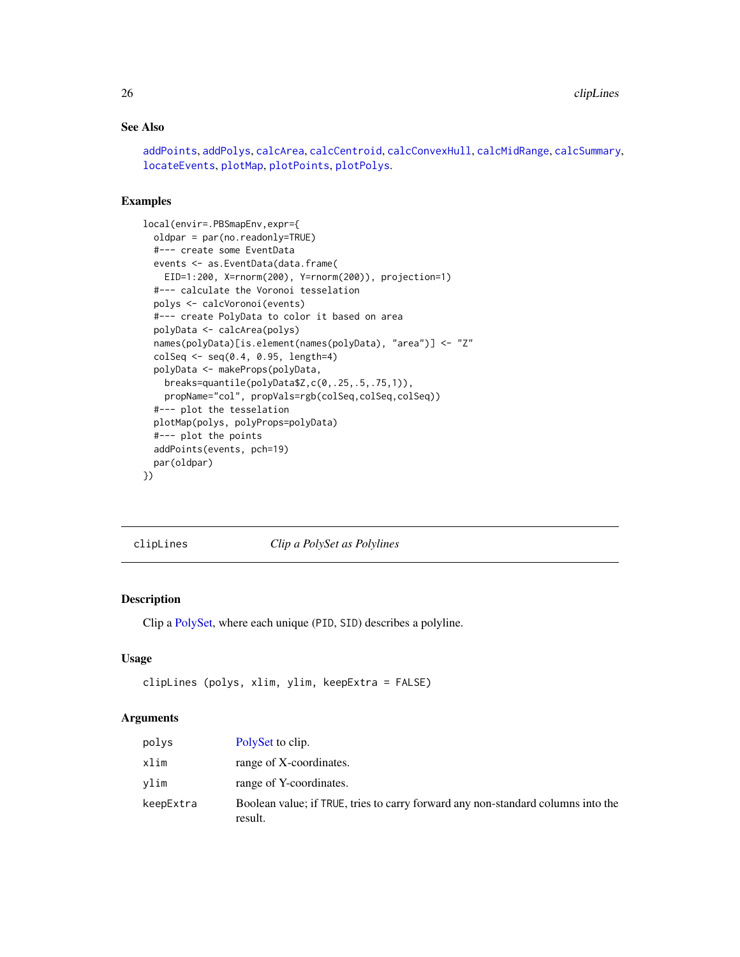# <span id="page-25-0"></span>See Also

```
addPoints, addPolys, calcArea, calcCentroid, calcConvexHull, calcMidRange, calcSummary,
locateEvents, plotMap, plotPoints, plotPolys.
```
#### Examples

```
local(envir=.PBSmapEnv,expr={
  oldpar = par(no.readonly=TRUE)
  #--- create some EventData
  events <- as.EventData(data.frame(
   EID=1:200, X=rnorm(200), Y=rnorm(200)), projection=1)
  #--- calculate the Voronoi tesselation
  polys <- calcVoronoi(events)
  #--- create PolyData to color it based on area
  polyData <- calcArea(polys)
  names(polyData)[is.element(names(polyData), "area")] <- "Z"
  colSeq \leq seq(0.4, 0.95, length=4)polyData <- makeProps(polyData,
   breaks=quantile(polyData$Z,c(0,.25,.5,.75,1)),
   propName="col", propVals=rgb(colSeq,colSeq,colSeq))
  #--- plot the tesselation
  plotMap(polys, polyProps=polyData)
  #--- plot the points
  addPoints(events, pch=19)
  par(oldpar)
})
```
<span id="page-25-1"></span>clipLines *Clip a PolySet as Polylines*

# Description

Clip a [PolySet,](#page-77-1) where each unique (PID, SID) describes a polyline.

#### Usage

```
clipLines (polys, xlim, ylim, keepExtra = FALSE)
```
# Arguments

| polvs     | PolySet to clip.                                                                            |
|-----------|---------------------------------------------------------------------------------------------|
| xlim      | range of X-coordinates.                                                                     |
| vlim      | range of Y-coordinates.                                                                     |
| keepExtra | Boolean value; if TRUE, tries to carry forward any non-standard columns into the<br>result. |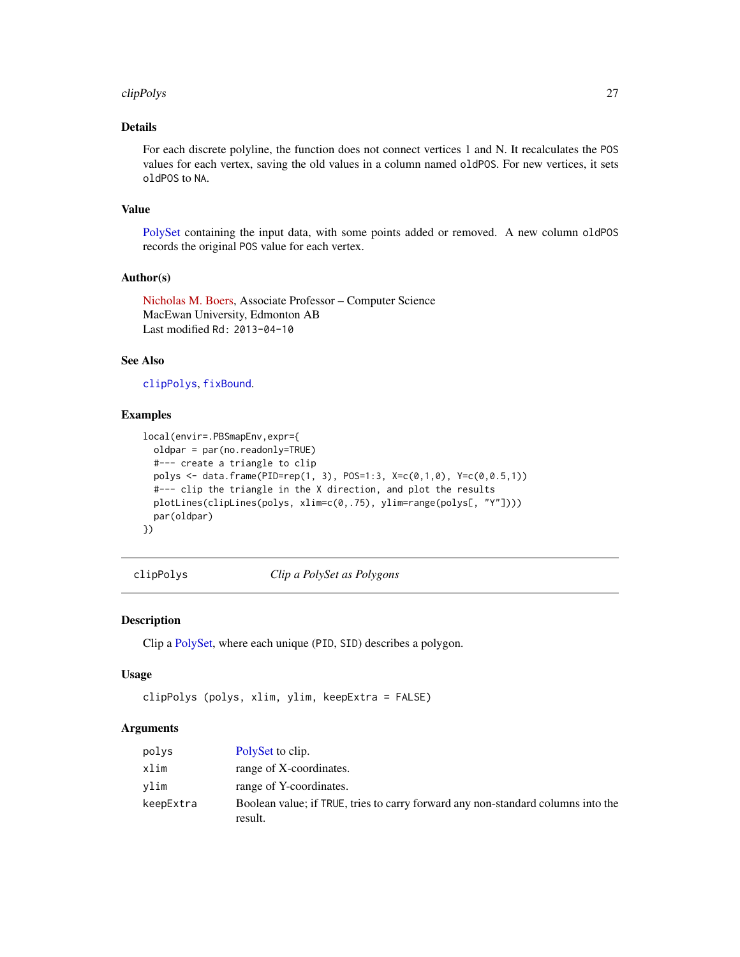#### <span id="page-26-0"></span>clipPolys 27

# Details

For each discrete polyline, the function does not connect vertices 1 and N. It recalculates the POS values for each vertex, saving the old values in a column named oldPOS. For new vertices, it sets oldPOS to NA.

#### Value

[PolySet](#page-77-1) containing the input data, with some points added or removed. A new column oldPOS records the original POS value for each vertex.

# Author(s)

[Nicholas M. Boers,](https://academic.macewan.ca/boersn/) Associate Professor – Computer Science MacEwan University, Edmonton AB Last modified Rd: 2013-04-10

#### See Also

[clipPolys](#page-26-1), [fixBound](#page-42-1).

#### Examples

```
local(envir=.PBSmapEnv,expr={
  oldpar = par(no.readonly=TRUE)
  #--- create a triangle to clip
  polys <- data.frame(PID=rep(1, 3), POS=1:3, X=c(0,1,0), Y=c(0,0.5,1))
  #--- clip the triangle in the X direction, and plot the results
  plotLines(clipLines(polys, xlim=c(0,.75), ylim=range(polys[, "Y"])))
  par(oldpar)
})
```
<span id="page-26-1"></span>clipPolys *Clip a PolySet as Polygons*

# Description

Clip a [PolySet,](#page-77-1) where each unique (PID, SID) describes a polygon.

#### Usage

```
clipPolys (polys, xlim, ylim, keepExtra = FALSE)
```
# Arguments

| polys     | PolySet to clip.                                                                            |
|-----------|---------------------------------------------------------------------------------------------|
| xlim      | range of X-coordinates.                                                                     |
| vlim      | range of Y-coordinates.                                                                     |
| keepExtra | Boolean value; if TRUE, tries to carry forward any non-standard columns into the<br>result. |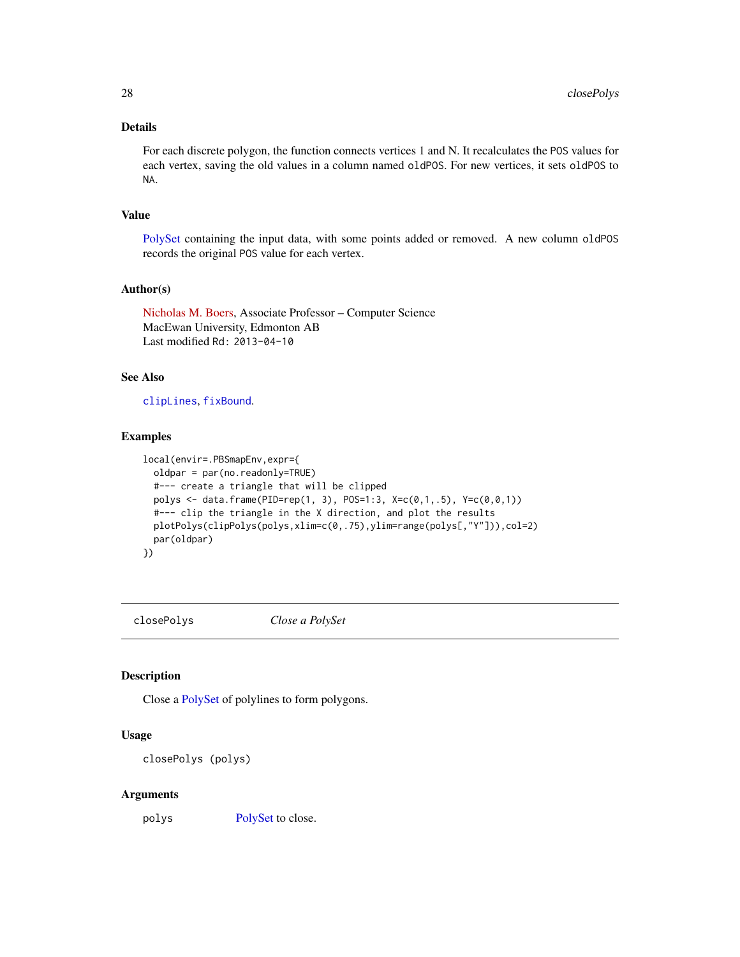# Details

For each discrete polygon, the function connects vertices 1 and N. It recalculates the POS values for each vertex, saving the old values in a column named oldPOS. For new vertices, it sets oldPOS to NA.

#### Value

[PolySet](#page-77-1) containing the input data, with some points added or removed. A new column oldPOS records the original POS value for each vertex.

#### Author(s)

[Nicholas M. Boers,](https://academic.macewan.ca/boersn/) Associate Professor – Computer Science MacEwan University, Edmonton AB Last modified Rd: 2013-04-10

# See Also

[clipLines](#page-25-1), [fixBound](#page-42-1).

#### Examples

```
local(envir=.PBSmapEnv,expr={
  oldpar = par(no.readonly=TRUE)
  #--- create a triangle that will be clipped
  polys <- data.frame(PID=rep(1, 3), POS=1:3, X=c(0,1,.5), Y=c(0,0,1))
  #--- clip the triangle in the X direction, and plot the results
  plotPolys(clipPolys(polys,xlim=c(0,.75),ylim=range(polys[,"Y"])),col=2)
  par(oldpar)
})
```
<span id="page-27-1"></span>closePolys *Close a PolySet*

#### Description

Close a [PolySet](#page-77-1) of polylines to form polygons.

# Usage

closePolys (polys)

#### Arguments

polys [PolySet](#page-77-1) to close.

<span id="page-27-0"></span>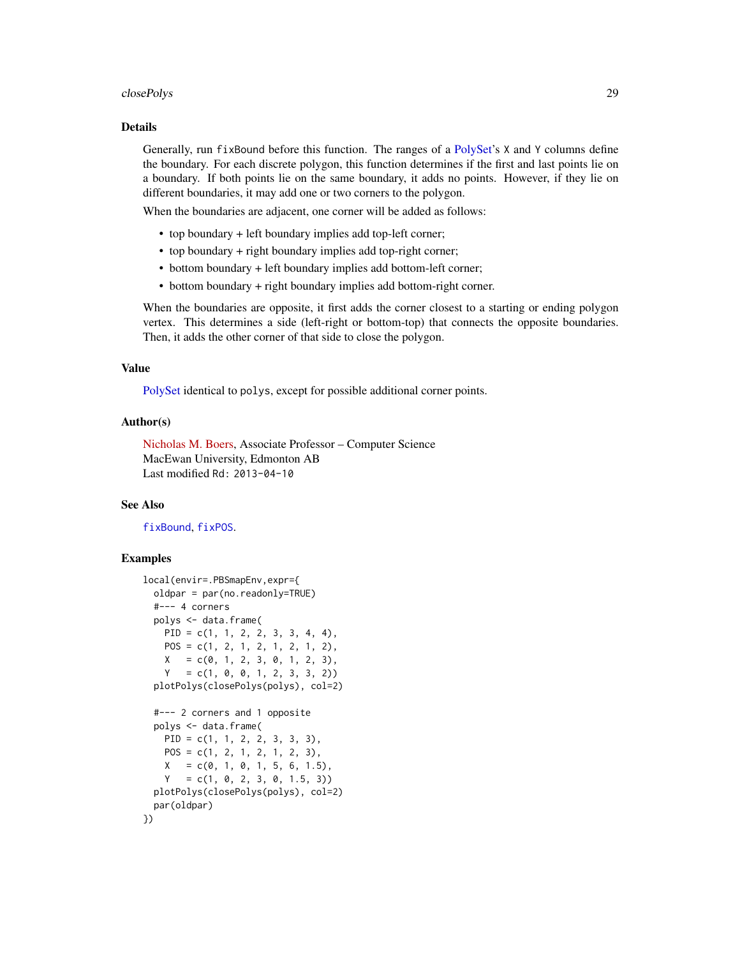#### closePolys 29

#### Details

Generally, run fixBound before this function. The ranges of a [PolySet'](#page-77-1)s X and Y columns define the boundary. For each discrete polygon, this function determines if the first and last points lie on a boundary. If both points lie on the same boundary, it adds no points. However, if they lie on different boundaries, it may add one or two corners to the polygon.

When the boundaries are adjacent, one corner will be added as follows:

- top boundary + left boundary implies add top-left corner;
- top boundary + right boundary implies add top-right corner;
- bottom boundary + left boundary implies add bottom-left corner;
- bottom boundary + right boundary implies add bottom-right corner.

When the boundaries are opposite, it first adds the corner closest to a starting or ending polygon vertex. This determines a side (left-right or bottom-top) that connects the opposite boundaries. Then, it adds the other corner of that side to close the polygon.

# Value

[PolySet](#page-77-1) identical to polys, except for possible additional corner points.

#### Author(s)

[Nicholas M. Boers,](https://academic.macewan.ca/boersn/) Associate Professor – Computer Science MacEwan University, Edmonton AB Last modified Rd: 2013-04-10

# See Also

[fixBound](#page-42-1), [fixPOS](#page-43-1).

```
local(envir=.PBSmapEnv,expr={
 oldpar = par(no.readonly=TRUE)
 #--- 4 corners
 polys <- data.frame(
   PID = c(1, 1, 2, 2, 3, 3, 4, 4),
   POS = c(1, 2, 1, 2, 1, 2, 1, 2),
   X = c(0, 1, 2, 3, 0, 1, 2, 3)Y = c(1, 0, 0, 1, 2, 3, 3, 2))plotPolys(closePolys(polys), col=2)
 #--- 2 corners and 1 opposite
 polys <- data.frame(
   PID = c(1, 1, 2, 2, 3, 3, 3),
   POS = c(1, 2, 1, 2, 1, 2, 3),X = c(0, 1, 0, 1, 5, 6, 1.5)Y = c(1, 0, 2, 3, 0, 1.5, 3))plotPolys(closePolys(polys), col=2)
 par(oldpar)
})
```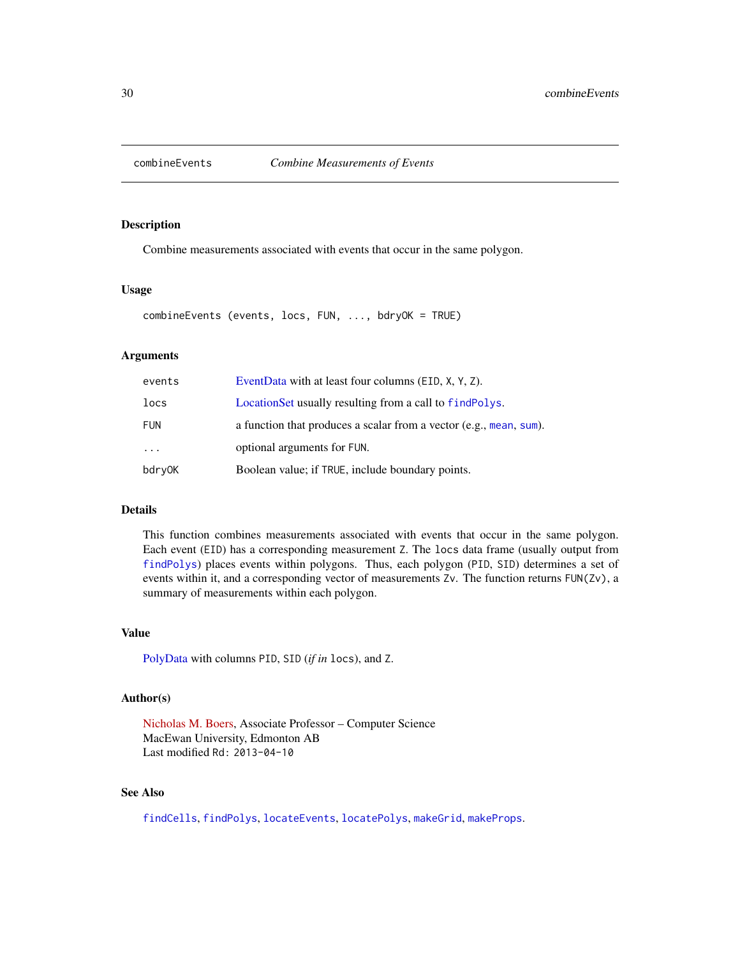<span id="page-29-1"></span><span id="page-29-0"></span>

Combine measurements associated with events that occur in the same polygon.

#### Usage

combineEvents (events, locs, FUN, ..., bdryOK = TRUE)

#### Arguments

| events     | EventData with at least four columns (EID, X, Y, Z).               |
|------------|--------------------------------------------------------------------|
| locs       | Location Set usually resulting from a call to find Polys.          |
| <b>FUN</b> | a function that produces a scalar from a vector (e.g., mean, sum). |
| $\ddots$   | optional arguments for FUN.                                        |
| bdryOK     | Boolean value; if TRUE, include boundary points.                   |

#### Details

This function combines measurements associated with events that occur in the same polygon. Each event (EID) has a corresponding measurement Z. The locs data frame (usually output from [findPolys](#page-41-1)) places events within polygons. Thus, each polygon (PID, SID) determines a set of events within it, and a corresponding vector of measurements Zv. The function returns FUN(Zv), a summary of measurements within each polygon.

# Value

[PolyData](#page-76-1) with columns PID, SID (*if in* locs), and Z.

#### Author(s)

[Nicholas M. Boers,](https://academic.macewan.ca/boersn/) Associate Professor – Computer Science MacEwan University, Edmonton AB Last modified Rd: 2013-04-10

# See Also

[findCells](#page-39-1), [findPolys](#page-41-1), [locateEvents](#page-55-1), [locatePolys](#page-56-1), [makeGrid](#page-59-1), [makeProps](#page-60-1).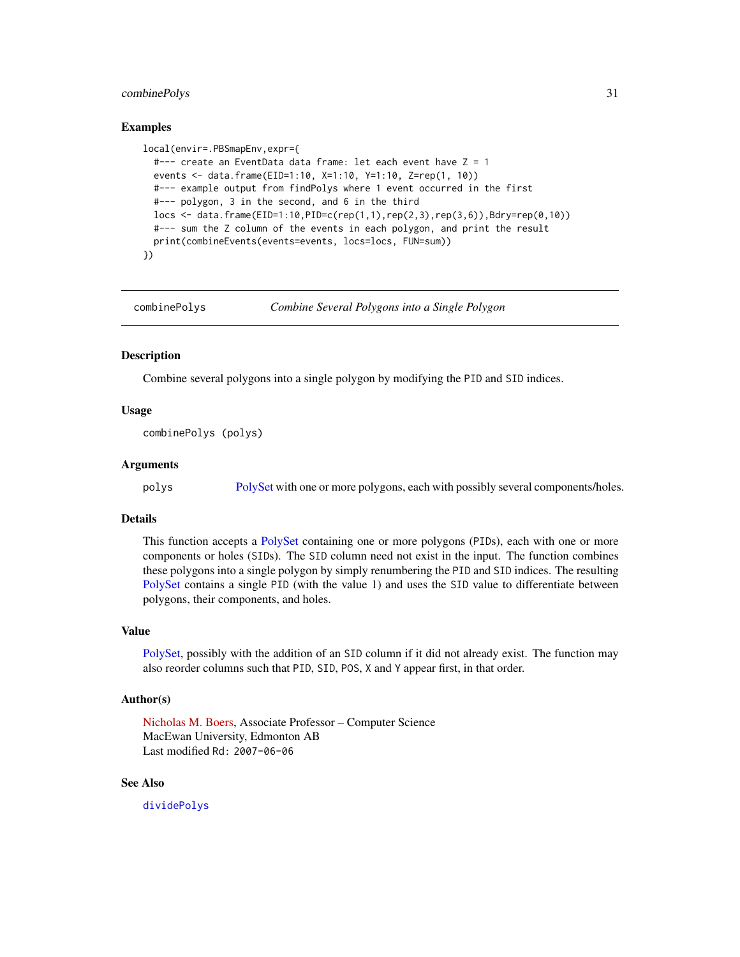# <span id="page-30-0"></span>combinePolys 31

#### Examples

```
local(envir=.PBSmapEnv,expr={
  #--- create an EventData data frame: let each event have Z = 1
  events <- data.frame(EID=1:10, X=1:10, Y=1:10, Z=rep(1, 10))
  #--- example output from findPolys where 1 event occurred in the first
  #--- polygon, 3 in the second, and 6 in the third
  locs <- data.frame(EID=1:10,PID=c(rep(1,1),rep(2,3),rep(3,6)),Bdry=rep(0,10))
  #--- sum the Z column of the events in each polygon, and print the result
  print(combineEvents(events=events, locs=locs, FUN=sum))
})
```
combinePolys *Combine Several Polygons into a Single Polygon*

#### Description

Combine several polygons into a single polygon by modifying the PID and SID indices.

# Usage

combinePolys (polys)

#### Arguments

polys [PolySet](#page-77-1) with one or more polygons, each with possibly several components/holes.

# Details

This function accepts a [PolySet](#page-77-1) containing one or more polygons (PIDs), each with one or more components or holes (SIDs). The SID column need not exist in the input. The function combines these polygons into a single polygon by simply renumbering the PID and SID indices. The resulting [PolySet](#page-77-1) contains a single PID (with the value 1) and uses the SID value to differentiate between polygons, their components, and holes.

#### Value

[PolySet,](#page-77-1) possibly with the addition of an SID column if it did not already exist. The function may also reorder columns such that PID, SID, POS, X and Y appear first, in that order.

#### Author(s)

[Nicholas M. Boers,](https://academic.macewan.ca/boersn/) Associate Professor – Computer Science MacEwan University, Edmonton AB Last modified Rd: 2007-06-06

#### See Also

[dividePolys](#page-36-1)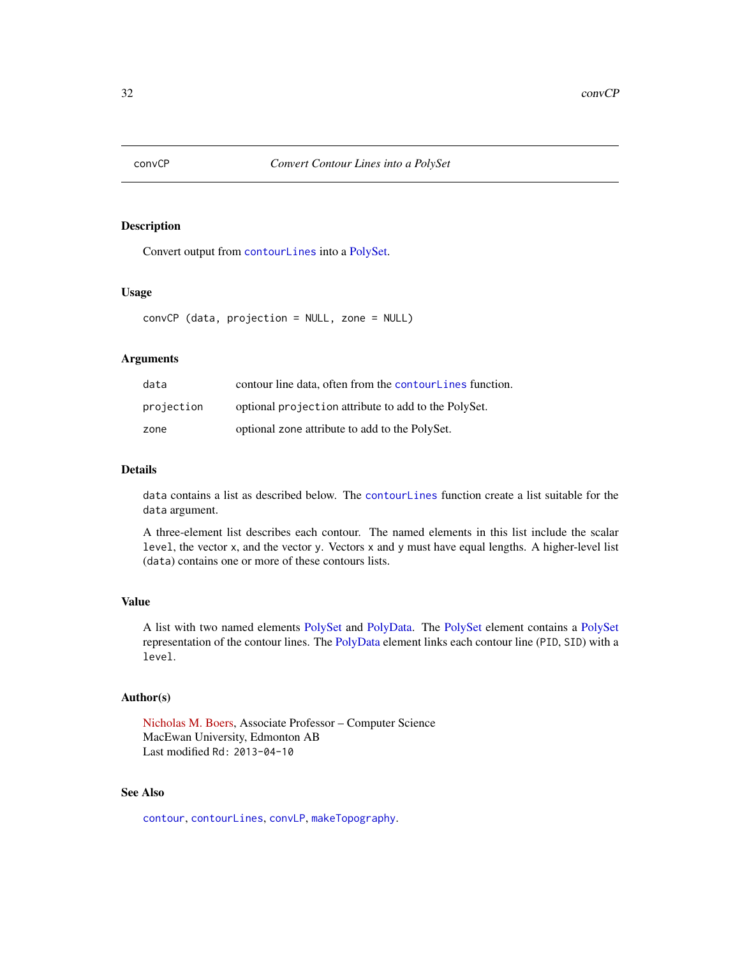<span id="page-31-1"></span><span id="page-31-0"></span>

Convert output from [contourLines](#page-0-0) into a [PolySet.](#page-77-1)

# Usage

convCP (data, projection = NULL, zone = NULL)

# Arguments

| data       | contour line data, often from the contour Lines function. |
|------------|-----------------------------------------------------------|
| projection | optional projection attribute to add to the PolySet.      |
| zone       | optional zone attribute to add to the PolySet.            |

# Details

data contains a list as described below. The [contourLines](#page-0-0) function create a list suitable for the data argument.

A three-element list describes each contour. The named elements in this list include the scalar level, the vector x, and the vector y. Vectors x and y must have equal lengths. A higher-level list (data) contains one or more of these contours lists.

#### Value

A list with two named elements [PolySet](#page-77-1) and [PolyData.](#page-76-1) The [PolySet](#page-77-1) element contains a [PolySet](#page-77-1) representation of the contour lines. The [PolyData](#page-76-1) element links each contour line (PID, SID) with a level.

# Author(s)

[Nicholas M. Boers,](https://academic.macewan.ca/boersn/) Associate Professor – Computer Science MacEwan University, Edmonton AB Last modified Rd: 2013-04-10

# See Also

[contour](#page-0-0), [contourLines](#page-0-0), [convLP](#page-33-1), [makeTopography](#page-62-1).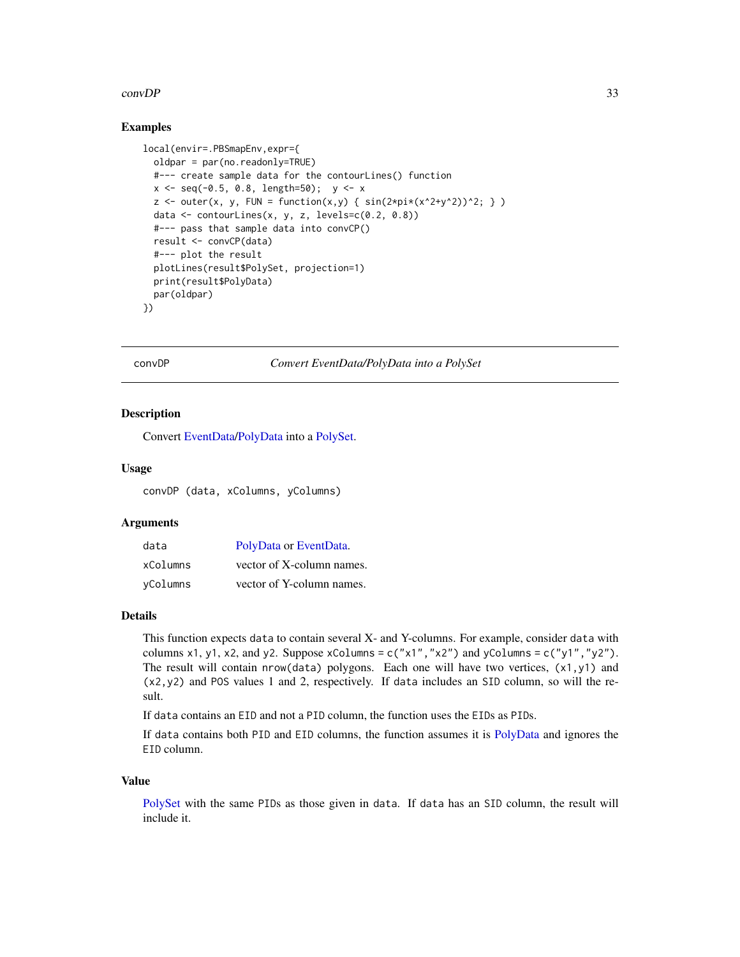#### <span id="page-32-0"></span>convDP 33

# Examples

```
local(envir=.PBSmapEnv,expr={
 oldpar = par(no.readonly=TRUE)
 #--- create sample data for the contourLines() function
 x \le - seq(-0.5, 0.8, length=50); y \le -xz \le outer(x, y, FUN = function(x,y) { sin(2*pi*(x^2+y^2))^2; } )
 data <- contourLines(x, y, z, levels=c(0.2, 0.8))
 #--- pass that sample data into convCP()
 result <- convCP(data)
 #--- plot the result
 plotLines(result$PolySet, projection=1)
 print(result$PolyData)
 par(oldpar)
})
```
#### convDP *Convert EventData/PolyData into a PolySet*

#### Description

Convert [EventData](#page-37-1)[/PolyData](#page-76-1) into a [PolySet.](#page-77-1)

#### Usage

convDP (data, xColumns, yColumns)

#### **Arguments**

| data     | PolyData or EventData.    |
|----------|---------------------------|
| xColumns | vector of X-column names. |
| yColumns | vector of Y-column names. |

#### Details

This function expects data to contain several X- and Y-columns. For example, consider data with columns x1, y1, x2, and y2. Suppose xColumns =  $c("x1", "x2")$  and yColumns =  $c("y1", "y2")$ . The result will contain nrow(data) polygons. Each one will have two vertices, (x1,y1) and (x2,y2) and POS values 1 and 2, respectively. If data includes an SID column, so will the result.

If data contains an EID and not a PID column, the function uses the EIDs as PIDs.

If data contains both PID and EID columns, the function assumes it is [PolyData](#page-76-1) and ignores the EID column.

#### Value

[PolySet](#page-77-1) with the same PIDs as those given in data. If data has an SID column, the result will include it.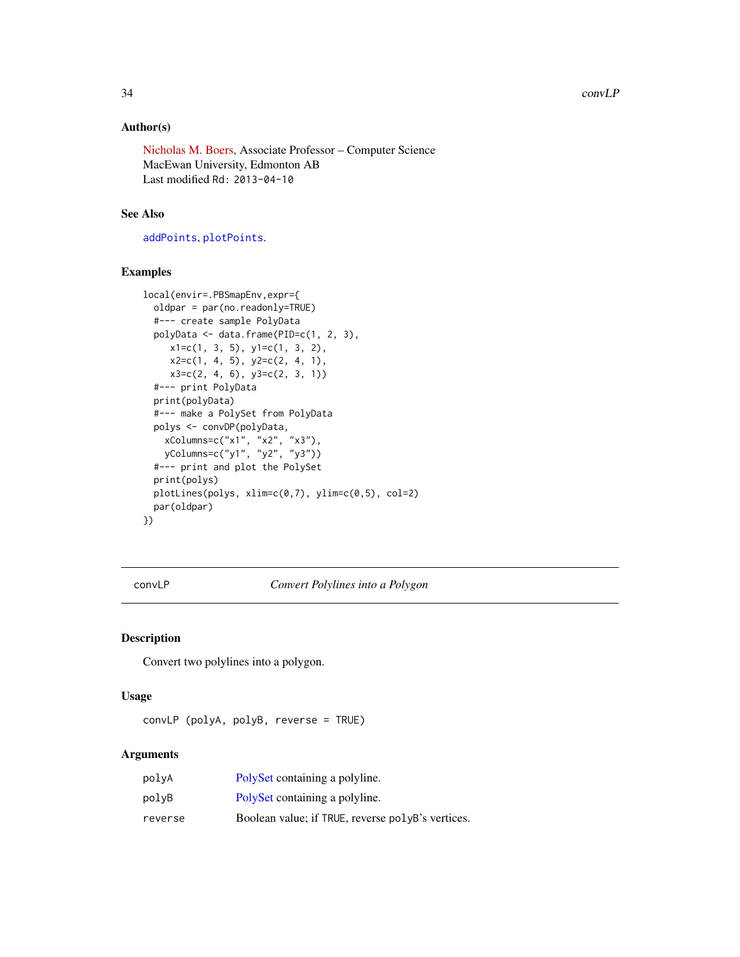# <span id="page-33-0"></span>Author(s)

[Nicholas M. Boers,](https://academic.macewan.ca/boersn/) Associate Professor – Computer Science MacEwan University, Edmonton AB Last modified Rd: 2013-04-10

# See Also

[addPoints](#page-9-1), [plotPoints](#page-72-1).

# Examples

```
local(envir=.PBSmapEnv,expr={
  oldpar = par(no.readonly=TRUE)
  #--- create sample PolyData
  polyData <- data.frame(PID=c(1, 2, 3),
    x1=c(1, 3, 5), y1=c(1, 3, 2),x2=c(1, 4, 5), y2=c(2, 4, 1),x3=c(2, 4, 6), y3=c(2, 3, 1))
  #--- print PolyData
  print(polyData)
  #--- make a PolySet from PolyData
  polys <- convDP(polyData,
    xColumns=c("x1", "x2", "x3"),
    yColumns=c("y1", "y2", "y3"))
  #--- print and plot the PolySet
  print(polys)
  plotLines(polys, xlim=c(0,7), ylim=c(0,5), col=2)
  par(oldpar)
})
```
<span id="page-33-1"></span>convLP *Convert Polylines into a Polygon*

# Description

Convert two polylines into a polygon.

# Usage

```
convLP (polyA, polyB, reverse = TRUE)
```
# Arguments

| polyA   | PolySet containing a polyline.                    |
|---------|---------------------------------------------------|
| polvB   | PolySet containing a polyline.                    |
| reverse | Boolean value; if TRUE, reverse polyB's vertices. |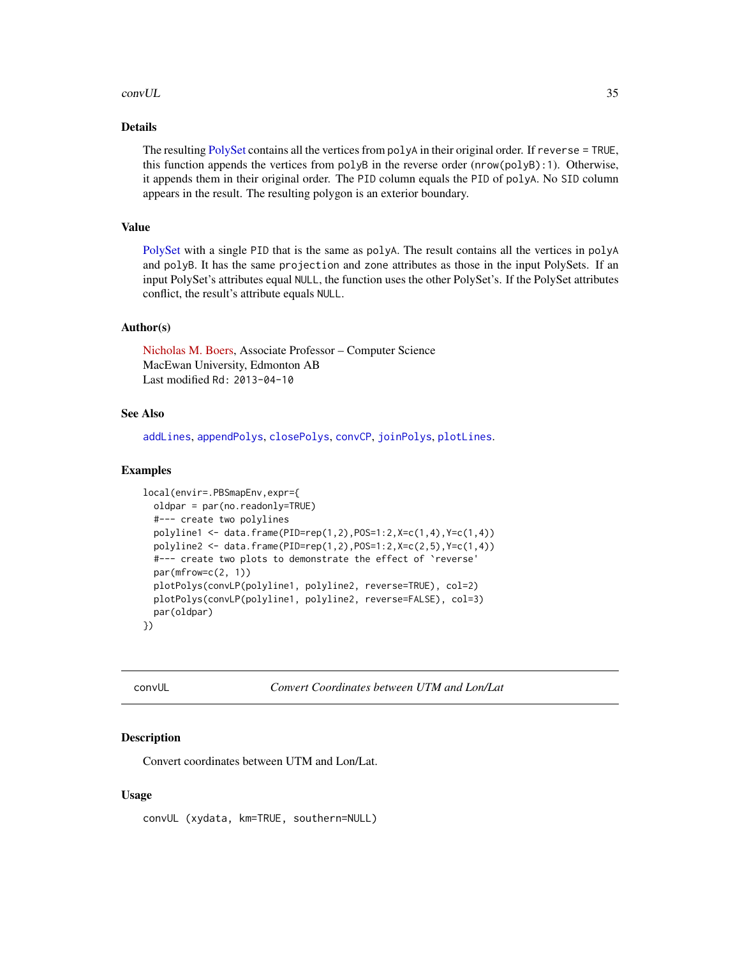#### <span id="page-34-0"></span>convUL 35

# Details

The resulting [PolySet](#page-77-1) contains all the vertices from polyA in their original order. If reverse = TRUE, this function appends the vertices from polyB in the reverse order (nrow(polyB):1). Otherwise, it appends them in their original order. The PID column equals the PID of polyA. No SID column appears in the result. The resulting polygon is an exterior boundary.

# Value

[PolySet](#page-77-1) with a single PID that is the same as polyA. The result contains all the vertices in polyA and polyB. It has the same projection and zone attributes as those in the input PolySets. If an input PolySet's attributes equal NULL, the function uses the other PolySet's. If the PolySet attributes conflict, the result's attribute equals NULL.

#### Author(s)

[Nicholas M. Boers,](https://academic.macewan.ca/boersn/) Associate Professor – Computer Science MacEwan University, Edmonton AB Last modified Rd: 2013-04-10

# See Also

[addLines](#page-8-1), [appendPolys](#page-13-1), [closePolys](#page-27-1), [convCP](#page-31-1), [joinPolys](#page-53-1), [plotLines](#page-67-1).

#### Examples

```
local(envir=.PBSmapEnv,expr={
 oldpar = par(no.readonly=TRUE)
 #--- create two polylines
 polyline1 <- data.frame(PID=rep(1,2),POS=1:2,X=c(1,4),Y=c(1,4))
 polyline2 <- data.frame(PID=rep(1,2),POS=1:2,X=c(2,5),Y=c(1,4))
 #--- create two plots to demonstrate the effect of `reverse'
 par(mfrow=c(2, 1))
 plotPolys(convLP(polyline1, polyline2, reverse=TRUE), col=2)
 plotPolys(convLP(polyline1, polyline2, reverse=FALSE), col=3)
 par(oldpar)
})
```
convUL *Convert Coordinates between UTM and Lon/Lat*

#### Description

Convert coordinates between UTM and Lon/Lat.

#### Usage

convUL (xydata, km=TRUE, southern=NULL)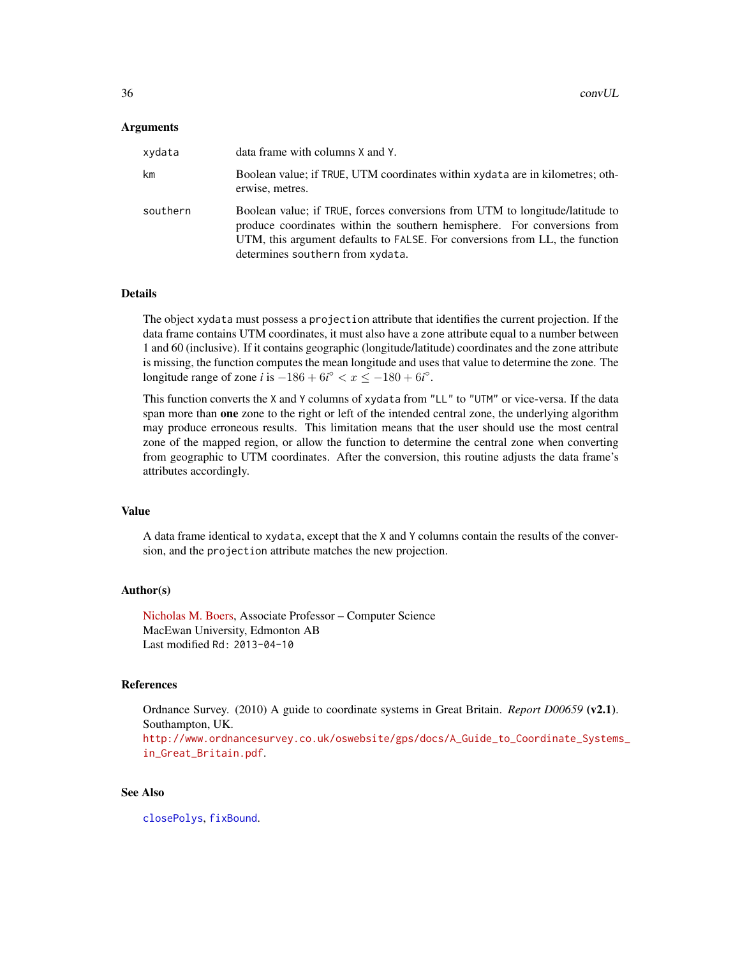#### Arguments

| xydata   | data frame with columns X and Y.                                                                                                                                                                                                                                            |
|----------|-----------------------------------------------------------------------------------------------------------------------------------------------------------------------------------------------------------------------------------------------------------------------------|
| km       | Boolean value; if TRUE, UTM coordinates within xydata are in kilometres; oth-<br>erwise, metres.                                                                                                                                                                            |
| southern | Boolean value; if TRUE, forces conversions from UTM to longitude/latitude to<br>produce coordinates within the southern hemisphere. For conversions from<br>UTM, this argument defaults to FALSE. For conversions from LL, the function<br>determines southern from xydata. |

# Details

The object xydata must possess a projection attribute that identifies the current projection. If the data frame contains UTM coordinates, it must also have a zone attribute equal to a number between 1 and 60 (inclusive). If it contains geographic (longitude/latitude) coordinates and the zone attribute is missing, the function computes the mean longitude and uses that value to determine the zone. The longitude range of zone *i* is  $-186 + 6i^{\circ} < x \le -180 + 6i^{\circ}$ .

This function converts the X and Y columns of xydata from "LL" to "UTM" or vice-versa. If the data span more than **one** zone to the right or left of the intended central zone, the underlying algorithm may produce erroneous results. This limitation means that the user should use the most central zone of the mapped region, or allow the function to determine the central zone when converting from geographic to UTM coordinates. After the conversion, this routine adjusts the data frame's attributes accordingly.

# Value

A data frame identical to xydata, except that the X and Y columns contain the results of the conversion, and the projection attribute matches the new projection.

# Author(s)

[Nicholas M. Boers,](https://academic.macewan.ca/boersn/) Associate Professor – Computer Science MacEwan University, Edmonton AB Last modified Rd: 2013-04-10

#### References

Ordnance Survey. (2010) A guide to coordinate systems in Great Britain. *Report D00659* (v2.1). Southampton, UK.

[http://www.ordnancesurvey.co.uk/oswebsite/gps/docs/A\\_Guide\\_to\\_Coordinate\\_Systems](http://www.ordnancesurvey.co.uk/oswebsite/gps/docs/A_Guide_to_Coordinate_Systems_in_Great_Britain.pdf)\_ [in\\_Great\\_Britain.pdf](http://www.ordnancesurvey.co.uk/oswebsite/gps/docs/A_Guide_to_Coordinate_Systems_in_Great_Britain.pdf).

# See Also

[closePolys](#page-27-1), [fixBound](#page-42-1).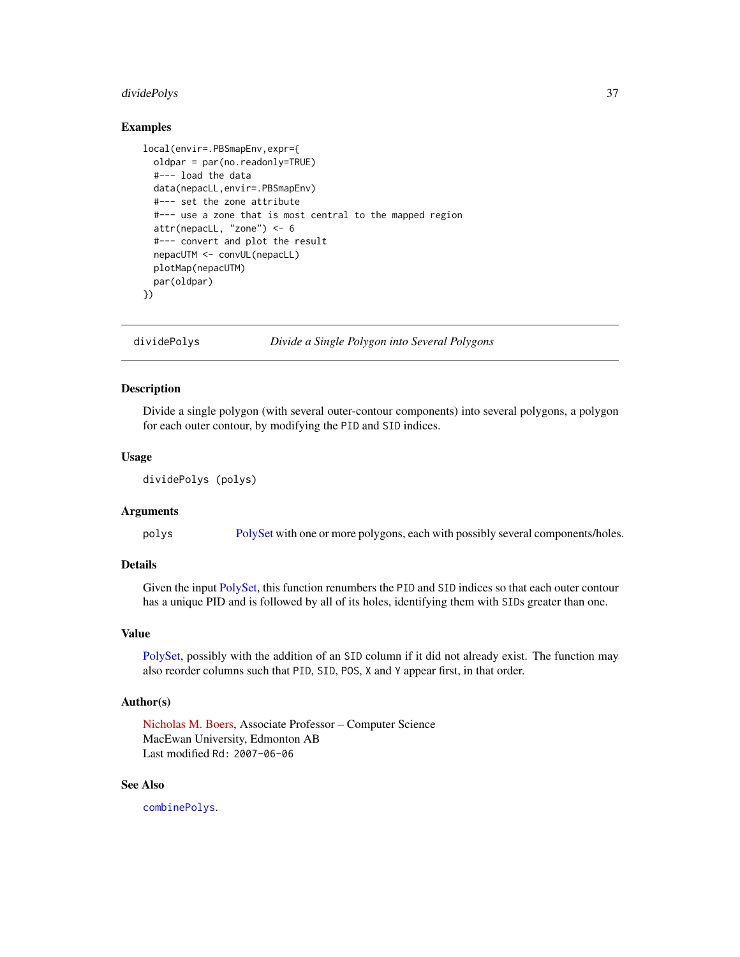# dividePolys 37

## Examples

```
local(envir=.PBSmapEnv,expr={
 oldpar = par(no.readonly=TRUE)
 #--- load the data
 data(nepacLL,envir=.PBSmapEnv)
 #--- set the zone attribute
 #--- use a zone that is most central to the mapped region
 attr(nepacLL, "zone") <- 6
 #--- convert and plot the result
 nepacUTM <- convUL(nepacLL)
 plotMap(nepacUTM)
 par(oldpar)
})
```
dividePolys *Divide a Single Polygon into Several Polygons*

## Description

Divide a single polygon (with several outer-contour components) into several polygons, a polygon for each outer contour, by modifying the PID and SID indices.

# Usage

dividePolys (polys)

# Arguments

polys [PolySet](#page-77-0) with one or more polygons, each with possibly several components/holes.

# Details

Given the input [PolySet,](#page-77-0) this function renumbers the PID and SID indices so that each outer contour has a unique PID and is followed by all of its holes, identifying them with SIDs greater than one.

## Value

[PolySet,](#page-77-0) possibly with the addition of an SID column if it did not already exist. The function may also reorder columns such that PID, SID, POS, X and Y appear first, in that order.

## Author(s)

[Nicholas M. Boers,](https://academic.macewan.ca/boersn/) Associate Professor – Computer Science MacEwan University, Edmonton AB Last modified Rd: 2007-06-06

# See Also

[combinePolys](#page-30-0).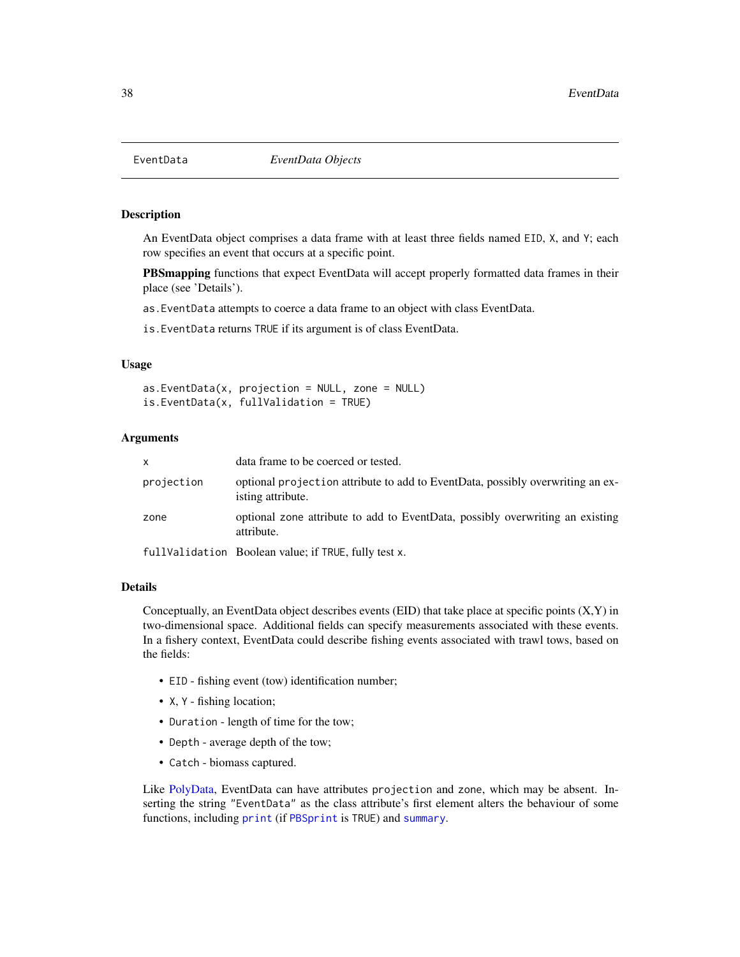<span id="page-37-0"></span>

## Description

An EventData object comprises a data frame with at least three fields named EID, X, and Y; each row specifies an event that occurs at a specific point.

PBSmapping functions that expect EventData will accept properly formatted data frames in their place (see 'Details').

as.EventData attempts to coerce a data frame to an object with class EventData.

is.EventData returns TRUE if its argument is of class EventData.

# Usage

 $as.EventData(x, projection = NULL, zone = NULL)$ is.EventData(x, fullValidation = TRUE)

# Arguments

| x          | data frame to be coerced or tested.                                                                 |
|------------|-----------------------------------------------------------------------------------------------------|
| projection | optional projection attribute to add to EventData, possibly overwriting an ex-<br>isting attribute. |
| zone       | optional zone attribute to add to EventData, possibly overwriting an existing<br>attribute.         |
|            | fullValidation Boolean value; if TRUE, fully test x.                                                |

#### Details

Conceptually, an EventData object describes events  $(ED)$  that take place at specific points  $(X, Y)$  in two-dimensional space. Additional fields can specify measurements associated with these events. In a fishery context, EventData could describe fishing events associated with trawl tows, based on the fields:

- EID fishing event (tow) identification number;
- X, Y fishing location;
- Duration length of time for the tow;
- Depth average depth of the tow;
- Catch biomass captured.

Like [PolyData,](#page-76-0) EventData can have attributes projection and zone, which may be absent. Inserting the string "EventData" as the class attribute's first element alters the behaviour of some functions, including [print](#page-79-0) (if [PBSprint](#page-65-0) is TRUE) and [summary](#page-86-0).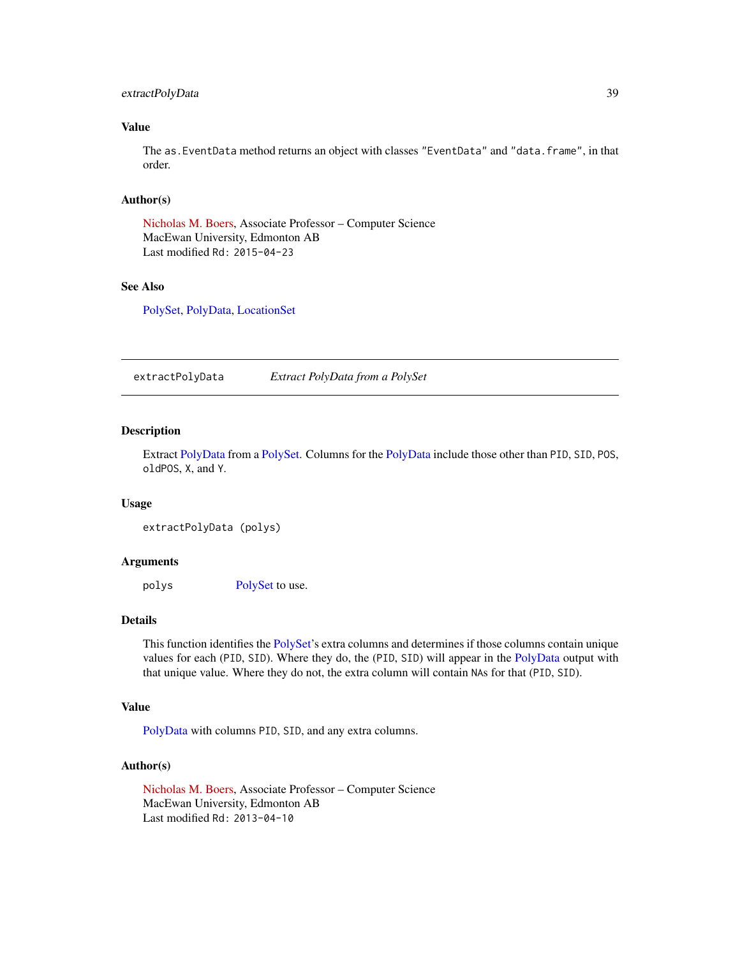# extractPolyData 39

# Value

The as.EventData method returns an object with classes "EventData" and "data.frame", in that order.

#### Author(s)

[Nicholas M. Boers,](https://academic.macewan.ca/boersn/) Associate Professor – Computer Science MacEwan University, Edmonton AB Last modified Rd: 2015-04-23

## See Also

[PolySet,](#page-77-0) [PolyData,](#page-76-0) [LocationSet](#page-58-0)

extractPolyData *Extract PolyData from a PolySet*

# Description

Extract [PolyData](#page-76-0) from a [PolySet.](#page-77-0) Columns for the [PolyData](#page-76-0) include those other than PID, SID, POS, oldPOS, X, and Y.

#### Usage

```
extractPolyData (polys)
```
#### Arguments

polys [PolySet](#page-77-0) to use.

## Details

This function identifies the [PolySet'](#page-77-0)s extra columns and determines if those columns contain unique values for each (PID, SID). Where they do, the (PID, SID) will appear in the [PolyData](#page-76-0) output with that unique value. Where they do not, the extra column will contain NAs for that (PID, SID).

#### Value

[PolyData](#page-76-0) with columns PID, SID, and any extra columns.

#### Author(s)

[Nicholas M. Boers,](https://academic.macewan.ca/boersn/) Associate Professor – Computer Science MacEwan University, Edmonton AB Last modified Rd: 2013-04-10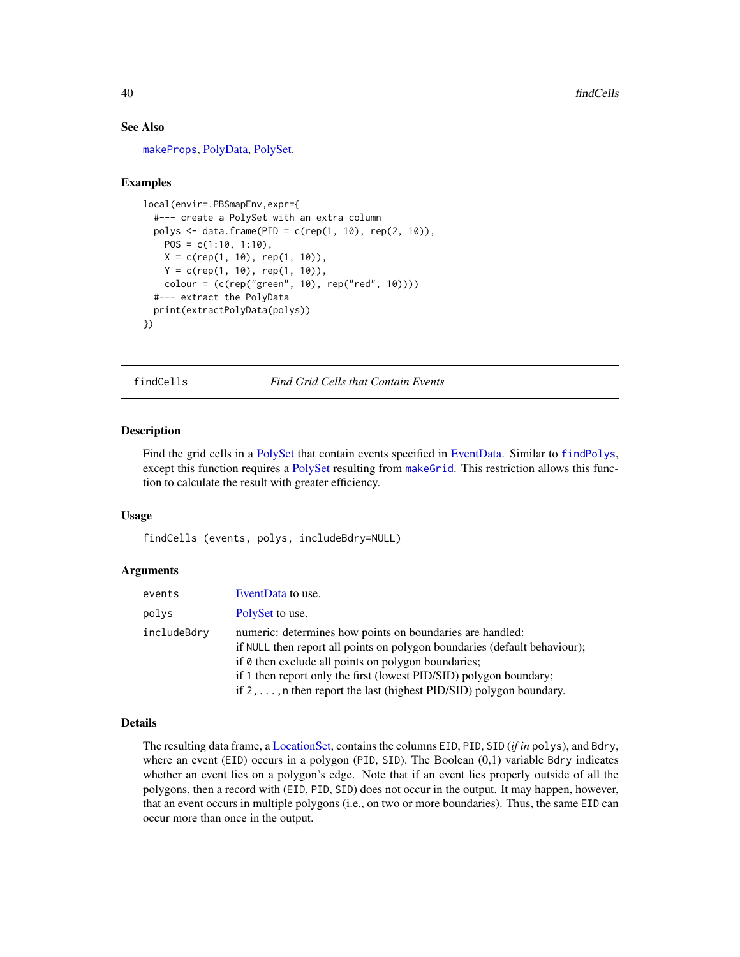## See Also

[makeProps](#page-60-0), [PolyData,](#page-76-0) [PolySet.](#page-77-0)

## Examples

```
local(envir=.PBSmapEnv,expr={
  #--- create a PolySet with an extra column
  polys <- data.frame(PID = c(rep(1, 10), rep(2, 10)),
   POS = c(1:10, 1:10),
   X = c(rep(1, 10), rep(1, 10)),Y = c(rep(1, 10), rep(1, 10)),colour = (c(rep("green", 10), rep("red", 10))))
  #--- extract the PolyData
  print(extractPolyData(polys))
})
```
<span id="page-39-0"></span>findCells *Find Grid Cells that Contain Events*

# **Description**

Find the grid cells in a [PolySet](#page-77-0) that contain events specified in [EventData.](#page-37-0) Similar to [findPolys](#page-41-0), except this function requires a [PolySet](#page-77-0) resulting from [makeGrid](#page-59-0). This restriction allows this function to calculate the result with greater efficiency.

## Usage

findCells (events, polys, includeBdry=NULL)

## Arguments

| events      | EventData to use.                                                                                                                                                                                                                                                                                                                                         |
|-------------|-----------------------------------------------------------------------------------------------------------------------------------------------------------------------------------------------------------------------------------------------------------------------------------------------------------------------------------------------------------|
| polys       | PolySet to use.                                                                                                                                                                                                                                                                                                                                           |
| includeBdry | numeric: determines how points on boundaries are handled:<br>if NULL then report all points on polygon boundaries (default behaviour);<br>if $\theta$ then exclude all points on polygon boundaries;<br>if 1 then report only the first (lowest PID/SID) polygon boundary;<br>if $2, \ldots$ , n then report the last (highest PID/SID) polygon boundary. |

#### Details

The resulting data frame, a [LocationSet,](#page-58-0) contains the columns EID, PID, SID (*if in* polys), and Bdry, where an event (EID) occurs in a polygon (PID, SID). The Boolean (0,1) variable Bdry indicates whether an event lies on a polygon's edge. Note that if an event lies properly outside of all the polygons, then a record with (EID, PID, SID) does not occur in the output. It may happen, however, that an event occurs in multiple polygons (i.e., on two or more boundaries). Thus, the same EID can occur more than once in the output.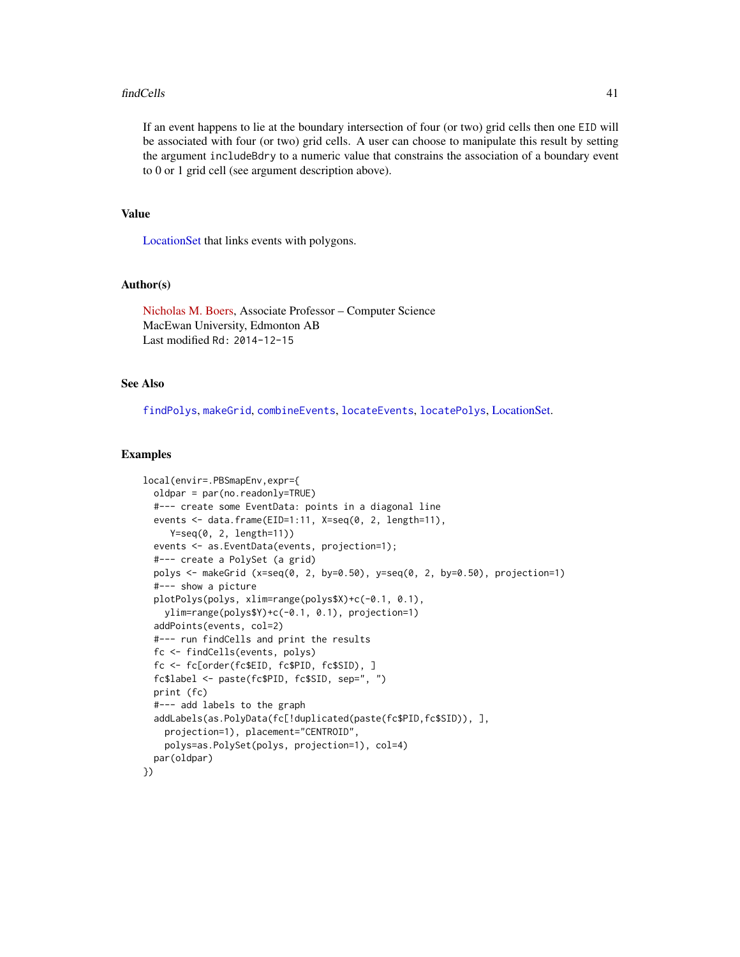#### findCells 41

If an event happens to lie at the boundary intersection of four (or two) grid cells then one EID will be associated with four (or two) grid cells. A user can choose to manipulate this result by setting the argument includeBdry to a numeric value that constrains the association of a boundary event to 0 or 1 grid cell (see argument description above).

# Value

[LocationSet](#page-58-0) that links events with polygons.

## Author(s)

[Nicholas M. Boers,](https://academic.macewan.ca/boersn/) Associate Professor – Computer Science MacEwan University, Edmonton AB Last modified Rd: 2014-12-15

#### See Also

[findPolys](#page-41-0), [makeGrid](#page-59-0), [combineEvents](#page-29-0), [locateEvents](#page-55-0), [locatePolys](#page-56-0), [LocationSet.](#page-58-0)

#### Examples

```
local(envir=.PBSmapEnv,expr={
 oldpar = par(no.readonly=TRUE)
 #--- create some EventData: points in a diagonal line
 events <- data.frame(EID=1:11, X=seq(0, 2, length=11),
    Y=seq(0, 2, length=11))
 events <- as.EventData(events, projection=1);
 #--- create a PolySet (a grid)
 polys <- makeGrid (x=seq(0, 2, by=0.50), y=seq(0, 2, by=0.50), projection=1)
 #--- show a picture
 plotPolys(polys, xlim=range(polys$X)+c(-0.1, 0.1),
   ylim=range(polys$Y)+c(-0.1, 0.1), projection=1)
 addPoints(events, col=2)
 #--- run findCells and print the results
 fc <- findCells(events, polys)
 fc <- fc[order(fc$EID, fc$PID, fc$SID), ]
 fc$label <- paste(fc$PID, fc$SID, sep=", ")
 print (fc)
 #--- add labels to the graph
 addLabels(as.PolyData(fc[!duplicated(paste(fc$PID,fc$SID)), ],
   projection=1), placement="CENTROID",
   polys=as.PolySet(polys, projection=1), col=4)
 par(oldpar)
})
```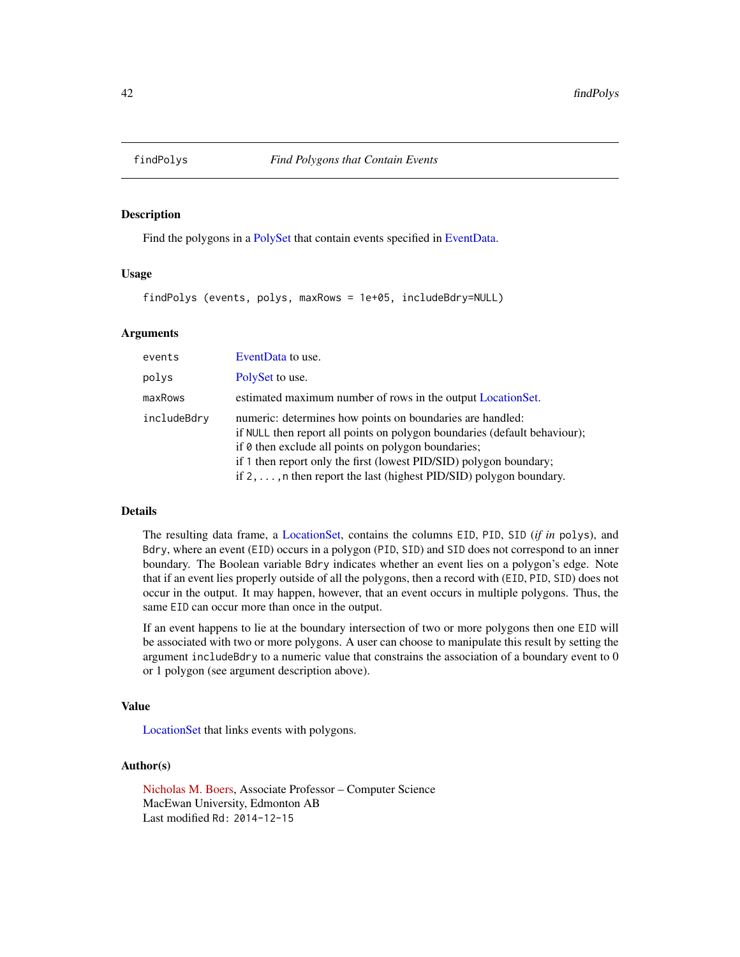<span id="page-41-0"></span>

# Description

Find the polygons in a [PolySet](#page-77-0) that contain events specified in [EventData.](#page-37-0)

#### Usage

findPolys (events, polys, maxRows = 1e+05, includeBdry=NULL)

#### Arguments

| events      | EventData to use.                                                                                                                                                                                                                                                                                                                                         |
|-------------|-----------------------------------------------------------------------------------------------------------------------------------------------------------------------------------------------------------------------------------------------------------------------------------------------------------------------------------------------------------|
| polys       | PolySet to use.                                                                                                                                                                                                                                                                                                                                           |
| maxRows     | estimated maximum number of rows in the output LocationSet.                                                                                                                                                                                                                                                                                               |
| includeBdry | numeric: determines how points on boundaries are handled:<br>if NULL then report all points on polygon boundaries (default behaviour);<br>if $\theta$ then exclude all points on polygon boundaries;<br>if 1 then report only the first (lowest PID/SID) polygon boundary;<br>if $2, \ldots$ , n then report the last (highest PID/SID) polygon boundary. |

# Details

The resulting data frame, a [LocationSet,](#page-58-0) contains the columns EID, PID, SID (*if in* polys), and Bdry, where an event (EID) occurs in a polygon (PID, SID) and SID does not correspond to an inner boundary. The Boolean variable Bdry indicates whether an event lies on a polygon's edge. Note that if an event lies properly outside of all the polygons, then a record with (EID, PID, SID) does not occur in the output. It may happen, however, that an event occurs in multiple polygons. Thus, the same EID can occur more than once in the output.

If an event happens to lie at the boundary intersection of two or more polygons then one EID will be associated with two or more polygons. A user can choose to manipulate this result by setting the argument includeBdry to a numeric value that constrains the association of a boundary event to 0 or 1 polygon (see argument description above).

# Value

[LocationSet](#page-58-0) that links events with polygons.

#### Author(s)

[Nicholas M. Boers,](https://academic.macewan.ca/boersn/) Associate Professor – Computer Science MacEwan University, Edmonton AB Last modified Rd: 2014-12-15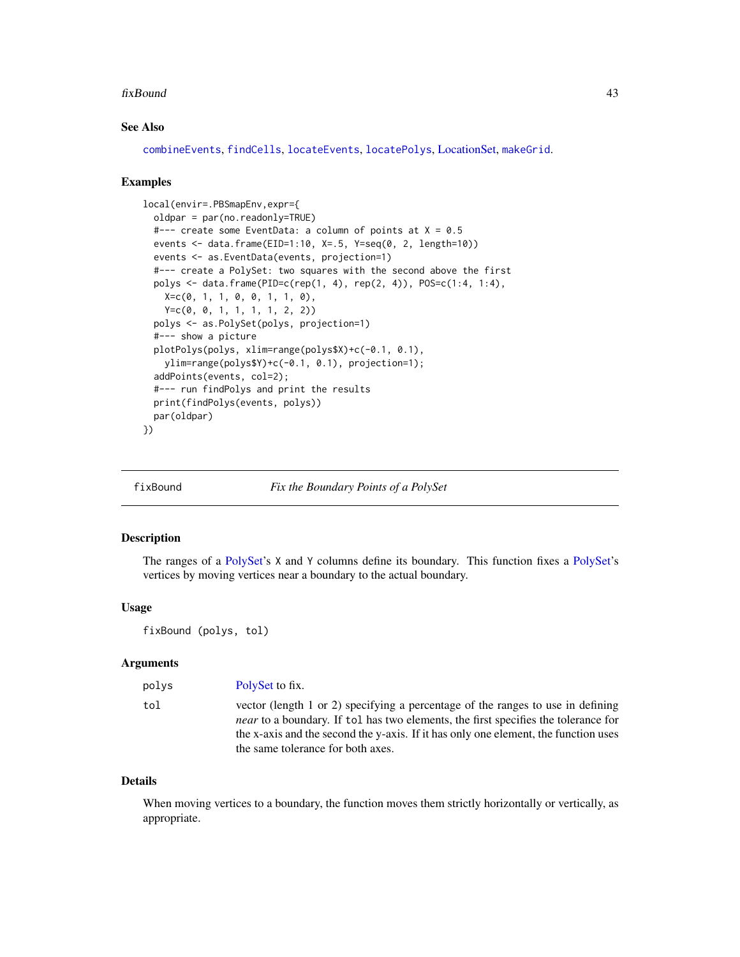#### fixBound 43

# See Also

[combineEvents](#page-29-0), [findCells](#page-39-0), [locateEvents](#page-55-0), [locatePolys](#page-56-0), [LocationSet,](#page-58-0) [makeGrid](#page-59-0).

#### Examples

```
local(envir=.PBSmapEnv,expr={
  oldpar = par(no.readonly=TRUE)
  #--- create some EventData: a column of points at X = 0.5
  events <- data.frame(EID=1:10, X=.5, Y=seq(0, 2, length=10))
  events <- as.EventData(events, projection=1)
  #--- create a PolySet: two squares with the second above the first
  polys <- data.frame(PID=c(rep(1, 4), rep(2, 4)), POS=c(1:4, 1:4),
   X=C(0, 1, 1, 0, 0, 1, 1, 0),
   Y=c(0, 0, 1, 1, 1, 1, 2, 2))
  polys <- as.PolySet(polys, projection=1)
  #--- show a picture
  plotPolys(polys, xlim=range(polys$X)+c(-0.1, 0.1),
    ylim=range(polys$Y)+c(-0.1, 0.1), projection=1);
  addPoints(events, col=2);
  #--- run findPolys and print the results
  print(findPolys(events, polys))
  par(oldpar)
})
```
<span id="page-42-0"></span>fixBound *Fix the Boundary Points of a PolySet*

## Description

The ranges of a [PolySet'](#page-77-0)s X and Y columns define its boundary. This function fixes a [PolySet'](#page-77-0)s vertices by moving vertices near a boundary to the actual boundary.

#### Usage

fixBound (polys, tol)

## Arguments

| polys | PolySet to fix.                                                                                                                                                                                                                                                                                          |
|-------|----------------------------------------------------------------------------------------------------------------------------------------------------------------------------------------------------------------------------------------------------------------------------------------------------------|
| tol   | vector (length 1 or 2) specifying a percentage of the ranges to use in defining<br><i>near</i> to a boundary. If tol has two elements, the first specifies the tolerance for<br>the x-axis and the second the y-axis. If it has only one element, the function uses<br>the same tolerance for both axes. |

#### Details

When moving vertices to a boundary, the function moves them strictly horizontally or vertically, as appropriate.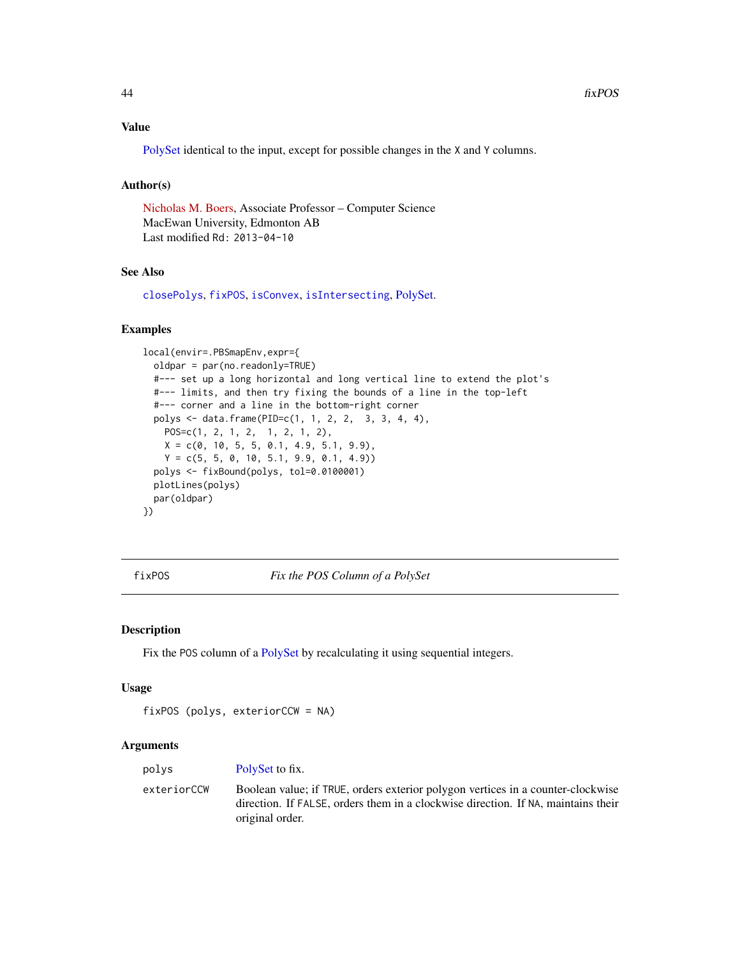# Value

[PolySet](#page-77-0) identical to the input, except for possible changes in the X and Y columns.

## Author(s)

[Nicholas M. Boers,](https://academic.macewan.ca/boersn/) Associate Professor – Computer Science MacEwan University, Edmonton AB Last modified Rd: 2013-04-10

# See Also

[closePolys](#page-27-0), [fixPOS](#page-43-0), [isConvex](#page-51-0), [isIntersecting](#page-52-0), [PolySet.](#page-77-0)

## Examples

```
local(envir=.PBSmapEnv,expr={
  oldpar = par(no.readonly=TRUE)
  #--- set up a long horizontal and long vertical line to extend the plot's
  #--- limits, and then try fixing the bounds of a line in the top-left
  #--- corner and a line in the bottom-right corner
  polys <- data.frame(PID=c(1, 1, 2, 2, 3, 3, 4, 4),
   POS=c(1, 2, 1, 2, 1, 2, 1, 2),
   X = c(0, 10, 5, 5, 0.1, 4.9, 5.1, 9.9),
   Y = c(5, 5, 0, 10, 5.1, 9.9, 0.1, 4.9)polys <- fixBound(polys, tol=0.0100001)
  plotLines(polys)
  par(oldpar)
})
```
<span id="page-43-0"></span>fixPOS *Fix the POS Column of a PolySet*

#### Description

Fix the POS column of a [PolySet](#page-77-0) by recalculating it using sequential integers.

#### Usage

```
fixPOS (polys, exteriorCCW = NA)
```
## Arguments

| polys       | PolySet to fix.                                                                                                                                                                         |
|-------------|-----------------------------------------------------------------------------------------------------------------------------------------------------------------------------------------|
| exteriorCCW | Boolean value; if TRUE, orders exterior polygon vertices in a counter-clockwise<br>direction. If FALSE, orders them in a clockwise direction. If NA, maintains their<br>original order. |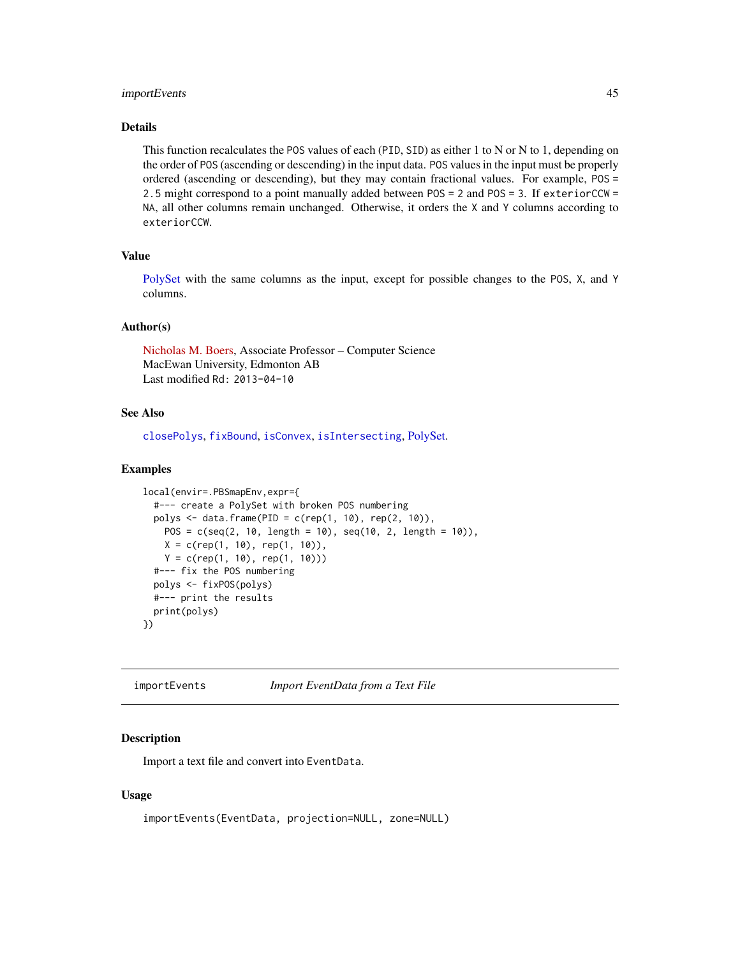## importEvents 45

## Details

This function recalculates the POS values of each (PID, SID) as either 1 to N or N to 1, depending on the order of POS (ascending or descending) in the input data. POS values in the input must be properly ordered (ascending or descending), but they may contain fractional values. For example, POS = 2.5 might correspond to a point manually added between POS = 2 and POS = 3. If exteriorCCW = NA, all other columns remain unchanged. Otherwise, it orders the X and Y columns according to exteriorCCW.

# Value

[PolySet](#page-77-0) with the same columns as the input, except for possible changes to the POS, X, and Y columns.

## Author(s)

[Nicholas M. Boers,](https://academic.macewan.ca/boersn/) Associate Professor – Computer Science MacEwan University, Edmonton AB Last modified Rd: 2013-04-10

# See Also

[closePolys](#page-27-0), [fixBound](#page-42-0), [isConvex](#page-51-0), [isIntersecting](#page-52-0), [PolySet.](#page-77-0)

#### Examples

```
local(envir=.PBSmapEnv,expr={
  #--- create a PolySet with broken POS numbering
  polys <- data.frame(PID = c(rep(1, 10), rep(2, 10)),
    POS = c(\text{seq}(2, 10, \text{length} = 10), \text{seq}(10, 2, \text{length} = 10)),X = c(rep(1, 10), rep(1, 10)),Y = c(rep(1, 10), rep(1, 10)))#--- fix the POS numbering
  polys <- fixPOS(polys)
  #--- print the results
  print(polys)
})
```
<span id="page-44-0"></span>importEvents *Import EventData from a Text File*

## **Description**

Import a text file and convert into EventData.

#### Usage

importEvents(EventData, projection=NULL, zone=NULL)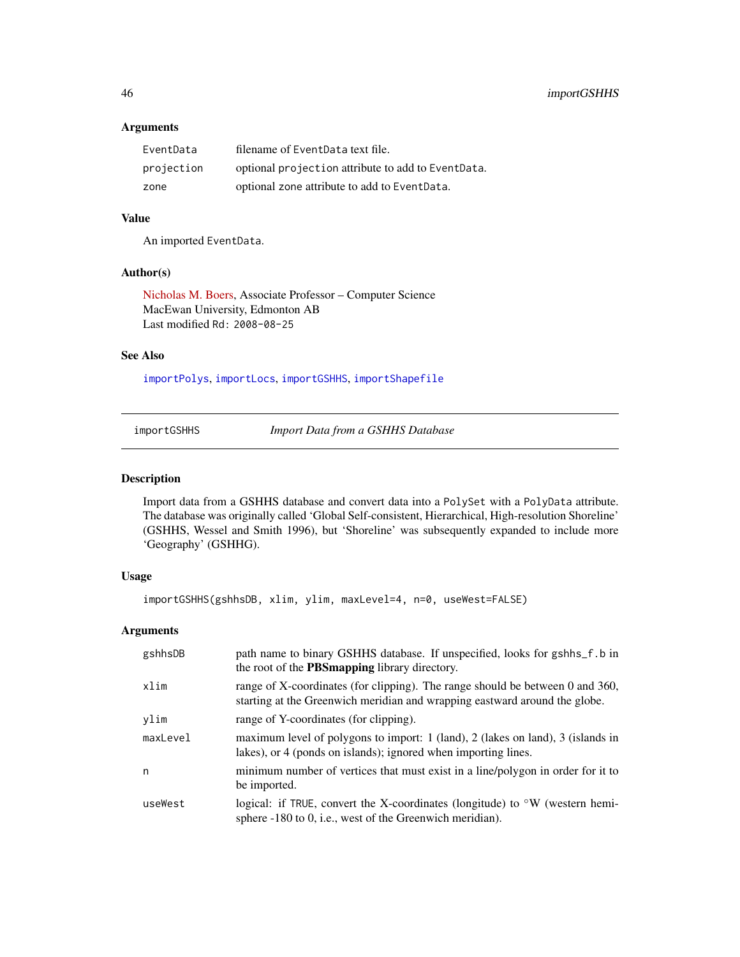# Arguments

| EventData  | filename of EventData text file.                   |
|------------|----------------------------------------------------|
| projection | optional projection attribute to add to EventData. |
| zone       | optional zone attribute to add to EventData.       |

# Value

An imported EventData.

# Author(s)

[Nicholas M. Boers,](https://academic.macewan.ca/boersn/) Associate Professor – Computer Science MacEwan University, Edmonton AB Last modified Rd: 2008-08-25

## See Also

[importPolys](#page-49-0), [importLocs](#page-48-0), [importGSHHS](#page-45-0), [importShapefile](#page-49-1)

<span id="page-45-0"></span>importGSHHS *Import Data from a GSHHS Database*

## Description

Import data from a GSHHS database and convert data into a PolySet with a PolyData attribute. The database was originally called 'Global Self-consistent, Hierarchical, High-resolution Shoreline' (GSHHS, Wessel and Smith 1996), but 'Shoreline' was subsequently expanded to include more 'Geography' (GSHHG).

## Usage

importGSHHS(gshhsDB, xlim, ylim, maxLevel=4, n=0, useWest=FALSE)

# Arguments

| gshhsDB  | path name to binary GSHHS database. If unspecified, looks for gshhs_f.b in<br>the root of the <b>PBSmapping</b> library directory.                          |
|----------|-------------------------------------------------------------------------------------------------------------------------------------------------------------|
| xlim     | range of X-coordinates (for clipping). The range should be between 0 and 360,<br>starting at the Greenwich meridian and wrapping eastward around the globe. |
| ylim     | range of Y-coordinates (for clipping).                                                                                                                      |
| maxLevel | maximum level of polygons to import: $1$ (land), $2$ (lakes on land), $3$ (islands in<br>lakes), or 4 (ponds on islands); ignored when importing lines.     |
| n        | minimum number of vertices that must exist in a line/polygon in order for it to<br>be imported.                                                             |
| useWest  | logical: if TRUE, convert the X-coordinates (longitude) to $\rm\degree W$ (western hemi-<br>sphere $-180$ to 0, i.e., west of the Greenwich meridian).      |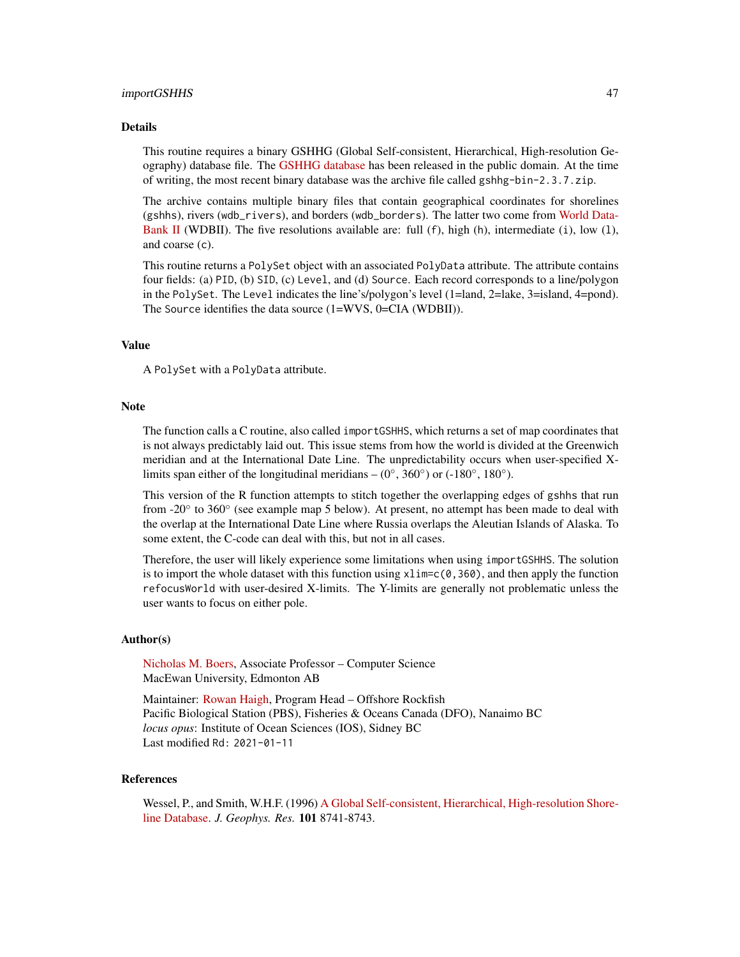#### importGSHHS 47

#### Details

This routine requires a binary GSHHG (Global Self-consistent, Hierarchical, High-resolution Geography) database file. The [GSHHG database](http://www.soest.hawaii.edu/pwessel/gshhg/) has been released in the public domain. At the time of writing, the most recent binary database was the archive file called gshhg-bin-2.3.7.zip.

The archive contains multiple binary files that contain geographical coordinates for shorelines (gshhs), rivers (wdb\_rivers), and borders (wdb\_borders). The latter two come from [World Data-](https://meta.wikimedia.org/wiki/Geographical_data#CIA_World_DataBank_II_and_derivates)[Bank II](https://meta.wikimedia.org/wiki/Geographical_data#CIA_World_DataBank_II_and_derivates) (WDBII). The five resolutions available are: full  $(f)$ , high  $(h)$ , intermediate  $(i)$ , low  $(1)$ , and coarse (c).

This routine returns a PolySet object with an associated PolyData attribute. The attribute contains four fields: (a) PID, (b) SID, (c) Level, and (d) Source. Each record corresponds to a line/polygon in the PolySet. The Level indicates the line's/polygon's level (1=land, 2=lake, 3=island, 4=pond). The Source identifies the data source (1=WVS, 0=CIA (WDBII)).

# Value

A PolySet with a PolyData attribute.

#### **Note**

The function calls a C routine, also called importGSHHS, which returns a set of map coordinates that is not always predictably laid out. This issue stems from how the world is divided at the Greenwich meridian and at the International Date Line. The unpredictability occurs when user-specified Xlimits span either of the longitudinal meridians –  $(0^{\circ}, 360^{\circ})$  or  $(-180^{\circ}, 180^{\circ})$ .

This version of the R function attempts to stitch together the overlapping edges of gshhs that run from -20° to 360° (see example map 5 below). At present, no attempt has been made to deal with the overlap at the International Date Line where Russia overlaps the Aleutian Islands of Alaska. To some extent, the C-code can deal with this, but not in all cases.

Therefore, the user will likely experience some limitations when using importGSHHS. The solution is to import the whole dataset with this function using  $xlim = c(0, 360)$ , and then apply the function refocusWorld with user-desired X-limits. The Y-limits are generally not problematic unless the user wants to focus on either pole.

#### Author(s)

[Nicholas M. Boers,](https://academic.macewan.ca/boersn/) Associate Professor – Computer Science MacEwan University, Edmonton AB

Maintainer: [Rowan Haigh,](mailto:rowan.haigh@dfo-mpo.gc.ca) Program Head - Offshore Rockfish Pacific Biological Station (PBS), Fisheries & Oceans Canada (DFO), Nanaimo BC *locus opus*: Institute of Ocean Sciences (IOS), Sidney BC Last modified Rd: 2021-01-11

#### References

Wessel, P., and Smith, W.H.F. (1996) [A Global Self-consistent, Hierarchical, High-resolution Shore](http://www.soest.hawaii.edu/pwessel/gshhg/Wessel+Smith_1996_JGR.pdf)[line Database.](http://www.soest.hawaii.edu/pwessel/gshhg/Wessel+Smith_1996_JGR.pdf) *J. Geophys. Res.* 101 8741-8743.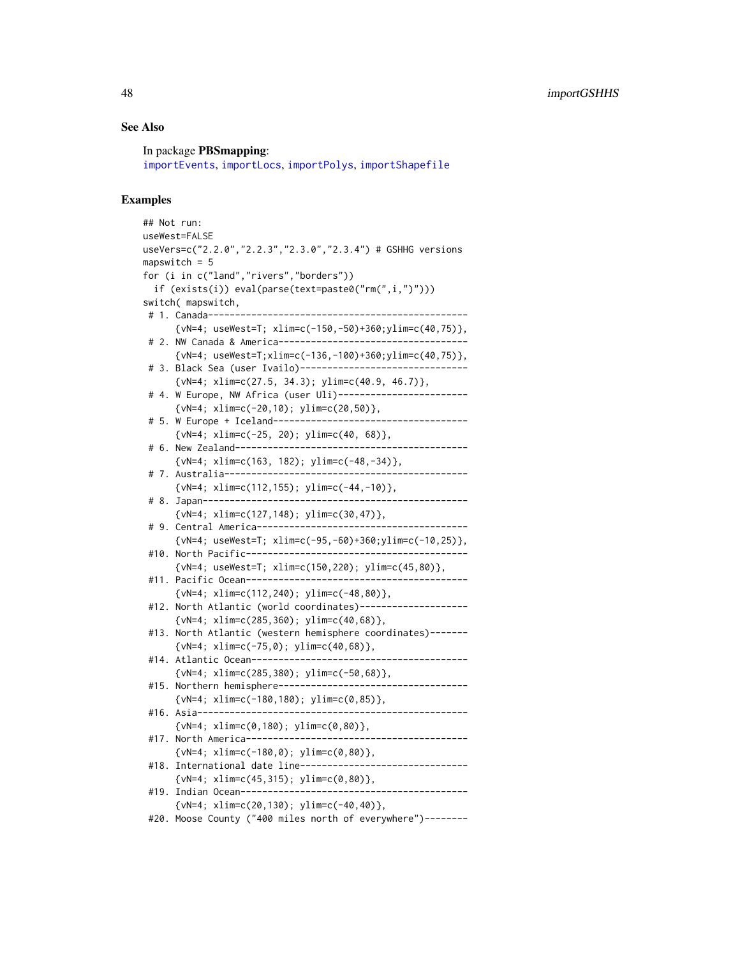## See Also

In package PBSmapping: [importEvents](#page-44-0), [importLocs](#page-48-0), [importPolys](#page-49-0), [importShapefile](#page-49-1)

## Examples

```
## Not run:
useWest=FALSE
useVers=c("2.2.0","2.2.3","2.3.0","2.3.4") # GSHHG versions
mapswitch = 5for (i in c("land","rivers","borders"))
 if (exists(i)) eval(parse(text=paste0("rm(",i,")")))
switch( mapswitch,
 # 1. Canada------------------------------------------------
      {vN=4; useWest=T; xlim=c(-150,-50)+360;ylim=c(40,75)},
 # 2. NW Canada & America-----------------------------------
      {vN=4; useWest=T;xlim=c(-136,-100)+360;ylim=c(40,75)},
 # 3. Black Sea (user Ivailo)-------------------------------
      {vN=4; xlim=c(27.5, 34.3); ylim=c(40.9, 46.7)},
 # 4. W Europe, NW Africa (user Uli)------------------------
      {vN=4; xlim=c(-20,10); ylim=c(20,50)},
 # 5. W Europe + Iceland------------------------------------
      {vN=4; xlim=c(-25, 20); ylim=c(40, 68)},
 # 6. New Zealand-------------------------------------------
      {vN=4; xlim=c(163, 182); ylim=c(-48,-34)},
 # 7. Australia---------------------------------------------
      \{vN=4; xlim=c(112,155); ylim=c(-44,-10)\},\# 8. Japan-------------------------------------------------
      {vN=4; xlim=c(127,148); ylim=c(30,47)},
 # 9. Central America---------------------------------------
      {vN=4; useWest=T; xlim=c(-95,-60)+360;ylim=c(-10,25)},
 #10. North Pacific-----------------------------------------
      {vN=4; useWest=T; xlim=c(150,220); ylim=c(45,80)},
 #11. Pacific Ocean-----------------------------------------
      {vN=4; xlim=c(112,240); ylim=c(-48,80)},
 #12. North Atlantic (world coordinates)--------------------
      {vN=4; xlim=c(285,360); ylim=c(40,68)},
 #13. North Atlantic (western hemisphere coordinates)-------
      {vN=4; xlim=c(-75,0); ylim=c(40,68)},
 #14. Atlantic Ocean----------------------------------------
      {vN=4; xlim=c(285,380); ylim=c(-50,68)},
 #15. Northern hemisphere-----------------------------------
      {vN=4; xlim=c(-180,180); ylim=c(0,85)},
 #16. Asia--------------------------------------------------
      {vN=4; xlim=c(0,180); ylim=c(0,80)},
 #17. North America-----------------------------------------
      {vN=4; xlim=c(-180,0); ylim=c(0,80)},
 #18. International date line-------------------------------
      \{vN=4; xlim=c(45,315); ylim=c(0,80)\},#19. Indian Ocean------------------------------------------
      {vN=4; xlim=c(20,130); ylim=c(-40,40)},
 #20. Moose County ("400 miles north of everywhere")--------
```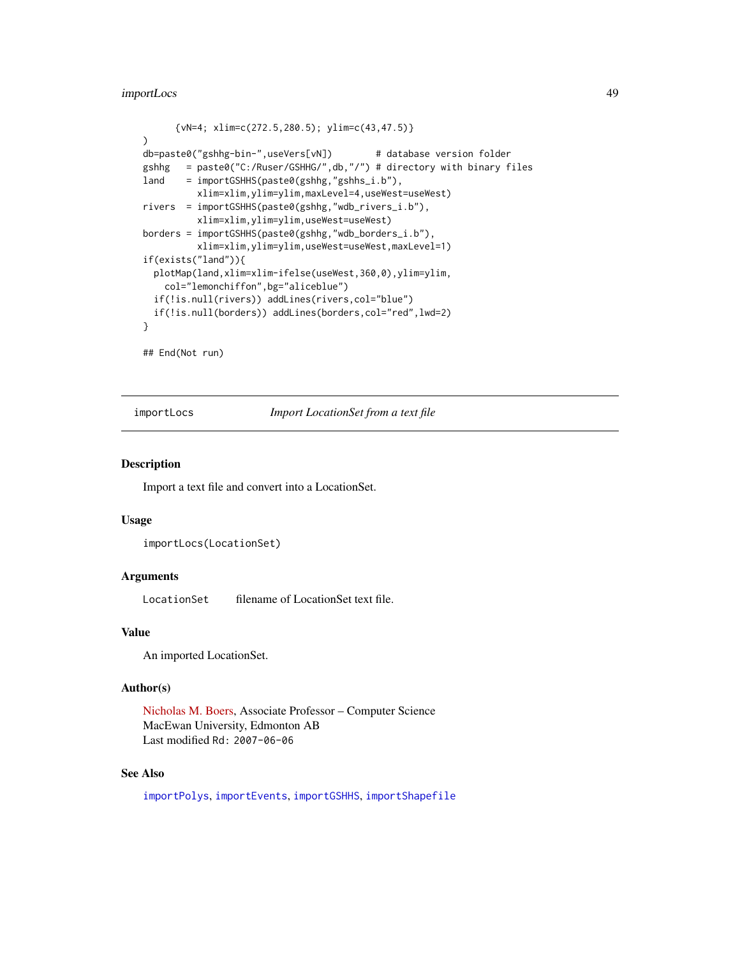# importLocs 49

```
{vN=4; xlim=c(272.5,280.5); ylim=c(43,47.5)}
)
db=paste0("gshhg-bin-",useVers[vN]) # database version folder
gshhg = paste0("C:/Ruser/GSHHG/",db,"/") # directory with binary files
land = importGSHHS(paste0(gshhg,"gshhs_i.b"),
         xlim=xlim,ylim=ylim,maxLevel=4,useWest=useWest)
rivers = importGSHHS(paste0(gshhg,"wdb_rivers_i.b"),
         xlim=xlim,ylim=ylim,useWest=useWest)
borders = importGSHHS(paste0(gshhg,"wdb_borders_i.b"),
         xlim=xlim,ylim=ylim,useWest=useWest,maxLevel=1)
if(exists("land")){
 plotMap(land,xlim=xlim-ifelse(useWest,360,0),ylim=ylim,
   col="lemonchiffon",bg="aliceblue")
 if(!is.null(rivers)) addLines(rivers,col="blue")
 if(!is.null(borders)) addLines(borders,col="red",lwd=2)
}
```
## End(Not run)

<span id="page-48-0"></span>importLocs *Import LocationSet from a text file*

## **Description**

Import a text file and convert into a LocationSet.

#### Usage

```
importLocs(LocationSet)
```
#### Arguments

LocationSet filename of LocationSet text file.

# Value

An imported LocationSet.

#### Author(s)

[Nicholas M. Boers,](https://academic.macewan.ca/boersn/) Associate Professor – Computer Science MacEwan University, Edmonton AB Last modified Rd: 2007-06-06

# See Also

[importPolys](#page-49-0), [importEvents](#page-44-0), [importGSHHS](#page-45-0), [importShapefile](#page-49-1)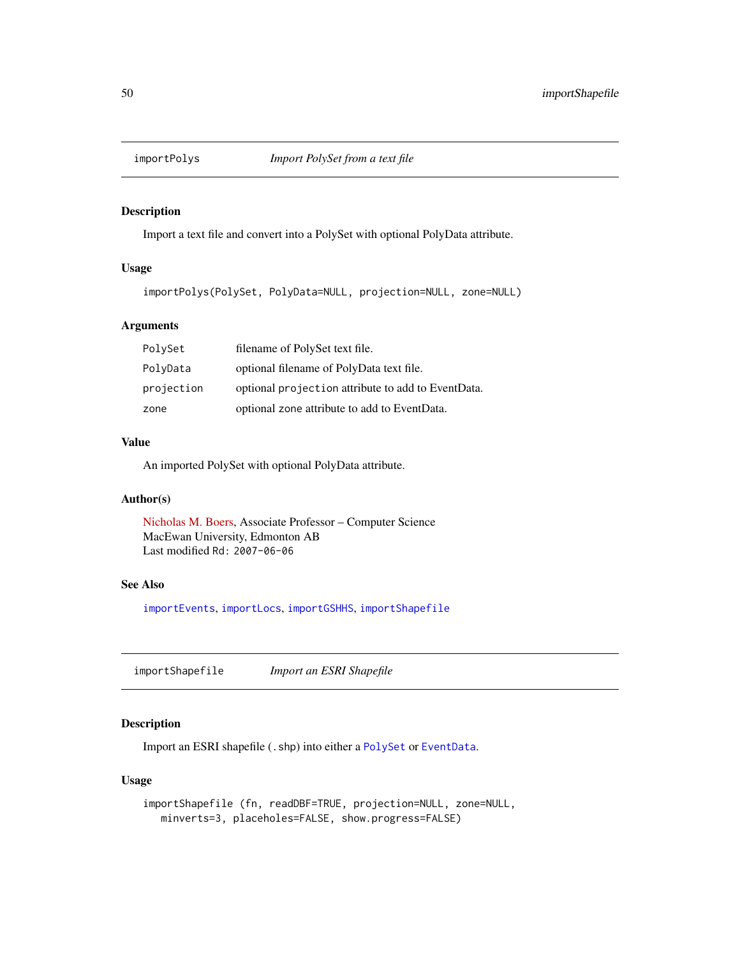<span id="page-49-0"></span>

# Description

Import a text file and convert into a PolySet with optional PolyData attribute.

# Usage

importPolys(PolySet, PolyData=NULL, projection=NULL, zone=NULL)

# Arguments

| PolySet    | filename of PolySet text file.                     |
|------------|----------------------------------------------------|
| PolyData   | optional filename of PolyData text file.           |
| projection | optional projection attribute to add to EventData. |
| zone       | optional zone attribute to add to EventData.       |

# Value

An imported PolySet with optional PolyData attribute.

# Author(s)

[Nicholas M. Boers,](https://academic.macewan.ca/boersn/) Associate Professor – Computer Science MacEwan University, Edmonton AB Last modified Rd: 2007-06-06

# See Also

[importEvents](#page-44-0), [importLocs](#page-48-0), [importGSHHS](#page-45-0), [importShapefile](#page-49-1)

<span id="page-49-1"></span>importShapefile *Import an ESRI Shapefile*

# Description

Import an ESRI shapefile (.shp) into either a [PolySet](#page-77-0) or [EventData](#page-37-0).

## Usage

```
importShapefile (fn, readDBF=TRUE, projection=NULL, zone=NULL,
  minverts=3, placeholes=FALSE, show.progress=FALSE)
```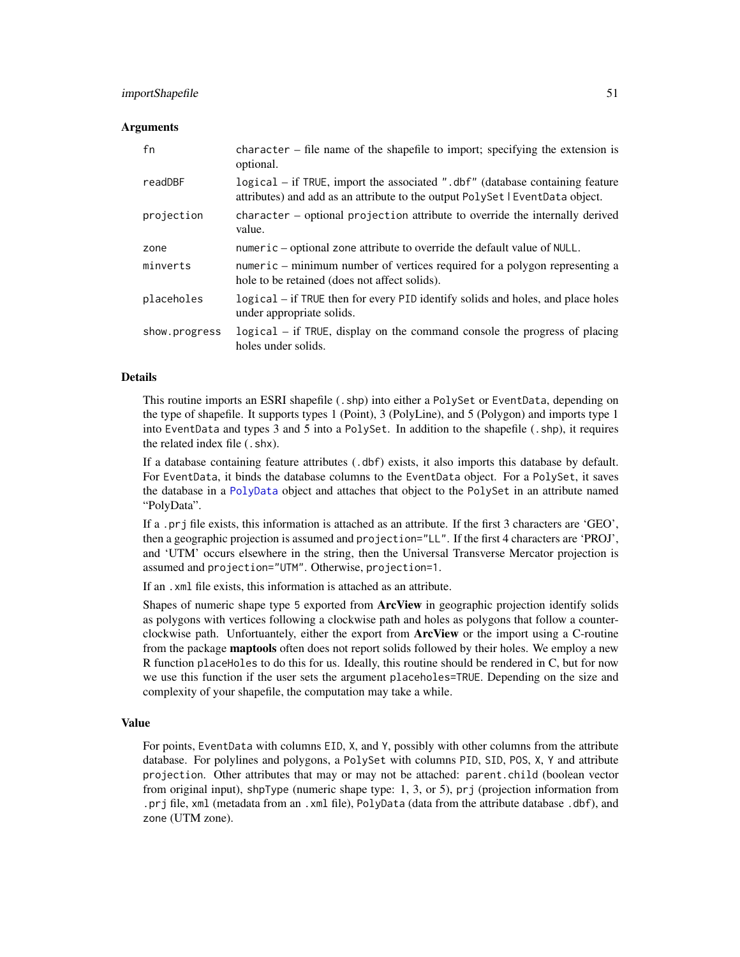#### importShapefile 51

#### **Arguments**

| fn            | character $-$ file name of the shapefile to import; specifying the extension is<br>optional.                                                                  |
|---------------|---------------------------------------------------------------------------------------------------------------------------------------------------------------|
| readDBF       | logical – if TRUE, import the associated ".dbf" (database containing feature<br>attributes) and add as an attribute to the output PolySet   EventData object. |
| projection    | character – optional projection attribute to override the internally derived<br>value.                                                                        |
| zone          | numeric – optional zone attribute to override the default value of NULL.                                                                                      |
| minverts      | numeric – minimum number of vertices required for a polygon representing a<br>hole to be retained (does not affect solids).                                   |
| placeholes    | logical – if TRUE then for every PID identify solids and holes, and place holes<br>under appropriate solids.                                                  |
| show.progress | logical – if TRUE, display on the command console the progress of placing<br>holes under solids.                                                              |

## Details

This routine imports an ESRI shapefile (.shp) into either a PolySet or EventData, depending on the type of shapefile. It supports types 1 (Point), 3 (PolyLine), and 5 (Polygon) and imports type 1 into EventData and types 3 and 5 into a PolySet. In addition to the shapefile (.shp), it requires the related index file (.shx).

If a database containing feature attributes (.dbf) exists, it also imports this database by default. For EventData, it binds the database columns to the EventData object. For a PolySet, it saves the database in a [PolyData](#page-76-0) object and attaches that object to the PolySet in an attribute named "PolyData".

If a .prj file exists, this information is attached as an attribute. If the first 3 characters are 'GEO', then a geographic projection is assumed and projection="LL". If the first 4 characters are 'PROJ', and 'UTM' occurs elsewhere in the string, then the Universal Transverse Mercator projection is assumed and projection="UTM". Otherwise, projection=1.

If an .xml file exists, this information is attached as an attribute.

Shapes of numeric shape type 5 exported from **ArcView** in geographic projection identify solids as polygons with vertices following a clockwise path and holes as polygons that follow a counterclockwise path. Unfortuantely, either the export from **ArcView** or the import using a C-routine from the package **maptools** often does not report solids followed by their holes. We employ a new R function placeHoles to do this for us. Ideally, this routine should be rendered in C, but for now we use this function if the user sets the argument placeholes=TRUE. Depending on the size and complexity of your shapefile, the computation may take a while.

## Value

For points, EventData with columns EID, X, and Y, possibly with other columns from the attribute database. For polylines and polygons, a PolySet with columns PID, SID, POS, X, Y and attribute projection. Other attributes that may or may not be attached: parent.child (boolean vector from original input), shpType (numeric shape type: 1, 3, or 5), prj (projection information from .prj file, xml (metadata from an .xml file), PolyData (data from the attribute database .dbf), and zone (UTM zone).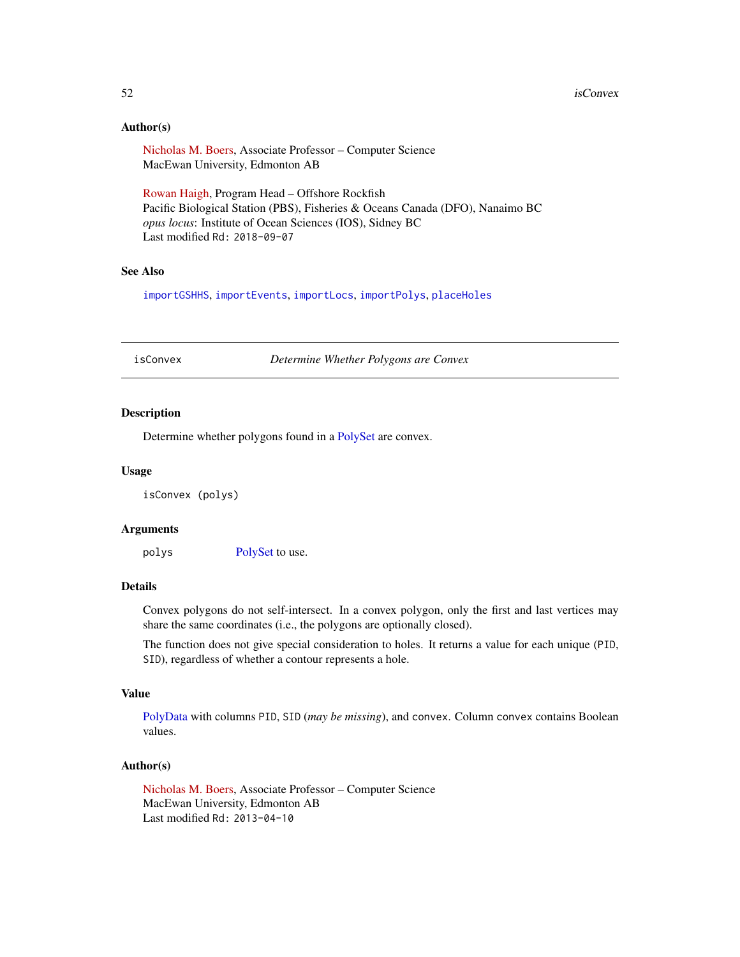# Author(s)

[Nicholas M. Boers,](https://academic.macewan.ca/boersn/) Associate Professor – Computer Science MacEwan University, Edmonton AB

[Rowan Haigh,](mailto:rowan.haigh@dfo-mpo.gc.ca) Program Head – Offshore Rockfish Pacific Biological Station (PBS), Fisheries & Oceans Canada (DFO), Nanaimo BC *opus locus*: Institute of Ocean Sciences (IOS), Sidney BC Last modified Rd: 2018-09-07

# See Also

[importGSHHS](#page-45-0), [importEvents](#page-44-0), [importLocs](#page-48-0), [importPolys](#page-49-0), [placeHoles](#page-66-0)

<span id="page-51-0"></span>isConvex *Determine Whether Polygons are Convex*

## Description

Determine whether polygons found in a [PolySet](#page-77-0) are convex.

## Usage

isConvex (polys)

#### Arguments

polys [PolySet](#page-77-0) to use.

# Details

Convex polygons do not self-intersect. In a convex polygon, only the first and last vertices may share the same coordinates (i.e., the polygons are optionally closed).

The function does not give special consideration to holes. It returns a value for each unique (PID, SID), regardless of whether a contour represents a hole.

## Value

[PolyData](#page-76-0) with columns PID, SID (*may be missing*), and convex. Column convex contains Boolean values.

#### Author(s)

[Nicholas M. Boers,](https://academic.macewan.ca/boersn/) Associate Professor – Computer Science MacEwan University, Edmonton AB Last modified Rd: 2013-04-10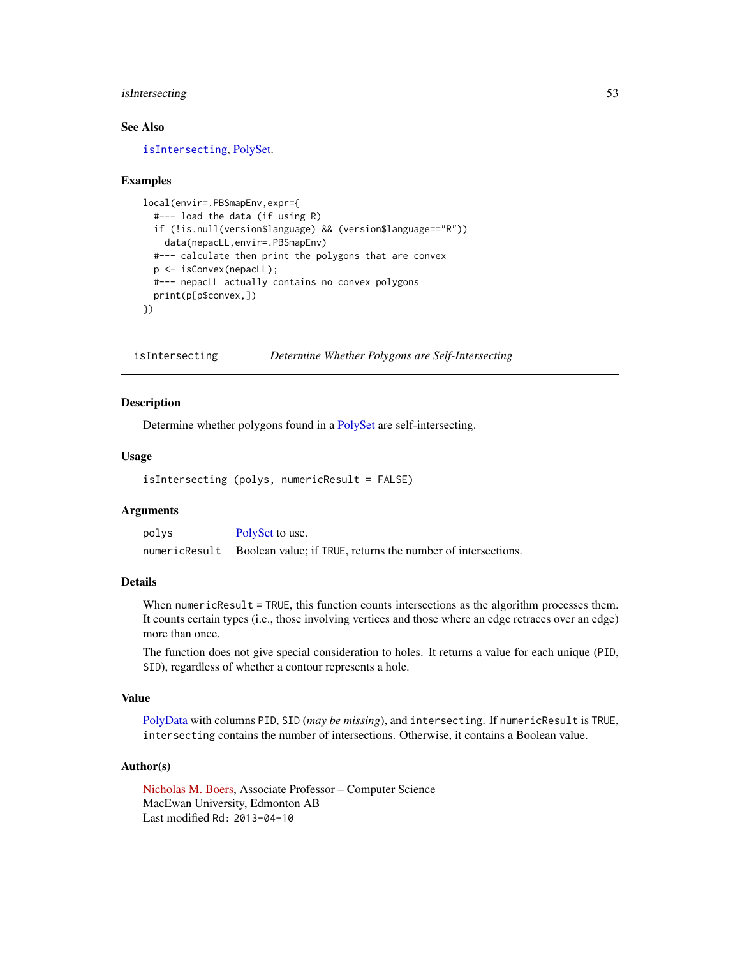# isIntersecting 53

# See Also

[isIntersecting](#page-52-0), [PolySet.](#page-77-0)

#### Examples

```
local(envir=.PBSmapEnv,expr={
 #--- load the data (if using R)
 if (!is.null(version$language) && (version$language=="R"))
   data(nepacLL,envir=.PBSmapEnv)
 #--- calculate then print the polygons that are convex
 p <- isConvex(nepacLL);
 #--- nepacLL actually contains no convex polygons
 print(p[p$convex,])
})
```
<span id="page-52-0"></span>isIntersecting *Determine Whether Polygons are Self-Intersecting*

## Description

Determine whether polygons found in a [PolySet](#page-77-0) are self-intersecting.

## Usage

isIntersecting (polys, numericResult = FALSE)

# Arguments

| polys         | PolySet to use.                                              |
|---------------|--------------------------------------------------------------|
| numericResult | Boolean value: if TRUE, returns the number of intersections. |

#### Details

When numericResult = TRUE, this function counts intersections as the algorithm processes them. It counts certain types (i.e., those involving vertices and those where an edge retraces over an edge) more than once.

The function does not give special consideration to holes. It returns a value for each unique (PID, SID), regardless of whether a contour represents a hole.

# Value

[PolyData](#page-76-0) with columns PID, SID (*may be missing*), and intersecting. If numericResult is TRUE, intersecting contains the number of intersections. Otherwise, it contains a Boolean value.

#### Author(s)

[Nicholas M. Boers,](https://academic.macewan.ca/boersn/) Associate Professor – Computer Science MacEwan University, Edmonton AB Last modified Rd: 2013-04-10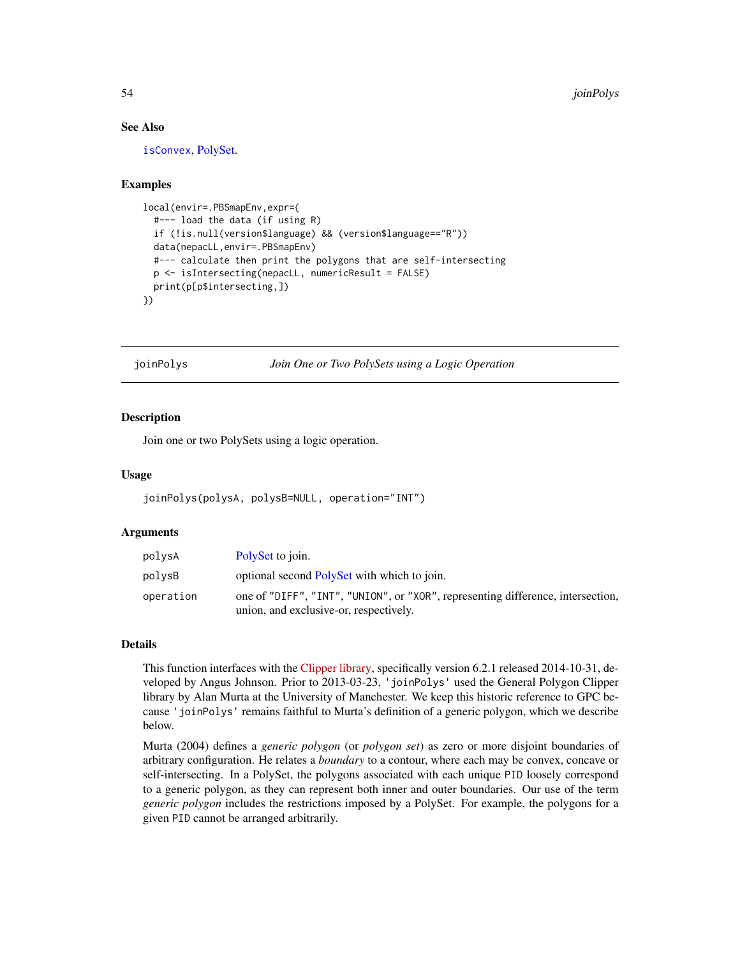## See Also

[isConvex](#page-51-0), [PolySet.](#page-77-0)

#### Examples

```
local(envir=.PBSmapEnv,expr={
 #--- load the data (if using R)
 if (!is.null(version$language) && (version$language=="R"))
 data(nepacLL,envir=.PBSmapEnv)
 #--- calculate then print the polygons that are self-intersecting
 p <- isIntersecting(nepacLL, numericResult = FALSE)
 print(p[p$intersecting,])
})
```
<span id="page-53-0"></span>joinPolys *Join One or Two PolySets using a Logic Operation*

#### Description

Join one or two PolySets using a logic operation.

## Usage

```
joinPolys(polysA, polysB=NULL, operation="INT")
```
## Arguments

| polysA    | PolySet to join.                                                                |
|-----------|---------------------------------------------------------------------------------|
| polvsB    | optional second PolySet with which to join.                                     |
| operation | one of "DIFF", "INT", "UNION", or "XOR", representing difference, intersection, |
|           | union, and exclusive-or, respectively.                                          |

# Details

This function interfaces with the [Clipper library,](http://www.angusj.com/delphi/clipper.php) specifically version 6.2.1 released 2014-10-31, developed by Angus Johnson. Prior to 2013-03-23, 'joinPolys' used the General Polygon Clipper library by Alan Murta at the University of Manchester. We keep this historic reference to GPC because 'joinPolys' remains faithful to Murta's definition of a generic polygon, which we describe below.

Murta (2004) defines a *generic polygon* (or *polygon set*) as zero or more disjoint boundaries of arbitrary configuration. He relates a *boundary* to a contour, where each may be convex, concave or self-intersecting. In a PolySet, the polygons associated with each unique PID loosely correspond to a generic polygon, as they can represent both inner and outer boundaries. Our use of the term *generic polygon* includes the restrictions imposed by a PolySet. For example, the polygons for a given PID cannot be arranged arbitrarily.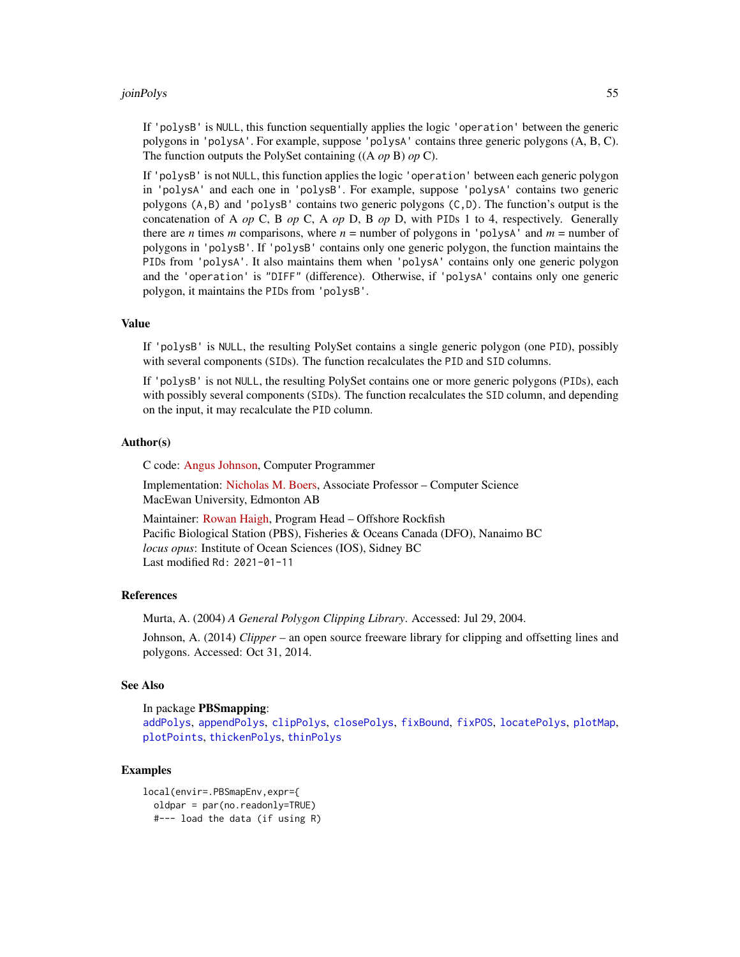#### joinPolys 55

If 'polysB' is NULL, this function sequentially applies the logic 'operation' between the generic polygons in 'polysA'. For example, suppose 'polysA' contains three generic polygons (A, B, C). The function outputs the PolySet containing ((A *op* B) *op* C).

If 'polysB' is not NULL, this function applies the logic 'operation' between each generic polygon in 'polysA' and each one in 'polysB'. For example, suppose 'polysA' contains two generic polygons (A,B) and 'polysB' contains two generic polygons (C,D). The function's output is the concatenation of A *op* C, B *op* C, A *op* D, B *op* D, with PIDs 1 to 4, respectively. Generally there are *n* times *m* comparisons, where  $n =$  number of polygons in 'polysA' and  $m =$  number of polygons in 'polysB'. If 'polysB' contains only one generic polygon, the function maintains the PIDs from 'polysA'. It also maintains them when 'polysA' contains only one generic polygon and the 'operation' is "DIFF" (difference). Otherwise, if 'polysA' contains only one generic polygon, it maintains the PIDs from 'polysB'.

## Value

If 'polysB' is NULL, the resulting PolySet contains a single generic polygon (one PID), possibly with several components (SIDs). The function recalculates the PID and SID columns.

If 'polysB' is not NULL, the resulting PolySet contains one or more generic polygons (PIDs), each with possibly several components (SIDs). The function recalculates the SID column, and depending on the input, it may recalculate the PID column.

#### Author(s)

C code: [Angus Johnson,](http://www.angusj.com/delphi/clipper.php) Computer Programmer

Implementation: [Nicholas M. Boers,](https://academic.macewan.ca/boersn/) Associate Professor – Computer Science MacEwan University, Edmonton AB

```
Rowan Haigh, Program Head - Offshore Rockfish
Pacific Biological Station (PBS), Fisheries & Oceans Canada (DFO), Nanaimo BC
locus opus: Institute of Ocean Sciences (IOS), Sidney BC
Last modified Rd: 2021-01-11
```
#### **References**

Murta, A. (2004) *A General Polygon Clipping Library*. Accessed: Jul 29, 2004.

Johnson, A. (2014) *Clipper* – an open source freeware library for clipping and offsetting lines and polygons. Accessed: Oct 31, 2014.

# See Also

In package PBSmapping:

[addPolys](#page-10-0), [appendPolys](#page-13-0), [clipPolys](#page-26-0), [closePolys](#page-27-0), [fixBound](#page-42-0), [fixPOS](#page-43-0), [locatePolys](#page-56-0), [plotMap](#page-69-0), [plotPoints](#page-72-0), [thickenPolys](#page-88-0), [thinPolys](#page-90-0)

#### Examples

```
local(envir=.PBSmapEnv,expr={
  oldpar = par(no.readonly=TRUE)
  #--- load the data (if using R)
```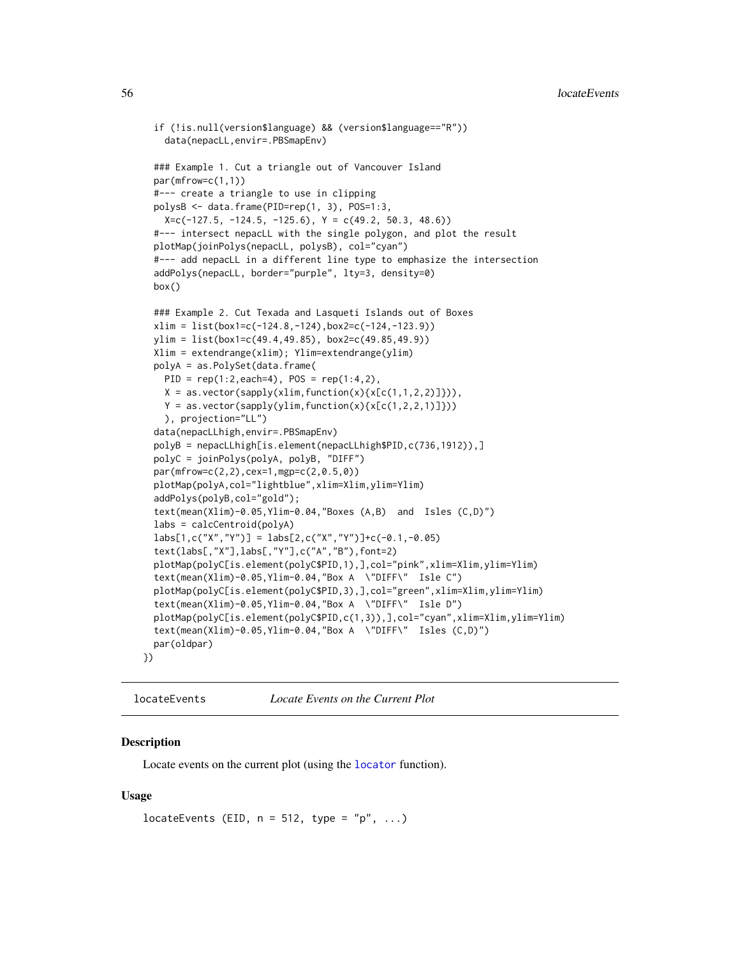```
if (!is.null(version$language) && (version$language=="R"))
    data(nepacLL,envir=.PBSmapEnv)
 ### Example 1. Cut a triangle out of Vancouver Island
 par(mfrow=c(1,1))
 #--- create a triangle to use in clipping
 polysB <- data.frame(PID=rep(1, 3), POS=1:3,
   X=c(-127.5, -124.5, -125.6), Y = c(49.2, 50.3, 48.6))#--- intersect nepacLL with the single polygon, and plot the result
 plotMap(joinPolys(nepacLL, polysB), col="cyan")
 #--- add nepacLL in a different line type to emphasize the intersection
 addPolys(nepacLL, border="purple", lty=3, density=0)
 box()
 ### Example 2. Cut Texada and Lasqueti Islands out of Boxes
 xlim = list(box1=c(-124.8,-124),box2=c(-124,-123.9))
 ylim = list(box1=c(49.4,49.85), box2=c(49.85,49.9))
 Xlim = extendrange(xlim); Ylim=extendrange(ylim)
 polyA = as.PolySet(data.frame(
   PID = rep(1:2, each=4), POS = rep(1:4,2),X = as vector(sapply(xlim, function(x){x[c(1,1,2,2)]}),
   Y = as.vector(sapply(ylim, function(x){x[c(1,2,2,1)]})), projection="LL")
 data(nepacLLhigh,envir=.PBSmapEnv)
 polyB = nepacLLhigh[is.element(nepacLLhigh$PID,c(736,1912)),]
 polyC = joinPolys(polyA, polyB, "DIFF")
 par(mfrow=c(2,2),cex=1,mgp=c(2,0.5,0))
 plotMap(polyA,col="lightblue",xlim=Xlim,ylim=Ylim)
 addPolys(polyB,col="gold");
 text(mean(Xlim)-0.05,Ylim-0.04,"Boxes (A,B) and Isles (C,D)")
 labs = calcCentroid(polyA)
 \text{labels}[1,\text{c}("X", "Y")] = \text{labels}[2,\text{c}("X", "Y")] + \text{c}(-0.1,-0.05)text(labs[,"X"],labs[,"Y"],c("A","B"),font=2)
 plotMap(polyC[is.element(polyC$PID,1),],col="pink",xlim=Xlim,ylim=Ylim)
 text(mean(Xlim)-0.05,Ylim-0.04,"Box A \"DIFF\" Isle C")
 plotMap(polyC[is.element(polyC$PID,3),],col="green",xlim=Xlim,ylim=Ylim)
 text(mean(Xlim)-0.05,Ylim-0.04,"Box A \"DIFF\" Isle D")
 plotMap(polyC[is.element(polyC$PID,c(1,3)),],col="cyan",xlim=Xlim,ylim=Ylim)
  text(mean(Xlim)-0.05,Ylim-0.04,"Box A \"DIFF\" Isles (C,D)")
 par(oldpar)
})
```
<span id="page-55-0"></span>locateEvents *Locate Events on the Current Plot*

## Description

Locate events on the current plot (using the [locator](#page-0-0) function).

#### Usage

```
locateEvents (EID, n = 512, type = "p", ...)
```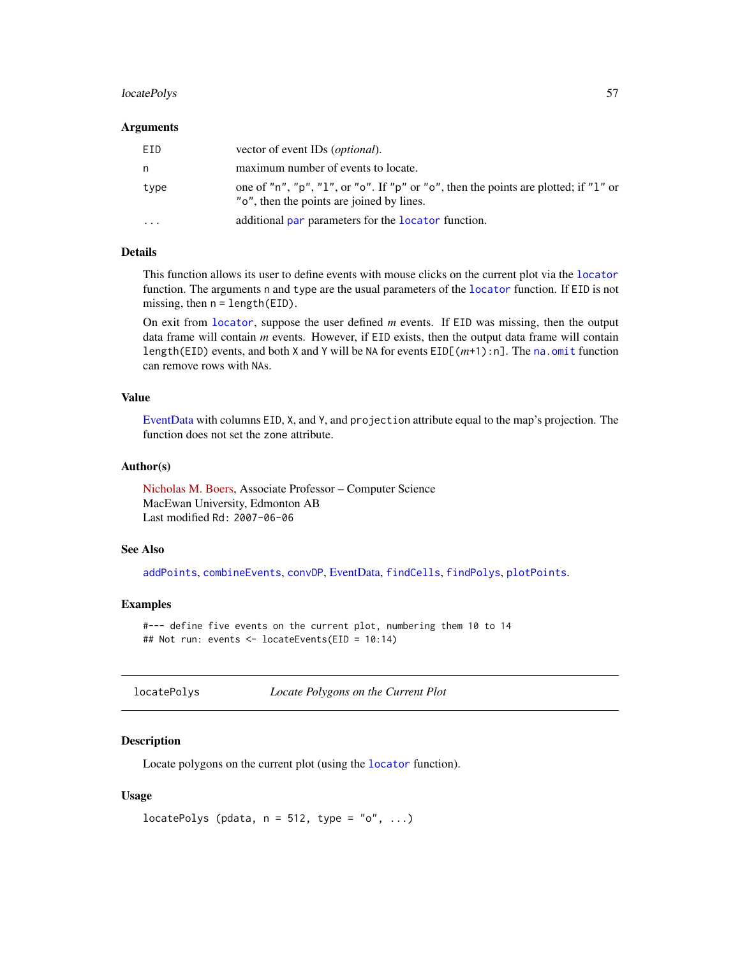# locatePolys 57

#### Arguments

| FTD. | vector of event IDs ( <i>optional</i> ).                                                                                         |
|------|----------------------------------------------------------------------------------------------------------------------------------|
| n.   | maximum number of events to locate.                                                                                              |
| type | one of "n", "p", "1", or "o". If "p" or "o", then the points are plotted; if "1" or<br>"o", then the points are joined by lines. |
| .    | additional par parameters for the locator function.                                                                              |

# Details

This function allows its user to define events with mouse clicks on the current plot via the [locator](#page-0-0) function. The arguments n and type are the usual parameters of the [locator](#page-0-0) function. If EID is not missing, then  $n = length(ED)$ .

On exit from [locator](#page-0-0), suppose the user defined *m* events. If EID was missing, then the output data frame will contain *m* events. However, if EID exists, then the output data frame will contain length(EID) events, and both X and Y will be NA for events EID[(*m*+1):n]. The [na.omit](#page-0-0) function can remove rows with NAs.

# Value

[EventData](#page-37-0) with columns EID, X, and Y, and projection attribute equal to the map's projection. The function does not set the zone attribute.

#### Author(s)

[Nicholas M. Boers,](https://academic.macewan.ca/boersn/) Associate Professor – Computer Science MacEwan University, Edmonton AB Last modified Rd: 2007-06-06

## See Also

[addPoints](#page-9-0), [combineEvents](#page-29-0), [convDP](#page-32-0), [EventData,](#page-37-0) [findCells](#page-39-0), [findPolys](#page-41-0), [plotPoints](#page-72-0).

## Examples

#--- define five events on the current plot, numbering them 10 to 14 ## Not run: events <- locateEvents(EID = 10:14)

<span id="page-56-0"></span>locatePolys *Locate Polygons on the Current Plot*

## Description

Locate polygons on the current plot (using the [locator](#page-0-0) function).

#### Usage

```
locatePolys (pdata, n = 512, type = "o", ...)
```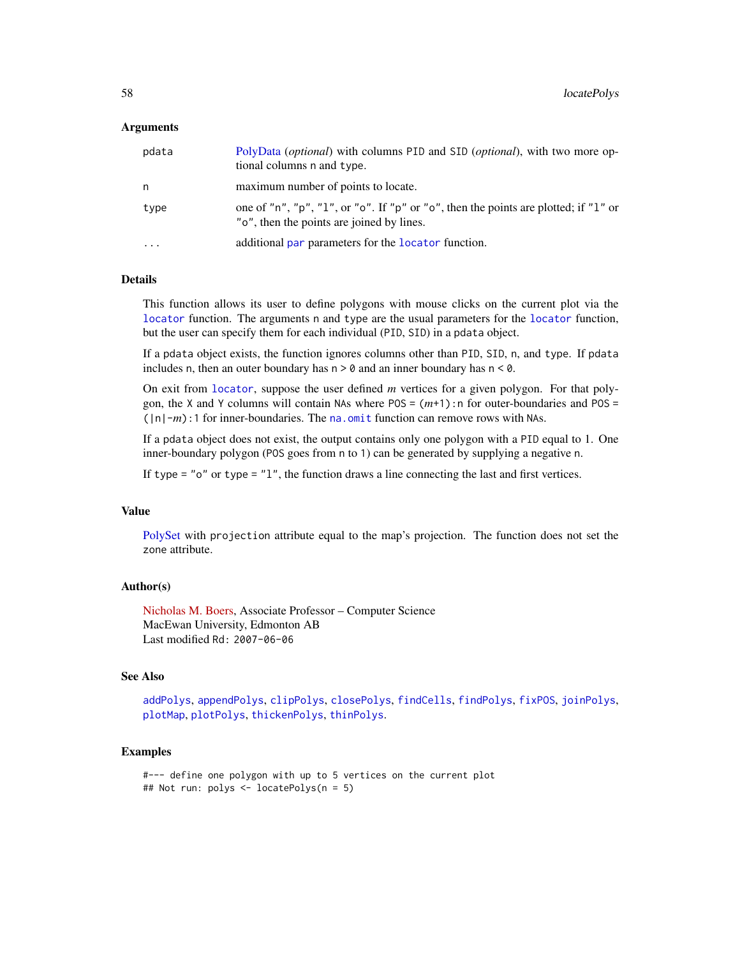#### Arguments

| pdata     | PolyData <i>(optional)</i> with columns PID and SID <i>(optional)</i> , with two more op-<br>tional columns n and type.          |
|-----------|----------------------------------------------------------------------------------------------------------------------------------|
| n         | maximum number of points to locate.                                                                                              |
| type      | one of "n", "p", "l", or "o". If "p" or "o", then the points are plotted; if "l" or<br>"o", then the points are joined by lines. |
| $\ddotsc$ | additional par parameters for the locator function.                                                                              |

## Details

This function allows its user to define polygons with mouse clicks on the current plot via the [locator](#page-0-0) function. The arguments n and type are the usual parameters for the [locator](#page-0-0) function, but the user can specify them for each individual (PID, SID) in a pdata object.

If a pdata object exists, the function ignores columns other than PID, SID, n, and type. If pdata includes n, then an outer boundary has  $n > 0$  and an inner boundary has  $n < 0$ .

On exit from [locator](#page-0-0), suppose the user defined *m* vertices for a given polygon. For that polygon, the X and Y columns will contain NAs where POS = (*m*+1):n for outer-boundaries and POS = (|n|-*m*):1 for inner-boundaries. The [na.omit](#page-0-0) function can remove rows with NAs.

If a pdata object does not exist, the output contains only one polygon with a PID equal to 1. One inner-boundary polygon (POS goes from n to 1) can be generated by supplying a negative n.

If type = " $o$ " or type = " $1$ ", the function draws a line connecting the last and first vertices.

# Value

[PolySet](#page-77-0) with projection attribute equal to the map's projection. The function does not set the zone attribute.

## Author(s)

[Nicholas M. Boers,](https://academic.macewan.ca/boersn/) Associate Professor – Computer Science MacEwan University, Edmonton AB Last modified Rd: 2007-06-06

#### See Also

[addPolys](#page-10-0), [appendPolys](#page-13-0), [clipPolys](#page-26-0), [closePolys](#page-27-0), [findCells](#page-39-0), [findPolys](#page-41-0), [fixPOS](#page-43-0), [joinPolys](#page-53-0), [plotMap](#page-69-0), [plotPolys](#page-74-0), [thickenPolys](#page-88-0), [thinPolys](#page-90-0).

## Examples

#--- define one polygon with up to 5 vertices on the current plot ## Not run: polys <- locatePolys(n = 5)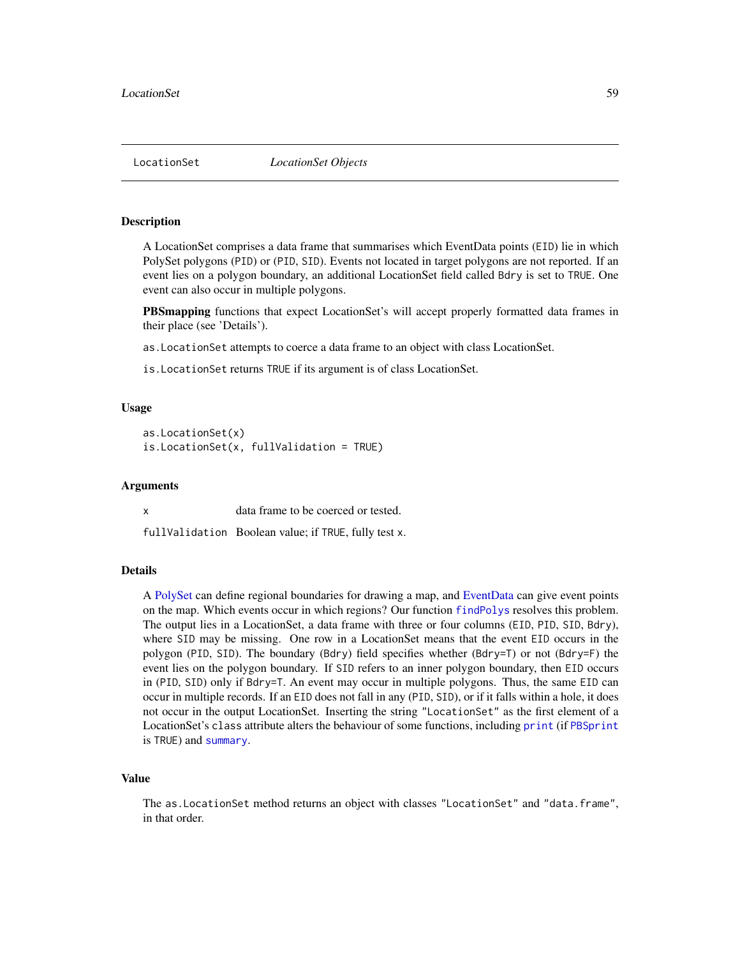<span id="page-58-0"></span>

#### Description

A LocationSet comprises a data frame that summarises which EventData points (EID) lie in which PolySet polygons (PID) or (PID, SID). Events not located in target polygons are not reported. If an event lies on a polygon boundary, an additional LocationSet field called Bdry is set to TRUE. One event can also occur in multiple polygons.

PBSmapping functions that expect LocationSet's will accept properly formatted data frames in their place (see 'Details').

as.LocationSet attempts to coerce a data frame to an object with class LocationSet.

is.LocationSet returns TRUE if its argument is of class LocationSet.

#### Usage

```
as.LocationSet(x)
is.LocationSet(x, fullValidation = TRUE)
```
#### Arguments

x data frame to be coerced or tested.

fullValidation Boolean value; if TRUE, fully test x.

## Details

A [PolySet](#page-77-0) can define regional boundaries for drawing a map, and [EventData](#page-37-0) can give event points on the map. Which events occur in which regions? Our function [findPolys](#page-41-0) resolves this problem. The output lies in a LocationSet, a data frame with three or four columns (EID, PID, SID, Bdry), where SID may be missing. One row in a LocationSet means that the event EID occurs in the polygon (PID, SID). The boundary (Bdry) field specifies whether (Bdry=T) or not (Bdry=F) the event lies on the polygon boundary. If SID refers to an inner polygon boundary, then EID occurs in (PID, SID) only if Bdry=T. An event may occur in multiple polygons. Thus, the same EID can occur in multiple records. If an EID does not fall in any (PID, SID), or if it falls within a hole, it does not occur in the output LocationSet. Inserting the string "LocationSet" as the first element of a LocationSet's class attribute alters the behaviour of some functions, including [print](#page-79-0) (if [PBSprint](#page-65-0) is TRUE) and [summary](#page-86-0).

# Value

The as.LocationSet method returns an object with classes "LocationSet" and "data.frame", in that order.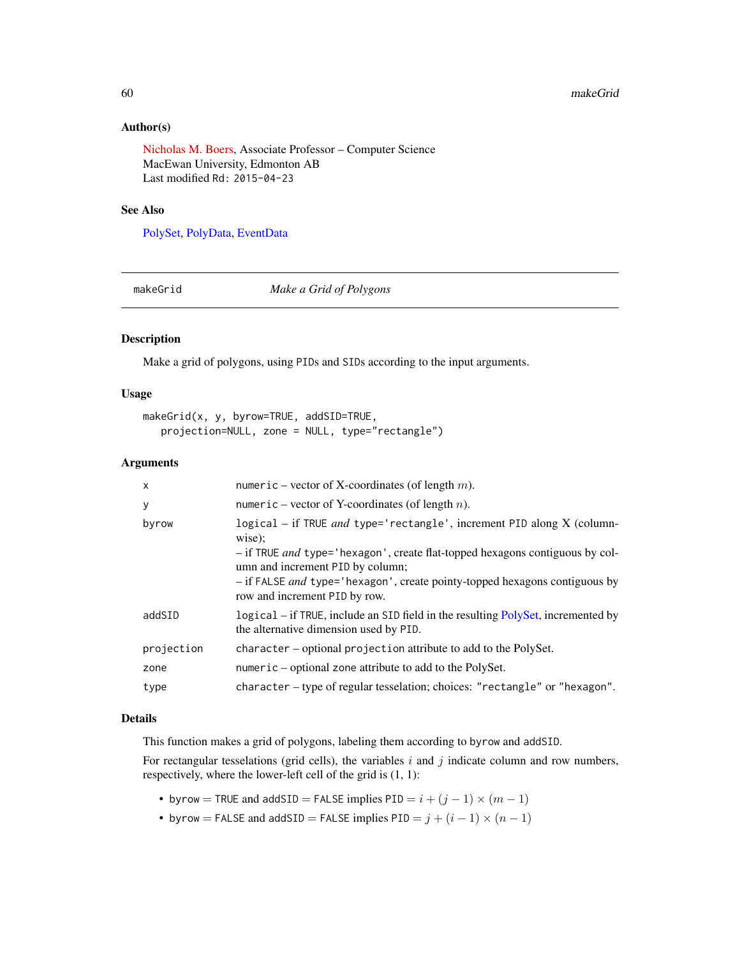## Author(s)

[Nicholas M. Boers,](https://academic.macewan.ca/boersn/) Associate Professor – Computer Science MacEwan University, Edmonton AB Last modified Rd: 2015-04-23

#### See Also

[PolySet,](#page-77-0) [PolyData,](#page-76-0) [EventData](#page-37-0)

<span id="page-59-0"></span>

makeGrid *Make a Grid of Polygons*

# Description

Make a grid of polygons, using PIDs and SIDs according to the input arguments.

# Usage

```
makeGrid(x, y, byrow=TRUE, addSID=TRUE,
  projection=NULL, zone = NULL, type="rectangle")
```
#### Arguments

| X          | numeric – vector of X-coordinates (of length $m$ ).                                                                        |
|------------|----------------------------------------------------------------------------------------------------------------------------|
| У          | numeric – vector of Y-coordinates (of length $n$ ).                                                                        |
| byrow      | logical - if TRUE and type='rectangle', increment PID along X (column-<br>wise);                                           |
|            | - if TRUE and type='hexagon', create flat-topped hexagons contiguous by col-<br>umn and increment PID by column;           |
|            | - if FALSE <i>and</i> type='hexagon', create pointy-topped hexagons contiguous by<br>row and increment PID by row.         |
| addSID     | logical – if TRUE, include an SID field in the resulting PolySet, incremented by<br>the alternative dimension used by PID. |
| projection | character - optional projection attribute to add to the PolySet.                                                           |
| zone       | numeric – optional zone attribute to add to the PolySet.                                                                   |
| type       | character – type of regular tesselation; choices: "rectangle" or "hexagon".                                                |

## Details

This function makes a grid of polygons, labeling them according to byrow and addSID.

For rectangular tesselations (grid cells), the variables  $i$  and  $j$  indicate column and row numbers, respectively, where the lower-left cell of the grid is (1, 1):

- byrow = TRUE and addSID = FALSE implies  $PID = i + (j 1) \times (m 1)$
- byrow = FALSE and addSID = FALSE implies  $PID = j + (i 1) \times (n 1)$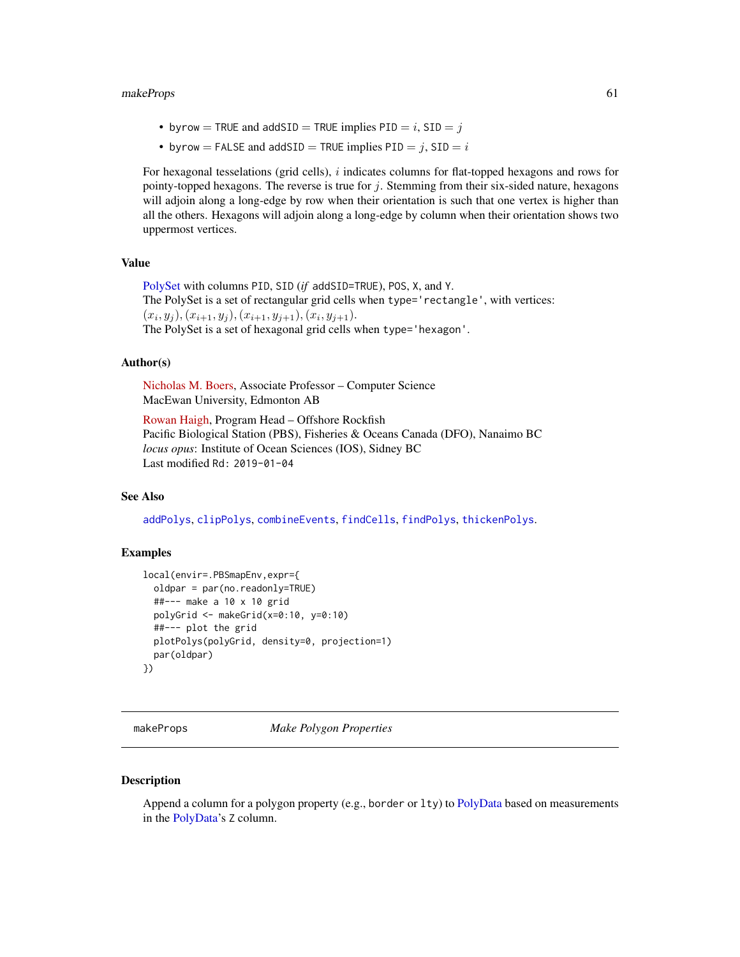#### makeProps 61

- byrow = TRUE and addSID = TRUE implies  $PID = i$ ,  $SID = j$
- byrow = FALSE and addSID = TRUE implies  $PID = j$ ,  $SID = i$

For hexagonal tesselations (grid cells), i indicates columns for flat-topped hexagons and rows for pointy-topped hexagons. The reverse is true for  $j$ . Stemming from their six-sided nature, hexagons will adjoin along a long-edge by row when their orientation is such that one vertex is higher than all the others. Hexagons will adjoin along a long-edge by column when their orientation shows two uppermost vertices.

# Value

[PolySet](#page-77-0) with columns PID, SID (*if* addSID=TRUE), POS, X, and Y. The PolySet is a set of rectangular grid cells when type='rectangle', with vertices:  $(x_i, y_j), (x_{i+1}, y_j), (x_{i+1}, y_{j+1}), (x_i, y_{j+1}).$ The PolySet is a set of hexagonal grid cells when type='hexagon'.

#### Author(s)

[Nicholas M. Boers,](https://academic.macewan.ca/boersn/) Associate Professor – Computer Science MacEwan University, Edmonton AB

[Rowan Haigh,](mailto:rowan.haigh@dfo-mpo.gc.ca) Program Head – Offshore Rockfish Pacific Biological Station (PBS), Fisheries & Oceans Canada (DFO), Nanaimo BC *locus opus*: Institute of Ocean Sciences (IOS), Sidney BC Last modified Rd: 2019-01-04

# See Also

[addPolys](#page-10-0), [clipPolys](#page-26-0), [combineEvents](#page-29-0), [findCells](#page-39-0), [findPolys](#page-41-0), [thickenPolys](#page-88-0).

## Examples

```
local(envir=.PBSmapEnv,expr={
  oldpar = par(no.readonly=TRUE)
  ##--- make a 10 x 10 grid
  polyGrid <- makeGrid(x=0:10, y=0:10)
  ##--- plot the grid
  plotPolys(polyGrid, density=0, projection=1)
  par(oldpar)
})
```
<span id="page-60-0"></span>makeProps *Make Polygon Properties*

#### **Description**

Append a column for a polygon property (e.g., border or lty) to [PolyData](#page-76-0) based on measurements in the [PolyData'](#page-76-0)s Z column.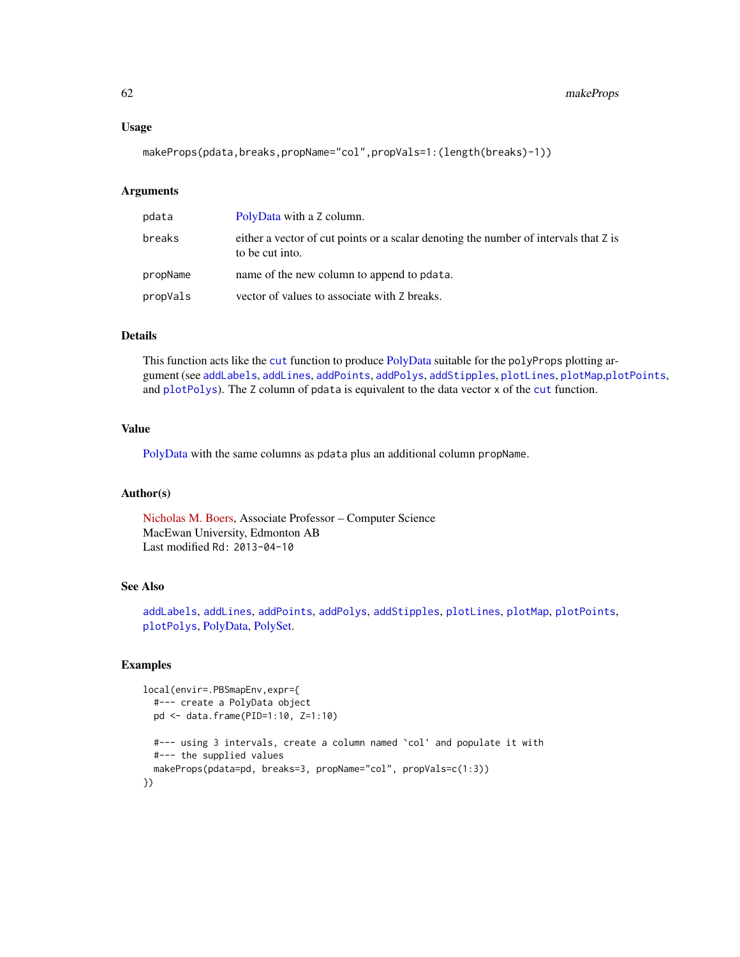#### Usage

makeProps(pdata,breaks,propName="col",propVals=1:(length(breaks)-1))

#### **Arguments**

| pdata    | PolyData with a Z column.                                                                               |
|----------|---------------------------------------------------------------------------------------------------------|
| breaks   | either a vector of cut points or a scalar denoting the number of intervals that Z is<br>to be cut into. |
| propName | name of the new column to append to polata.                                                             |
| propVals | vector of values to associate with Z breaks.                                                            |

## Details

This function acts like the [cut](#page-0-0) function to produce [PolyData](#page-76-0) suitable for the polyProps plotting argument (see [addLabels](#page-6-0), [addLines](#page-8-0), [addPoints](#page-9-0), [addPolys](#page-10-0), [addStipples](#page-12-0), [plotLines](#page-67-0), [plotMap](#page-69-0),[plotPoints](#page-72-0), and [plotPolys](#page-74-0)). The Z column of pdata is equivalent to the data vector x of the [cut](#page-0-0) function.

# Value

[PolyData](#page-76-0) with the same columns as pdata plus an additional column propName.

#### Author(s)

[Nicholas M. Boers,](https://academic.macewan.ca/boersn/) Associate Professor – Computer Science MacEwan University, Edmonton AB Last modified Rd: 2013-04-10

# See Also

[addLabels](#page-6-0), [addLines](#page-8-0), [addPoints](#page-9-0), [addPolys](#page-10-0), [addStipples](#page-12-0), [plotLines](#page-67-0), [plotMap](#page-69-0), [plotPoints](#page-72-0), [plotPolys](#page-74-0), [PolyData,](#page-76-0) [PolySet.](#page-77-0)

# Examples

```
local(envir=.PBSmapEnv,expr={
  #--- create a PolyData object
  pd <- data.frame(PID=1:10, Z=1:10)
  #--- using 3 intervals, create a column named `col' and populate it with
  #--- the supplied values
  makeProps(pdata=pd, breaks=3, propName="col", propVals=c(1:3))
})
```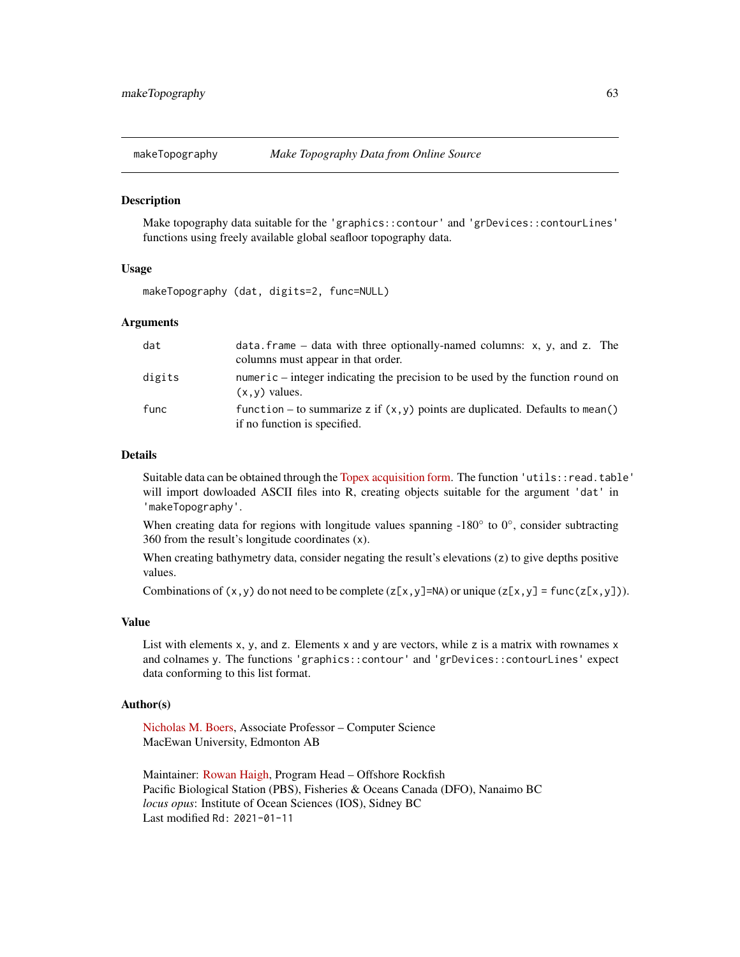#### Description

Make topography data suitable for the 'graphics::contour' and 'grDevices::contourLines' functions using freely available global seafloor topography data.

## Usage

makeTopography (dat, digits=2, func=NULL)

## Arguments

| dat    | data. frame – data with three optionally-named columns: $x$ , $y$ , and $z$ . The<br>columns must appear in that order. |
|--------|-------------------------------------------------------------------------------------------------------------------------|
| digits | numeric – integer indicating the precision to be used by the function round on<br>$(x, y)$ values.                      |
| func   | function – to summarize z if $(x, y)$ points are duplicated. Defaults to mean()<br>if no function is specified.         |

#### Details

Suitable data can be obtained through the [Topex acquisition form.](https://topex.ucsd.edu/cgi-bin/get_data.cgi) The function 'utils::read.table' will import dowloaded ASCII files into R, creating objects suitable for the argument 'dat' in 'makeTopography'.

When creating data for regions with longitude values spanning -180 $^{\circ}$  to 0 $^{\circ}$ , consider subtracting 360 from the result's longitude coordinates (x).

When creating bathymetry data, consider negating the result's elevations (z) to give depths positive values.

Combinations of  $(x, y)$  do not need to be complete  $(z[x, y]=NA)$  or unique  $(z[x, y] = func(z[x, y])$ .

## Value

List with elements x, y, and z. Elements x and y are vectors, while z is a matrix with rownames x and colnames y. The functions 'graphics::contour' and 'grDevices::contourLines' expect data conforming to this list format.

#### Author(s)

[Nicholas M. Boers,](https://academic.macewan.ca/boersn/) Associate Professor – Computer Science MacEwan University, Edmonton AB

Maintainer: [Rowan Haigh,](mailto:rowan.haigh@dfo-mpo.gc.ca) Program Head – Offshore Rockfish Pacific Biological Station (PBS), Fisheries & Oceans Canada (DFO), Nanaimo BC *locus opus*: Institute of Ocean Sciences (IOS), Sidney BC Last modified Rd: 2021-01-11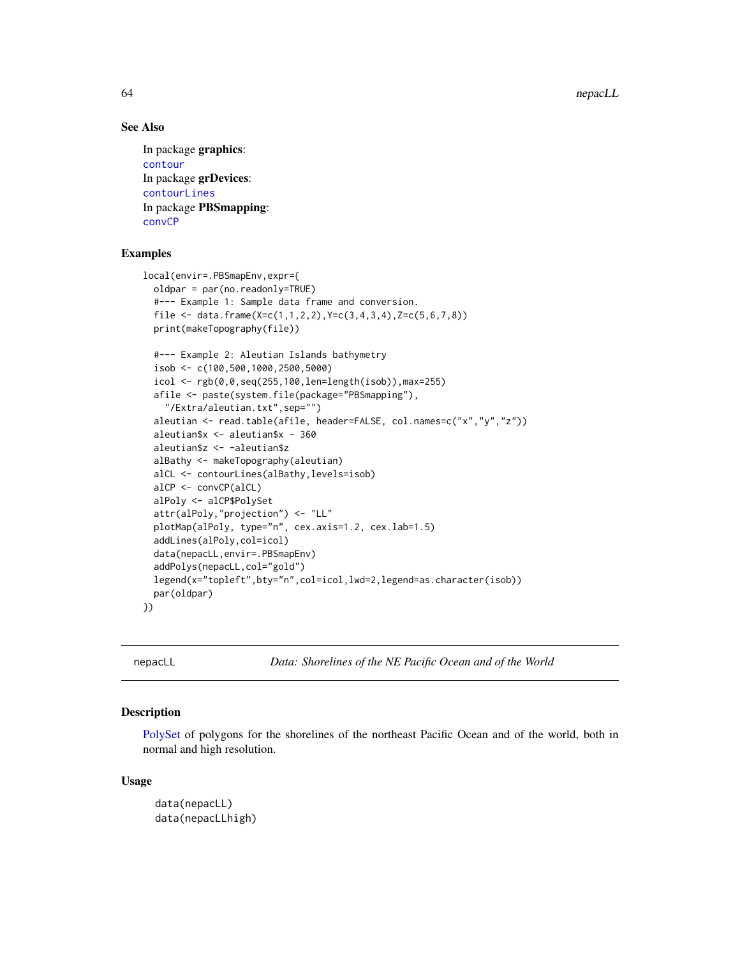64 nepacLL

# See Also

In package graphics: [contour](#page-0-0) In package grDevices: [contourLines](#page-0-0) In package PBSmapping: [convCP](#page-31-0)

# Examples

```
local(envir=.PBSmapEnv,expr={
  oldpar = par(no.readonly=TRUE)
  #--- Example 1: Sample data frame and conversion.
  file \leq data.frame(X=c(1,1,2,2),Y=c(3,4,3,4),Z=c(5,6,7,8))
  print(makeTopography(file))
  #--- Example 2: Aleutian Islands bathymetry
  isob <- c(100,500,1000,2500,5000)
  icol <- rgb(0,0,seq(255,100,len=length(isob)),max=255)
  afile <- paste(system.file(package="PBSmapping"),
    "/Extra/aleutian.txt",sep="")
  aleutian <- read.table(afile, header=FALSE, col.names=c("x","y","z"))
  aleutian$x <- aleutian$x - 360
  aleutian$z <- -aleutian$z
  alBathy <- makeTopography(aleutian)
  alCL <- contourLines(alBathy,levels=isob)
  alCP <- convCP(alCL)
  alPoly <- alCP$PolySet
  attr(alPoly,"projection") <- "LL"
  plotMap(alPoly, type="n", cex.axis=1.2, cex.lab=1.5)
  addLines(alPoly,col=icol)
  data(nepacLL,envir=.PBSmapEnv)
  addPolys(nepacLL,col="gold")
  legend(x="topleft",bty="n",col=icol,lwd=2,legend=as.character(isob))
  par(oldpar)
})
```
nepacLL *Data: Shorelines of the NE Pacific Ocean and of the World*

## Description

[PolySet](#page-77-0) of polygons for the shorelines of the northeast Pacific Ocean and of the world, both in normal and high resolution.

#### Usage

```
data(nepacLL)
data(nepacLLhigh)
```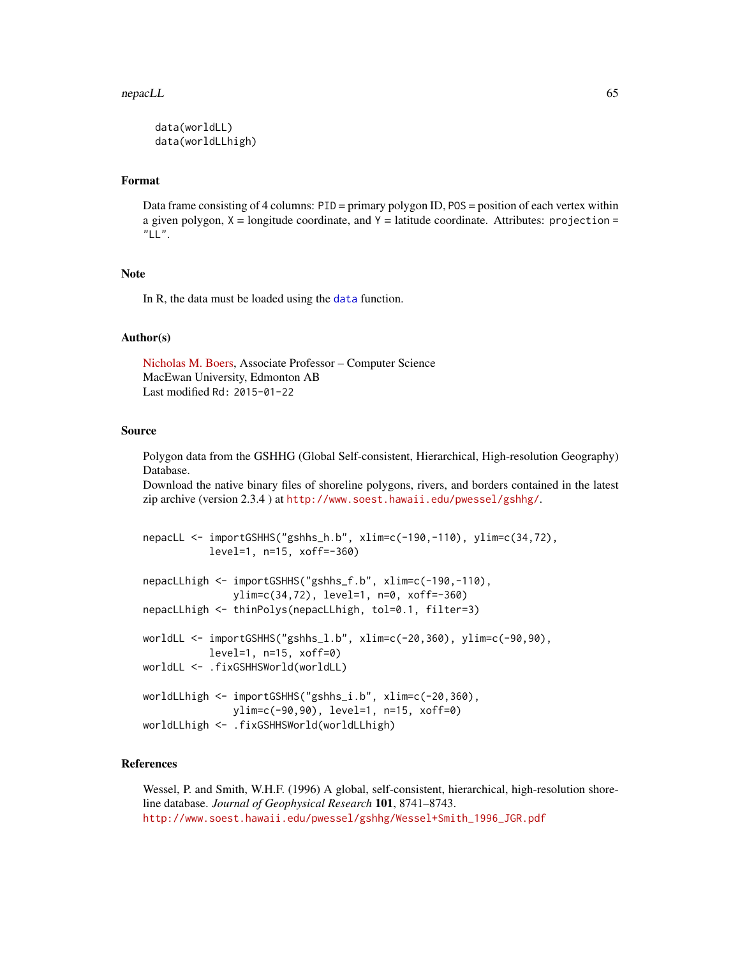#### nepacLL 65

```
data(worldLL)
data(worldLLhigh)
```
#### Format

Data frame consisting of 4 columns: PID = primary polygon ID, POS = position of each vertex within a given polygon,  $X =$  longitude coordinate, and  $Y =$  latitude coordinate. Attributes: projection =  $"LL"$ .

### Note

In R, the data must be loaded using the [data](#page-0-0) function.

#### Author(s)

[Nicholas M. Boers,](https://academic.macewan.ca/boersn/) Associate Professor – Computer Science MacEwan University, Edmonton AB Last modified Rd: 2015-01-22

## Source

Polygon data from the GSHHG (Global Self-consistent, Hierarchical, High-resolution Geography) Database.

Download the native binary files of shoreline polygons, rivers, and borders contained in the latest zip archive (version 2.3.4 ) at <http://www.soest.hawaii.edu/pwessel/gshhg/>.

```
nepacLL <- importGSHHS("gshhs_h.b", xlim=c(-190,-110), ylim=c(34,72),
           level=1, n=15, xoff=-360)
nepacLLhigh <- importGSHHS("gshhs_f.b", xlim=c(-190,-110),
               ylim=c(34,72), level=1, n=0, xoff=-360)
nepacLLhigh <- thinPolys(nepacLLhigh, tol=0.1, filter=3)
worldLL <- importGSHHS("gshhs_l.b", xlim=c(-20,360), ylim=c(-90,90),
           level=1, n=15, xoff=0)
worldLL <- .fixGSHHSWorld(worldLL)
worldLLhigh <- importGSHHS("gshhs_i.b", xlim=c(-20,360),
               ylim=c(-90,90), level=1, n=15, xoff=0)
worldLLhigh <- .fixGSHHSWorld(worldLLhigh)
```
## References

Wessel, P. and Smith, W.H.F. (1996) A global, self-consistent, hierarchical, high-resolution shoreline database. *Journal of Geophysical Research* 101, 8741–8743. [http://www.soest.hawaii.edu/pwessel/gshhg/Wessel+Smith\\_1996\\_JGR.pdf](http://www.soest.hawaii.edu/pwessel/gshhg/Wessel+Smith_1996_JGR.pdf)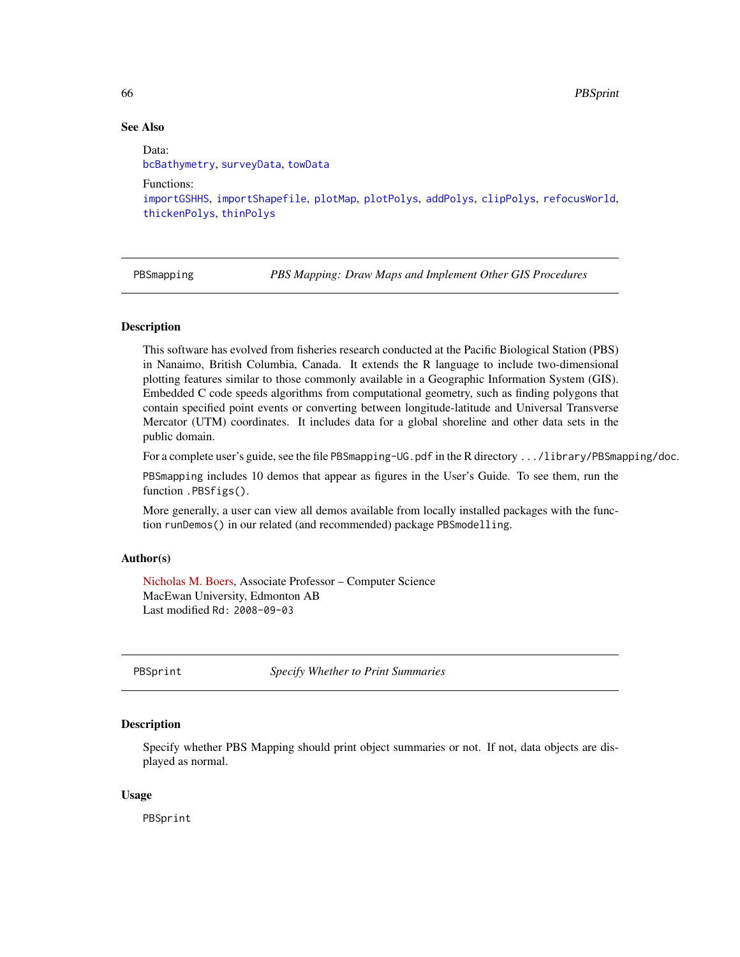66 PBSprint

# See Also

Data: [bcBathymetry](#page-14-0), [surveyData](#page-87-0), [towData](#page-91-0) Functions: [importGSHHS](#page-45-0), [importShapefile](#page-49-1), [plotMap](#page-69-0), [plotPolys](#page-74-0), [addPolys](#page-10-0), [clipPolys](#page-26-0), [refocusWorld](#page-81-0), [thickenPolys](#page-88-0), [thinPolys](#page-90-0)

PBSmapping *PBS Mapping: Draw Maps and Implement Other GIS Procedures*

# **Description**

This software has evolved from fisheries research conducted at the Pacific Biological Station (PBS) in Nanaimo, British Columbia, Canada. It extends the R language to include two-dimensional plotting features similar to those commonly available in a Geographic Information System (GIS). Embedded C code speeds algorithms from computational geometry, such as finding polygons that contain specified point events or converting between longitude-latitude and Universal Transverse Mercator (UTM) coordinates. It includes data for a global shoreline and other data sets in the public domain.

For a complete user's guide, see the file PBSmapping-UG.pdf in the R directory .../library/PBSmapping/doc.

PBSmapping includes 10 demos that appear as figures in the User's Guide. To see them, run the function .PBSfigs().

More generally, a user can view all demos available from locally installed packages with the function runDemos() in our related (and recommended) package PBSmodelling.

## Author(s)

[Nicholas M. Boers,](https://academic.macewan.ca/boersn/) Associate Professor – Computer Science MacEwan University, Edmonton AB Last modified Rd: 2008-09-03

<span id="page-65-0"></span>PBSprint *Specify Whether to Print Summaries*

## **Description**

Specify whether PBS Mapping should print object summaries or not. If not, data objects are displayed as normal.

## Usage

PBSprint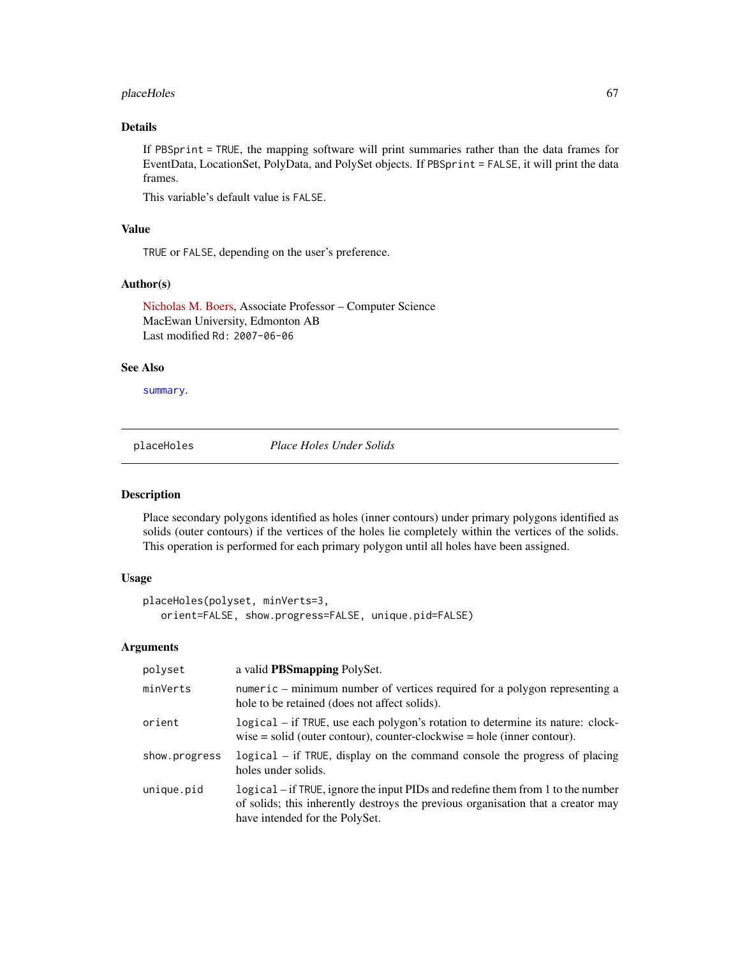#### placeHoles 67

# Details

If PBSprint = TRUE, the mapping software will print summaries rather than the data frames for EventData, LocationSet, PolyData, and PolySet objects. If PBSprint = FALSE, it will print the data frames.

This variable's default value is FALSE.

## Value

TRUE or FALSE, depending on the user's preference.

## Author(s)

[Nicholas M. Boers,](https://academic.macewan.ca/boersn/) Associate Professor – Computer Science MacEwan University, Edmonton AB Last modified Rd: 2007-06-06

## See Also

[summary](#page-86-0).

<span id="page-66-0"></span>placeHoles *Place Holes Under Solids*

#### Description

Place secondary polygons identified as holes (inner contours) under primary polygons identified as solids (outer contours) if the vertices of the holes lie completely within the vertices of the solids. This operation is performed for each primary polygon until all holes have been assigned.

# Usage

```
placeHoles(polyset, minVerts=3,
   orient=FALSE, show.progress=FALSE, unique.pid=FALSE)
```
## Arguments

| polyset       | a valid <b>PBS</b> mapping PolySet.                                                                                                                                                                   |
|---------------|-------------------------------------------------------------------------------------------------------------------------------------------------------------------------------------------------------|
| minVerts      | numeric – minimum number of vertices required for a polygon representing a<br>hole to be retained (does not affect solids).                                                                           |
| orient        | logical – if TRUE, use each polygon's rotation to determine its nature: clock-<br>wise $=$ solid (outer contour), counter-clockwise $=$ hole (inner contour).                                         |
| show.progress | logical – if TRUE, display on the command console the progress of placing<br>holes under solids.                                                                                                      |
| unique.pid    | logical – if TRUE, ignore the input PIDs and redefine them from 1 to the number<br>of solids; this inherently destroys the previous organisation that a creator may<br>have intended for the PolySet. |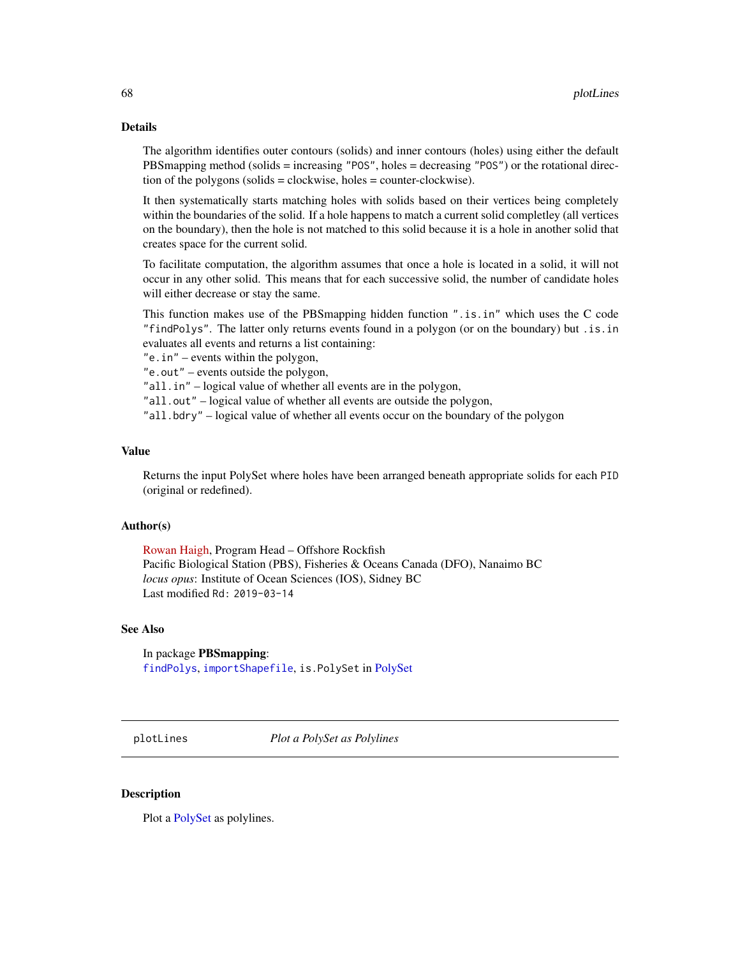#### Details

The algorithm identifies outer contours (solids) and inner contours (holes) using either the default PBSmapping method (solids = increasing "POS", holes = decreasing "POS") or the rotational direction of the polygons (solids = clockwise, holes = counter-clockwise).

It then systematically starts matching holes with solids based on their vertices being completely within the boundaries of the solid. If a hole happens to match a current solid completley (all vertices on the boundary), then the hole is not matched to this solid because it is a hole in another solid that creates space for the current solid.

To facilitate computation, the algorithm assumes that once a hole is located in a solid, it will not occur in any other solid. This means that for each successive solid, the number of candidate holes will either decrease or stay the same.

This function makes use of the PBSmapping hidden function ".is.in" which uses the C code "findPolys". The latter only returns events found in a polygon (or on the boundary) but .is.in evaluates all events and returns a list containing:

"e.in" – events within the polygon,

"e.out" – events outside the polygon,

"all.in" – logical value of whether all events are in the polygon,

"all.out" – logical value of whether all events are outside the polygon,

"all.bdry" – logical value of whether all events occur on the boundary of the polygon

#### Value

Returns the input PolySet where holes have been arranged beneath appropriate solids for each PID (original or redefined).

#### Author(s)

[Rowan Haigh,](mailto:rowan.haigh@dfo-mpo.gc.ca) Program Head – Offshore Rockfish Pacific Biological Station (PBS), Fisheries & Oceans Canada (DFO), Nanaimo BC *locus opus*: Institute of Ocean Sciences (IOS), Sidney BC Last modified Rd: 2019-03-14

## See Also

In package PBSmapping: [findPolys](#page-41-0), [importShapefile](#page-49-1), is.PolySet in [PolySet](#page-77-0)

<span id="page-67-0"></span>plotLines *Plot a PolySet as Polylines*

#### Description

Plot a [PolySet](#page-77-0) as polylines.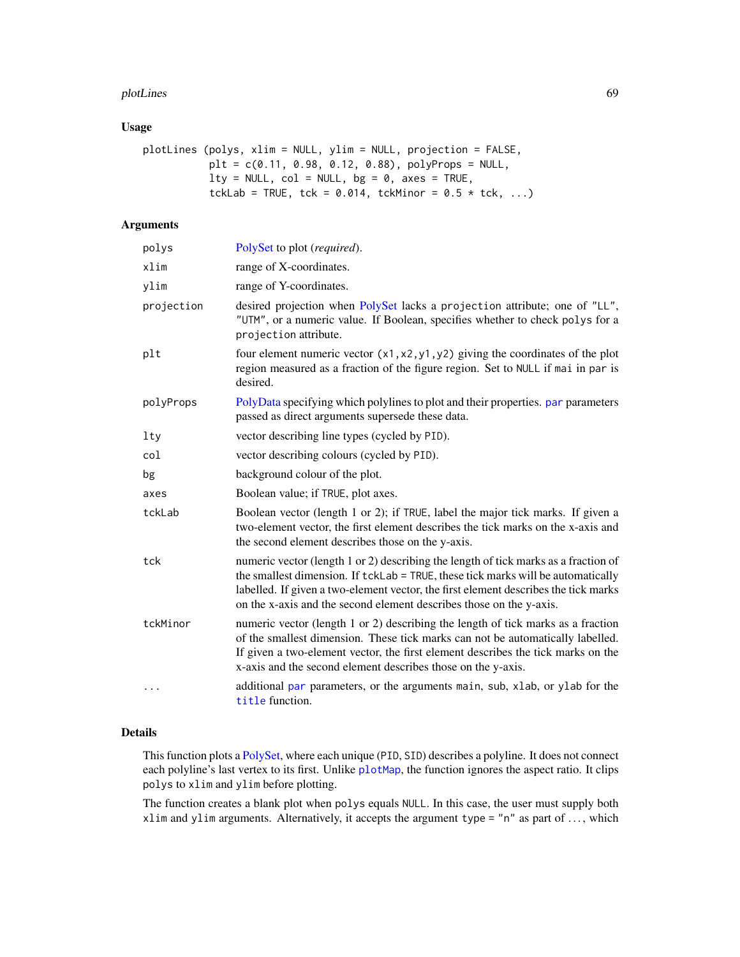#### plotLines 69

# Usage

```
plotLines (polys, xlim = NULL, ylim = NULL, projection = FALSE,
          plt = c(0.11, 0.98, 0.12, 0.88), polyProps = NULL,lty = NULL, col = NULL, bg = 0, axes = TRUE,tckLab = TRUE, tck = 0.014, tckMinor = 0.5 * tck, ...)
```
# Arguments

| polys      | PolySet to plot (required).                                                                                                                                                                                                                                                                                                           |
|------------|---------------------------------------------------------------------------------------------------------------------------------------------------------------------------------------------------------------------------------------------------------------------------------------------------------------------------------------|
| xlim       | range of X-coordinates.                                                                                                                                                                                                                                                                                                               |
| ylim       | range of Y-coordinates.                                                                                                                                                                                                                                                                                                               |
| projection | desired projection when PolySet lacks a projection attribute; one of "LL",<br>"UTM", or a numeric value. If Boolean, specifies whether to check polys for a<br>projection attribute.                                                                                                                                                  |
| plt        | four element numeric vector $(x1, x2, y1, y2)$ giving the coordinates of the plot<br>region measured as a fraction of the figure region. Set to NULL if mai in par is<br>desired.                                                                                                                                                     |
| polyProps  | PolyData specifying which polylines to plot and their properties. par parameters<br>passed as direct arguments supersede these data.                                                                                                                                                                                                  |
| lty        | vector describing line types (cycled by PID).                                                                                                                                                                                                                                                                                         |
| col        | vector describing colours (cycled by PID).                                                                                                                                                                                                                                                                                            |
| bg         | background colour of the plot.                                                                                                                                                                                                                                                                                                        |
| axes       | Boolean value; if TRUE, plot axes.                                                                                                                                                                                                                                                                                                    |
| tckLab     | Boolean vector (length 1 or 2); if TRUE, label the major tick marks. If given a<br>two-element vector, the first element describes the tick marks on the x-axis and<br>the second element describes those on the y-axis.                                                                                                              |
| tck        | numeric vector (length 1 or 2) describing the length of tick marks as a fraction of<br>the smallest dimension. If tckLab = TRUE, these tick marks will be automatically<br>labelled. If given a two-element vector, the first element describes the tick marks<br>on the x-axis and the second element describes those on the y-axis. |
| tckMinor   | numeric vector (length 1 or 2) describing the length of tick marks as a fraction<br>of the smallest dimension. These tick marks can not be automatically labelled.<br>If given a two-element vector, the first element describes the tick marks on the<br>x-axis and the second element describes those on the y-axis.                |
| .          | additional par parameters, or the arguments main, sub, xlab, or ylab for the<br>title function.                                                                                                                                                                                                                                       |

# Details

This function plots a [PolySet,](#page-77-0) where each unique (PID, SID) describes a polyline. It does not connect each polyline's last vertex to its first. Unlike [plotMap](#page-69-0), the function ignores the aspect ratio. It clips polys to xlim and ylim before plotting.

The function creates a blank plot when polys equals NULL. In this case, the user must supply both xlim and ylim arguments. Alternatively, it accepts the argument type = "n" as part of ..., which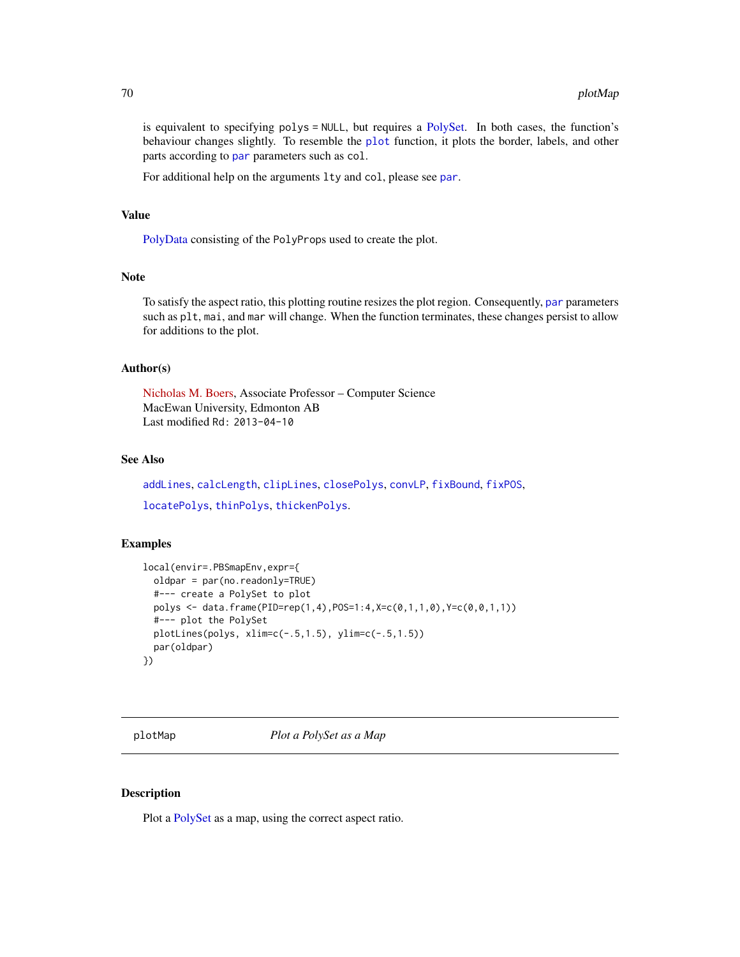is equivalent to specifying polys = NULL, but requires a [PolySet.](#page-77-0) In both cases, the function's behaviour changes slightly. To resemble the [plot](#page-0-0) function, it plots the border, labels, and other [par](#page-0-0)ts according to par parameters such as col.

For additional help on the arguments lty and col, please see [par](#page-0-0).

## Value

[PolyData](#page-76-0) consisting of the PolyProps used to create the plot.

## Note

To satisfy the aspect ratio, this plotting routine resizes the plot region. Consequently, [par](#page-0-0) parameters such as plt, mai, and mar will change. When the function terminates, these changes persist to allow for additions to the plot.

## Author(s)

[Nicholas M. Boers,](https://academic.macewan.ca/boersn/) Associate Professor – Computer Science MacEwan University, Edmonton AB Last modified Rd: 2013-04-10

# See Also

[addLines](#page-8-0), [calcLength](#page-20-0), [clipLines](#page-25-0), [closePolys](#page-27-0), [convLP](#page-33-0), [fixBound](#page-42-0), [fixPOS](#page-43-0), [locatePolys](#page-56-0), [thinPolys](#page-90-0), [thickenPolys](#page-88-0).

## Examples

```
local(envir=.PBSmapEnv,expr={
 oldpar = par(no.readonly=TRUE)
 #--- create a PolySet to plot
 polys <- data.frame(PID=rep(1,4),POS=1:4,X=c(0,1,1,0),Y=c(0,0,1,1))
 #--- plot the PolySet
 plotLines(polys, xlim=c(-.5,1.5), ylim=c(-.5,1.5))
 par(oldpar)
})
```
<span id="page-69-0"></span>plotMap *Plot a PolySet as a Map*

#### **Description**

Plot a [PolySet](#page-77-0) as a map, using the correct aspect ratio.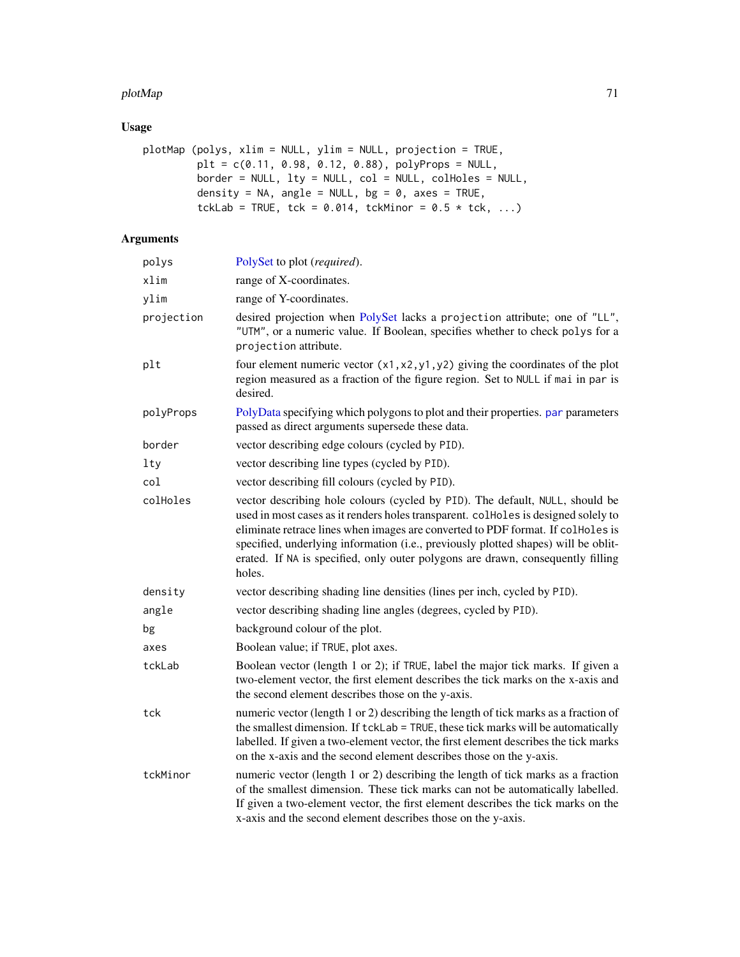#### plotMap 21 and 200 and 200 and 200 and 200 and 200 and 200 and 200 and 200 and 200 and 200 and 200 and 200 and

# Usage

```
plotMap (polys, xlim = NULL, ylim = NULL, projection = TRUE,
         plt = c(0.11, 0.98, 0.12, 0.88), polyProps = NULL,border = NULL, lty = NULL, col = NULL, colHoles = NULL,
         density = NA, angle = NULL, bg = 0, axes = TRUE,
         tckLab = TRUE, tck = 0.014, tckMinor = 0.5 * tck, ...)
```
# Arguments

| polys      | PolySet to plot (required).                                                                                                                                                                                                                                                                                                                                                                                                               |
|------------|-------------------------------------------------------------------------------------------------------------------------------------------------------------------------------------------------------------------------------------------------------------------------------------------------------------------------------------------------------------------------------------------------------------------------------------------|
| xlim       | range of X-coordinates.                                                                                                                                                                                                                                                                                                                                                                                                                   |
| ylim       | range of Y-coordinates.                                                                                                                                                                                                                                                                                                                                                                                                                   |
| projection | desired projection when PolySet lacks a projection attribute; one of "LL",<br>"UTM", or a numeric value. If Boolean, specifies whether to check polys for a<br>projection attribute.                                                                                                                                                                                                                                                      |
| plt        | four element numeric vector $(x1, x2, y1, y2)$ giving the coordinates of the plot<br>region measured as a fraction of the figure region. Set to NULL if mai in par is<br>desired.                                                                                                                                                                                                                                                         |
| polyProps  | PolyData specifying which polygons to plot and their properties. par parameters<br>passed as direct arguments supersede these data.                                                                                                                                                                                                                                                                                                       |
| border     | vector describing edge colours (cycled by PID).                                                                                                                                                                                                                                                                                                                                                                                           |
| lty        | vector describing line types (cycled by PID).                                                                                                                                                                                                                                                                                                                                                                                             |
| col        | vector describing fill colours (cycled by PID).                                                                                                                                                                                                                                                                                                                                                                                           |
| colHoles   | vector describing hole colours (cycled by PID). The default, NULL, should be<br>used in most cases as it renders holes transparent. collected is designed solely to<br>eliminate retrace lines when images are converted to PDF format. If colHoles is<br>specified, underlying information (i.e., previously plotted shapes) will be oblit-<br>erated. If NA is specified, only outer polygons are drawn, consequently filling<br>holes. |
| density    | vector describing shading line densities (lines per inch, cycled by PID).                                                                                                                                                                                                                                                                                                                                                                 |
| angle      | vector describing shading line angles (degrees, cycled by PID).                                                                                                                                                                                                                                                                                                                                                                           |
| bg         | background colour of the plot.                                                                                                                                                                                                                                                                                                                                                                                                            |
| axes       | Boolean value; if TRUE, plot axes.                                                                                                                                                                                                                                                                                                                                                                                                        |
| tckLab     | Boolean vector (length 1 or 2); if TRUE, label the major tick marks. If given a<br>two-element vector, the first element describes the tick marks on the x-axis and<br>the second element describes those on the y-axis.                                                                                                                                                                                                                  |
| tck        | numeric vector (length 1 or 2) describing the length of tick marks as a fraction of<br>the smallest dimension. If tckLab = TRUE, these tick marks will be automatically<br>labelled. If given a two-element vector, the first element describes the tick marks<br>on the x-axis and the second element describes those on the y-axis.                                                                                                     |
| tckMinor   | numeric vector (length 1 or 2) describing the length of tick marks as a fraction<br>of the smallest dimension. These tick marks can not be automatically labelled.<br>If given a two-element vector, the first element describes the tick marks on the<br>x-axis and the second element describes those on the y-axis.                                                                                                                    |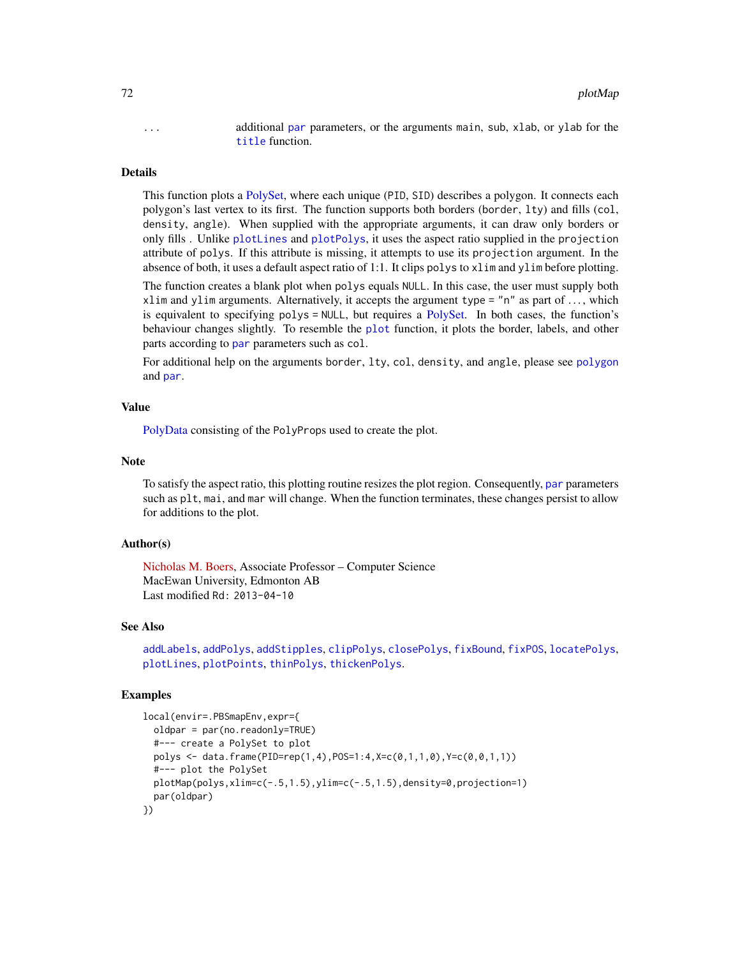... additional [par](#page-0-0) parameters, or the arguments main, sub, xlab, or ylab for the [title](#page-0-0) function.

## Details

This function plots a [PolySet,](#page-77-0) where each unique (PID, SID) describes a polygon. It connects each polygon's last vertex to its first. The function supports both borders (border, lty) and fills (col, density, angle). When supplied with the appropriate arguments, it can draw only borders or only fills . Unlike [plotLines](#page-67-0) and [plotPolys](#page-74-0), it uses the aspect ratio supplied in the projection attribute of polys. If this attribute is missing, it attempts to use its projection argument. In the absence of both, it uses a default aspect ratio of 1:1. It clips polys to xlim and ylim before plotting.

The function creates a blank plot when polys equals NULL. In this case, the user must supply both xlim and ylim arguments. Alternatively, it accepts the argument type =  $n<sup>n</sup>$  as part of ..., which is equivalent to specifying polys = NULL, but requires a [PolySet.](#page-77-0) In both cases, the function's behaviour changes slightly. To resemble the [plot](#page-0-0) function, it plots the border, labels, and other [par](#page-0-0)ts according to par parameters such as col.

For additional help on the arguments border, lty, col, density, and angle, please see [polygon](#page-0-0) and [par](#page-0-0).

#### Value

[PolyData](#page-76-0) consisting of the PolyProps used to create the plot.

#### **Note**

To satisfy the aspect ratio, this plotting routine resizes the plot region. Consequently, [par](#page-0-0) parameters such as plt, mai, and mar will change. When the function terminates, these changes persist to allow for additions to the plot.

## Author(s)

[Nicholas M. Boers,](https://academic.macewan.ca/boersn/) Associate Professor – Computer Science MacEwan University, Edmonton AB Last modified Rd: 2013-04-10

## See Also

```
addLabels, addPolys, addStipples, clipPolys, closePolys, fixBound, fixPOS, locatePolys,
plotLines, plotPoints, thinPolys, thickenPolys.
```
## Examples

```
local(envir=.PBSmapEnv,expr={
 oldpar = par(no.readonly=TRUE)
 #--- create a PolySet to plot
 polys <- data.frame(PID=rep(1,4),POS=1:4,X=c(0,1,1,0),Y=c(0,0,1,1))
  #--- plot the PolySet
 plotMap(polys,xlim=c(-.5,1.5),ylim=c(-.5,1.5),density=0,projection=1)
 par(oldpar)
})
```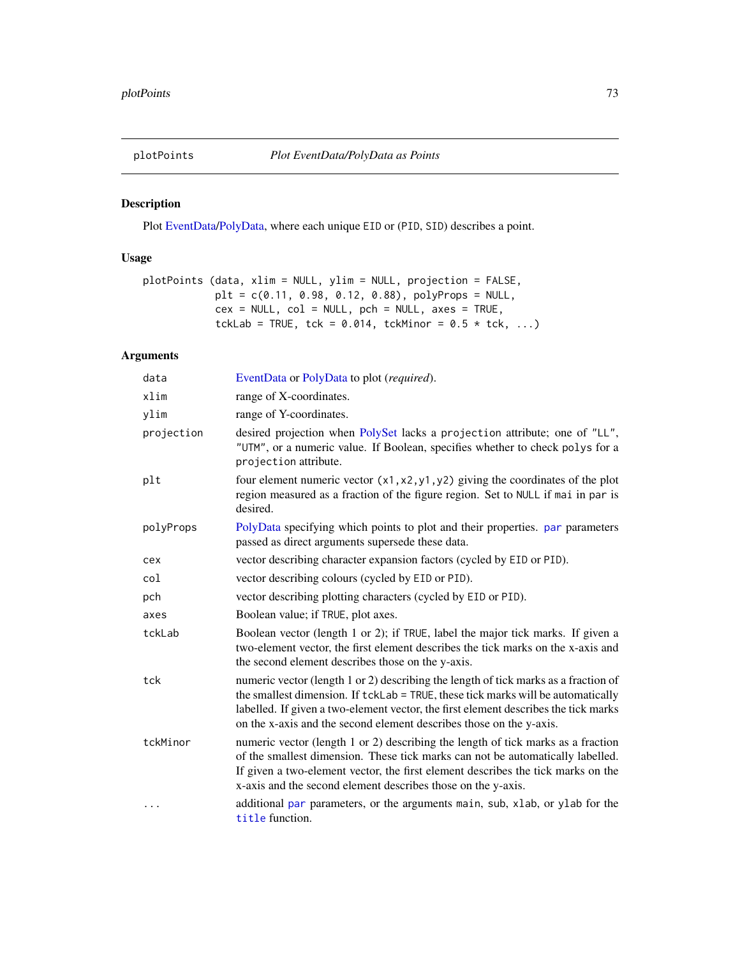<span id="page-72-1"></span><span id="page-72-0"></span>

Plot [EventData/](#page-37-0)[PolyData,](#page-76-0) where each unique EID or (PID, SID) describes a point.

# Usage

```
plotPoints (data, xlim = NULL, ylim = NULL, projection = FALSE,
            plt = c(0.11, 0.98, 0.12, 0.88), polyProps = NULL,
            cex = NULL, col = NULL, pch = NULL, axes = TRUE,tckLab = TRUE, tck = 0.014, tckMinor = 0.5 * tck, ...)
```
# Arguments

| data       | EventData or PolyData to plot (required).                                                                                                                                                                                                                                                                                             |
|------------|---------------------------------------------------------------------------------------------------------------------------------------------------------------------------------------------------------------------------------------------------------------------------------------------------------------------------------------|
| xlim       | range of X-coordinates.                                                                                                                                                                                                                                                                                                               |
| ylim       | range of Y-coordinates.                                                                                                                                                                                                                                                                                                               |
| projection | desired projection when PolySet lacks a projection attribute; one of "LL",<br>"UTM", or a numeric value. If Boolean, specifies whether to check polys for a<br>projection attribute.                                                                                                                                                  |
| plt        | four element numeric vector $(x1, x2, y1, y2)$ giving the coordinates of the plot<br>region measured as a fraction of the figure region. Set to NULL if mai in par is<br>desired.                                                                                                                                                     |
| polyProps  | PolyData specifying which points to plot and their properties. par parameters<br>passed as direct arguments supersede these data.                                                                                                                                                                                                     |
| cex        | vector describing character expansion factors (cycled by EID or PID).                                                                                                                                                                                                                                                                 |
| col        | vector describing colours (cycled by EID or PID).                                                                                                                                                                                                                                                                                     |
| pch        | vector describing plotting characters (cycled by EID or PID).                                                                                                                                                                                                                                                                         |
| axes       | Boolean value; if TRUE, plot axes.                                                                                                                                                                                                                                                                                                    |
| tckLab     | Boolean vector (length 1 or 2); if TRUE, label the major tick marks. If given a<br>two-element vector, the first element describes the tick marks on the x-axis and<br>the second element describes those on the y-axis.                                                                                                              |
| tck        | numeric vector (length 1 or 2) describing the length of tick marks as a fraction of<br>the smallest dimension. If tckLab = TRUE, these tick marks will be automatically<br>labelled. If given a two-element vector, the first element describes the tick marks<br>on the x-axis and the second element describes those on the y-axis. |
| tckMinor   | numeric vector (length 1 or 2) describing the length of tick marks as a fraction<br>of the smallest dimension. These tick marks can not be automatically labelled.<br>If given a two-element vector, the first element describes the tick marks on the<br>x-axis and the second element describes those on the y-axis.                |
| $\ddotsc$  | additional par parameters, or the arguments main, sub, xlab, or ylab for the<br>title function.                                                                                                                                                                                                                                       |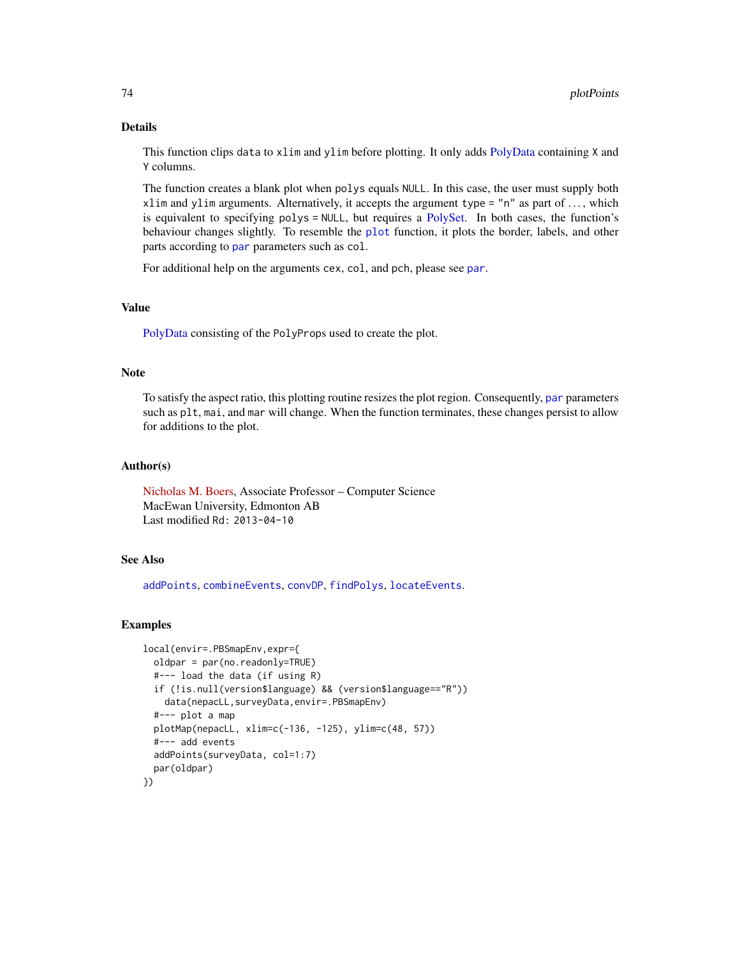# Details

This function clips data to xlim and ylim before plotting. It only adds [PolyData](#page-76-0) containing X and Y columns.

The function creates a blank plot when polys equals NULL. In this case, the user must supply both xlim and ylim arguments. Alternatively, it accepts the argument type  $=$  "n" as part of ..., which is equivalent to specifying polys = NULL, but requires a [PolySet.](#page-77-0) In both cases, the function's behaviour changes slightly. To resemble the [plot](#page-0-0) function, it plots the border, labels, and other [par](#page-0-0)ts according to par parameters such as col.

For additional help on the arguments cex, col, and pch, please see [par](#page-0-0).

# Value

[PolyData](#page-76-0) consisting of the PolyProps used to create the plot.

## Note

To satisfy the aspect ratio, this plotting routine resizes the plot region. Consequently, [par](#page-0-0) parameters such as plt, mai, and mar will change. When the function terminates, these changes persist to allow for additions to the plot.

# Author(s)

[Nicholas M. Boers,](https://academic.macewan.ca/boersn/) Associate Professor – Computer Science MacEwan University, Edmonton AB Last modified Rd: 2013-04-10

## See Also

[addPoints](#page-9-0), [combineEvents](#page-29-0), [convDP](#page-32-0), [findPolys](#page-41-0), [locateEvents](#page-55-0).

# Examples

```
local(envir=.PBSmapEnv,expr={
 oldpar = par(no.readonly=TRUE)
 #--- load the data (if using R)
 if (!is.null(version$language) && (version$language=="R"))
   data(nepacLL,surveyData,envir=.PBSmapEnv)
 #--- plot a map
 plotMap(nepacLL, xlim=c(-136, -125), ylim=c(48, 57))
 #--- add events
 addPoints(surveyData, col=1:7)
 par(oldpar)
})
```
<span id="page-73-0"></span>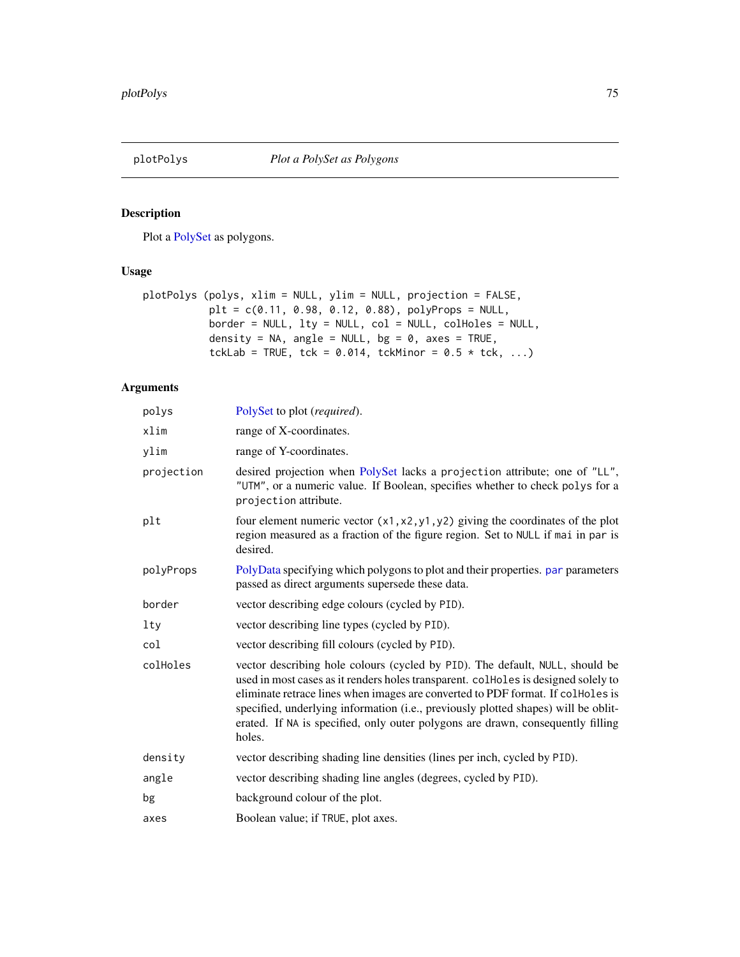<span id="page-74-1"></span><span id="page-74-0"></span>

Plot a [PolySet](#page-77-0) as polygons.

# Usage

```
plotPolys (polys, xlim = NULL, ylim = NULL, projection = FALSE,
          plt = c(0.11, 0.98, 0.12, 0.88), polyProps = NULL,
          border = NULL, lty = NULL, col = NULL, colHoles = NULL,
          density = NA, angle = NULL, bg = 0, axes = TRUE,
           tckLab = TRUE, tck = 0.014, tckMinor = 0.5 * tck, ...)
```
# Arguments

| polys      | PolySet to plot (required).                                                                                                                                                                                                                                                                                                                                                                                                               |
|------------|-------------------------------------------------------------------------------------------------------------------------------------------------------------------------------------------------------------------------------------------------------------------------------------------------------------------------------------------------------------------------------------------------------------------------------------------|
| xlim       | range of X-coordinates.                                                                                                                                                                                                                                                                                                                                                                                                                   |
| ylim       | range of Y-coordinates.                                                                                                                                                                                                                                                                                                                                                                                                                   |
| projection | desired projection when PolySet lacks a projection attribute; one of "LL",<br>"UTM", or a numeric value. If Boolean, specifies whether to check polys for a<br>projection attribute.                                                                                                                                                                                                                                                      |
| plt        | four element numeric vector $(x1, x2, y1, y2)$ giving the coordinates of the plot<br>region measured as a fraction of the figure region. Set to NULL if mai in par is<br>desired.                                                                                                                                                                                                                                                         |
| polyProps  | PolyData specifying which polygons to plot and their properties. par parameters<br>passed as direct arguments supersede these data.                                                                                                                                                                                                                                                                                                       |
| border     | vector describing edge colours (cycled by PID).                                                                                                                                                                                                                                                                                                                                                                                           |
| <b>lty</b> | vector describing line types (cycled by PID).                                                                                                                                                                                                                                                                                                                                                                                             |
| col        | vector describing fill colours (cycled by PID).                                                                                                                                                                                                                                                                                                                                                                                           |
| colHoles   | vector describing hole colours (cycled by PID). The default, NULL, should be<br>used in most cases as it renders holes transparent. collected is designed solely to<br>eliminate retrace lines when images are converted to PDF format. If colHoles is<br>specified, underlying information (i.e., previously plotted shapes) will be oblit-<br>erated. If NA is specified, only outer polygons are drawn, consequently filling<br>holes. |
| density    | vector describing shading line densities (lines per inch, cycled by PID).                                                                                                                                                                                                                                                                                                                                                                 |
| angle      | vector describing shading line angles (degrees, cycled by PID).                                                                                                                                                                                                                                                                                                                                                                           |
| bg         | background colour of the plot.                                                                                                                                                                                                                                                                                                                                                                                                            |
| axes       | Boolean value; if TRUE, plot axes.                                                                                                                                                                                                                                                                                                                                                                                                        |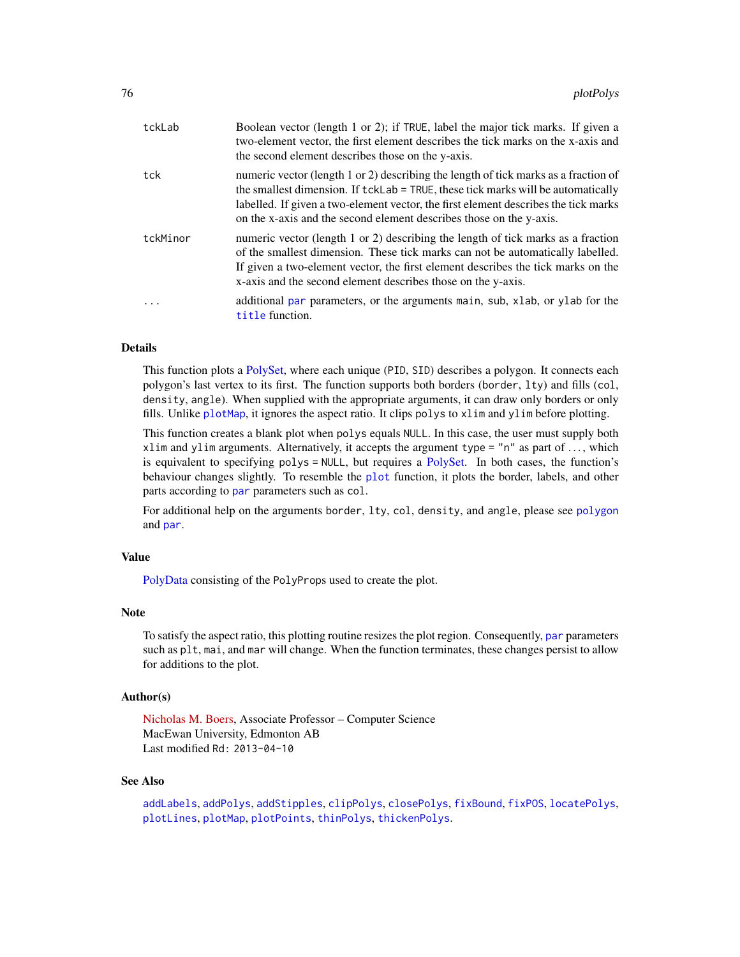<span id="page-75-0"></span>

| tckLab   | Boolean vector (length 1 or 2); if TRUE, label the major tick marks. If given a<br>two-element vector, the first element describes the tick marks on the x-axis and<br>the second element describes those on the y-axis.                                                                                                              |
|----------|---------------------------------------------------------------------------------------------------------------------------------------------------------------------------------------------------------------------------------------------------------------------------------------------------------------------------------------|
| tck      | numeric vector (length 1 or 2) describing the length of tick marks as a fraction of<br>the smallest dimension. If tckLab = TRUE, these tick marks will be automatically<br>labelled. If given a two-element vector, the first element describes the tick marks<br>on the x-axis and the second element describes those on the y-axis. |
| tckMinor | numeric vector (length 1 or 2) describing the length of tick marks as a fraction<br>of the smallest dimension. These tick marks can not be automatically labelled.<br>If given a two-element vector, the first element describes the tick marks on the<br>x-axis and the second element describes those on the y-axis.                |
|          | additional par parameters, or the arguments main, sub, xlab, or ylab for the<br>title function.                                                                                                                                                                                                                                       |

# Details

This function plots a [PolySet,](#page-77-0) where each unique (PID, SID) describes a polygon. It connects each polygon's last vertex to its first. The function supports both borders (border, lty) and fills (col, density, angle). When supplied with the appropriate arguments, it can draw only borders or only fills. Unlike [plotMap](#page-69-0), it ignores the aspect ratio. It clips polys to xlim and ylim before plotting.

This function creates a blank plot when polys equals NULL. In this case, the user must supply both xlim and ylim arguments. Alternatively, it accepts the argument type  $=$  "n" as part of ..., which is equivalent to specifying  $polys = NULL$ , but requires a [PolySet.](#page-77-0) In both cases, the function's behaviour changes slightly. To resemble the [plot](#page-0-0) function, it plots the border, labels, and other [par](#page-0-0)ts according to par parameters such as col.

For additional help on the arguments border, lty, col, density, and angle, please see [polygon](#page-0-0) and [par](#page-0-0).

## Value

[PolyData](#page-76-0) consisting of the PolyProps used to create the plot.

#### **Note**

To satisfy the aspect ratio, this plotting routine resizes the plot region. Consequently, [par](#page-0-0) parameters such as plt, mai, and mar will change. When the function terminates, these changes persist to allow for additions to the plot.

# Author(s)

[Nicholas M. Boers,](https://academic.macewan.ca/boersn/) Associate Professor – Computer Science MacEwan University, Edmonton AB Last modified Rd: 2013-04-10

#### See Also

```
addLabels, addPolys, addStipples, clipPolys, closePolys, fixBound, fixPOS, locatePolys,
plotLines, plotMap, plotPoints, thinPolys, thickenPolys.
```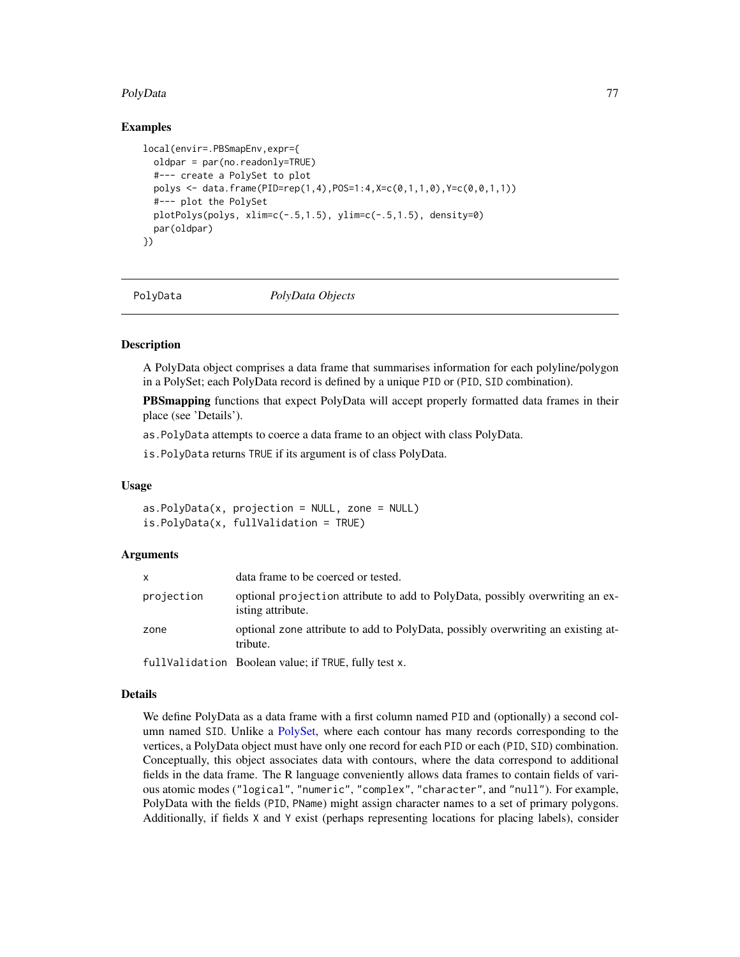## <span id="page-76-1"></span>PolyData 77

# Examples

```
local(envir=.PBSmapEnv,expr={
 oldpar = par(no.readonly=TRUE)
 #--- create a PolySet to plot
 polys <- data.frame(PID=rep(1,4),POS=1:4,X=c(0,1,1,0),Y=c(0,0,1,1))
 #--- plot the PolySet
 plotPolys(polys, xlim=c(-.5,1.5), ylim=c(-.5,1.5), density=0)
 par(oldpar)
})
```
<span id="page-76-0"></span>

PolyData *PolyData Objects*

# **Description**

A PolyData object comprises a data frame that summarises information for each polyline/polygon in a PolySet; each PolyData record is defined by a unique PID or (PID, SID combination).

**PBSmapping** functions that expect PolyData will accept properly formatted data frames in their place (see 'Details').

as.PolyData attempts to coerce a data frame to an object with class PolyData.

is.PolyData returns TRUE if its argument is of class PolyData.

# Usage

as.PolyData(x, projection = NULL, zone = NULL) is.PolyData(x, fullValidation = TRUE)

#### Arguments

Details

| <b>x</b>   | data frame to be coerced or tested.                                                                |
|------------|----------------------------------------------------------------------------------------------------|
| projection | optional projection attribute to add to PolyData, possibly overwriting an ex-<br>isting attribute. |
| zone       | optional zone attribute to add to PolyData, possibly overwriting an existing at-<br>tribute.       |
|            | fullValidation Boolean value; if TRUE, fully test x.                                               |

We define PolyData as a data frame with a first column named PID and (optionally) a second column named SID. Unlike a [PolySet,](#page-77-0) where each contour has many records corresponding to the vertices, a PolyData object must have only one record for each PID or each (PID, SID) combination. Conceptually, this object associates data with contours, where the data correspond to additional fields in the data frame. The R language conveniently allows data frames to contain fields of various atomic modes ("logical", "numeric", "complex", "character", and "null"). For example, PolyData with the fields (PID, PName) might assign character names to a set of primary polygons. Additionally, if fields X and Y exist (perhaps representing locations for placing labels), consider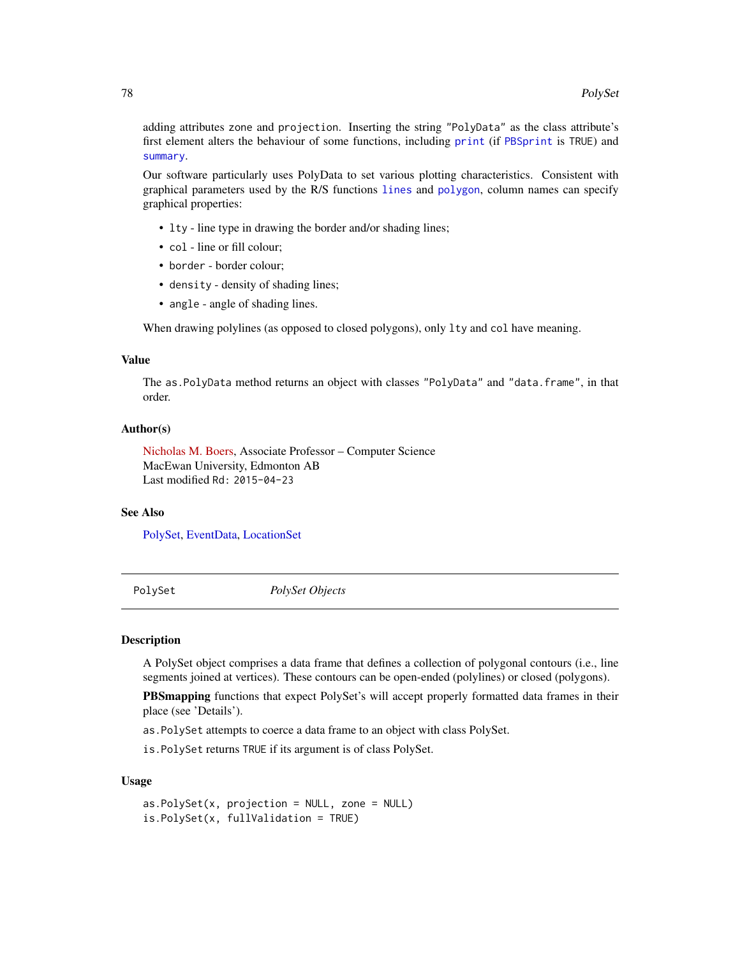<span id="page-77-1"></span>adding attributes zone and projection. Inserting the string "PolyData" as the class attribute's first element alters the behaviour of some functions, including [print](#page-79-0) (if [PBSprint](#page-65-0) is TRUE) and [summary](#page-86-0).

Our software particularly uses PolyData to set various plotting characteristics. Consistent with graphical parameters used by the R/S functions [lines](#page-0-0) and [polygon](#page-0-0), column names can specify graphical properties:

- lty line type in drawing the border and/or shading lines;
- col line or fill colour;
- border border colour;
- density density of shading lines;
- angle angle of shading lines.

When drawing polylines (as opposed to closed polygons), only lty and col have meaning.

#### Value

The as.PolyData method returns an object with classes "PolyData" and "data.frame", in that order.

# Author(s)

[Nicholas M. Boers,](https://academic.macewan.ca/boersn/) Associate Professor – Computer Science MacEwan University, Edmonton AB Last modified Rd: 2015-04-23

## See Also

[PolySet,](#page-77-0) [EventData,](#page-37-0) [LocationSet](#page-58-0)

<span id="page-77-0"></span>PolySet *PolySet Objects*

#### **Description**

A PolySet object comprises a data frame that defines a collection of polygonal contours (i.e., line segments joined at vertices). These contours can be open-ended (polylines) or closed (polygons).

PBSmapping functions that expect PolySet's will accept properly formatted data frames in their place (see 'Details').

as.PolySet attempts to coerce a data frame to an object with class PolySet.

is.PolySet returns TRUE if its argument is of class PolySet.

#### Usage

```
as.PolySet(x, projection = NULL, zone = NULL)
is.PolySet(x, fullValidation = TRUE)
```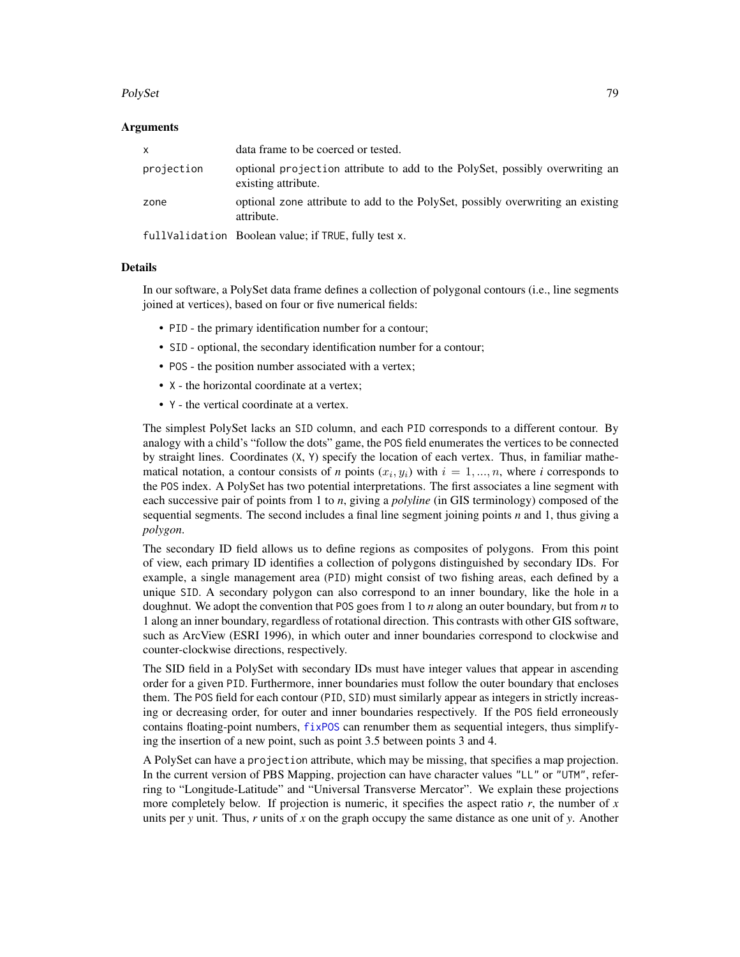#### <span id="page-78-0"></span>PolySet 79

## Arguments

| x          | data frame to be coerced or tested.                                                                 |
|------------|-----------------------------------------------------------------------------------------------------|
| projection | optional projection attribute to add to the PolySet, possibly overwriting an<br>existing attribute. |
| zone       | optional zone attribute to add to the PolySet, possibly overwriting an existing<br>attribute.       |
|            | fullValidation Boolean value; if TRUE, fully test x.                                                |

## Details

In our software, a PolySet data frame defines a collection of polygonal contours (i.e., line segments joined at vertices), based on four or five numerical fields:

- PID the primary identification number for a contour;
- SID optional, the secondary identification number for a contour;
- POS the position number associated with a vertex;
- X the horizontal coordinate at a vertex;
- Y the vertical coordinate at a vertex.

The simplest PolySet lacks an SID column, and each PID corresponds to a different contour. By analogy with a child's "follow the dots" game, the POS field enumerates the vertices to be connected by straight lines. Coordinates (X, Y) specify the location of each vertex. Thus, in familiar mathematical notation, a contour consists of *n* points  $(x_i, y_i)$  with  $i = 1, ..., n$ , where *i* corresponds to the POS index. A PolySet has two potential interpretations. The first associates a line segment with each successive pair of points from 1 to *n*, giving a *polyline* (in GIS terminology) composed of the sequential segments. The second includes a final line segment joining points *n* and 1, thus giving a *polygon*.

The secondary ID field allows us to define regions as composites of polygons. From this point of view, each primary ID identifies a collection of polygons distinguished by secondary IDs. For example, a single management area (PID) might consist of two fishing areas, each defined by a unique SID. A secondary polygon can also correspond to an inner boundary, like the hole in a doughnut. We adopt the convention that POS goes from 1 to *n* along an outer boundary, but from *n* to 1 along an inner boundary, regardless of rotational direction. This contrasts with other GIS software, such as ArcView (ESRI 1996), in which outer and inner boundaries correspond to clockwise and counter-clockwise directions, respectively.

The SID field in a PolySet with secondary IDs must have integer values that appear in ascending order for a given PID. Furthermore, inner boundaries must follow the outer boundary that encloses them. The POS field for each contour (PID, SID) must similarly appear as integers in strictly increasing or decreasing order, for outer and inner boundaries respectively. If the POS field erroneously contains floating-point numbers,  $fixPOS$  can renumber them as sequential integers, thus simplifying the insertion of a new point, such as point 3.5 between points 3 and 4.

A PolySet can have a projection attribute, which may be missing, that specifies a map projection. In the current version of PBS Mapping, projection can have character values "LL" or "UTM", referring to "Longitude-Latitude" and "Universal Transverse Mercator". We explain these projections more completely below. If projection is numeric, it specifies the aspect ratio  $r$ , the number of  $x$ units per *y* unit. Thus, *r* units of *x* on the graph occupy the same distance as one unit of *y*. Another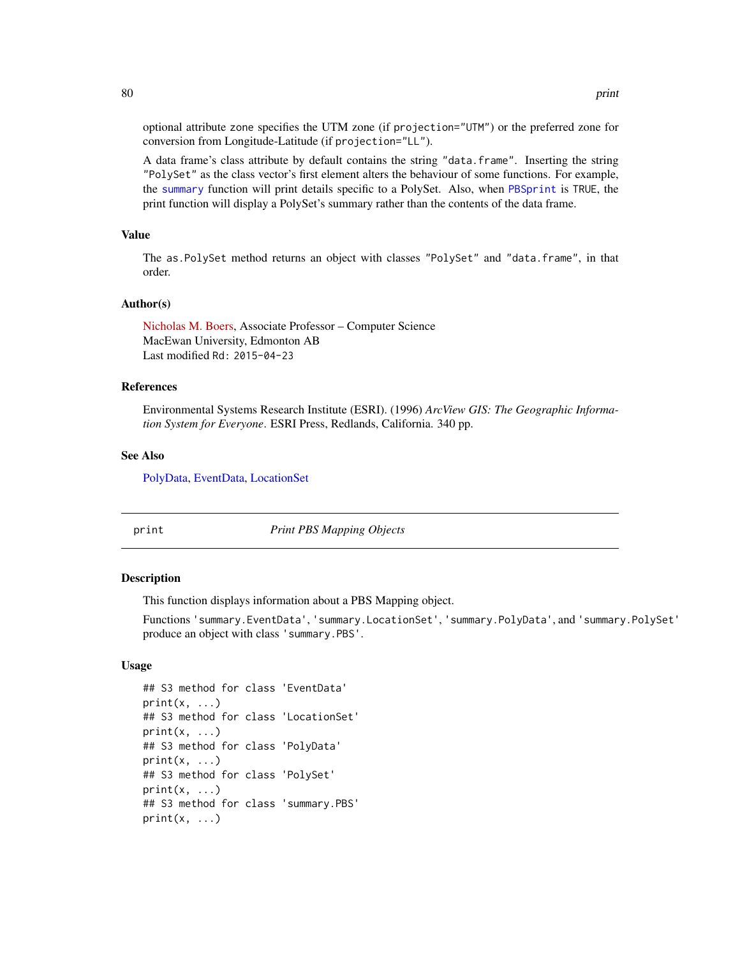optional attribute zone specifies the UTM zone (if projection="UTM") or the preferred zone for conversion from Longitude-Latitude (if projection="LL").

A data frame's class attribute by default contains the string "data.frame". Inserting the string "PolySet" as the class vector's first element alters the behaviour of some functions. For example, the [summary](#page-86-0) function will print details specific to a PolySet. Also, when [PBSprint](#page-65-0) is TRUE, the print function will display a PolySet's summary rather than the contents of the data frame.

## Value

The as.PolySet method returns an object with classes "PolySet" and "data.frame", in that order.

## Author(s)

[Nicholas M. Boers,](https://academic.macewan.ca/boersn/) Associate Professor – Computer Science MacEwan University, Edmonton AB Last modified Rd: 2015-04-23

## References

Environmental Systems Research Institute (ESRI). (1996) *ArcView GIS: The Geographic Information System for Everyone*. ESRI Press, Redlands, California. 340 pp.

#### See Also

[PolyData,](#page-76-0) [EventData,](#page-37-0) [LocationSet](#page-58-0)

<span id="page-79-0"></span>

print *Print PBS Mapping Objects*

## Description

This function displays information about a PBS Mapping object.

Functions 'summary.EventData', 'summary.LocationSet', 'summary.PolyData', and 'summary.PolySet' produce an object with class 'summary.PBS'.

# Usage

```
## S3 method for class 'EventData'
print(x, \ldots)## S3 method for class 'LocationSet'
print(x, \ldots)## S3 method for class 'PolyData'
print(x, \ldots)## S3 method for class 'PolySet'
print(x, \ldots)## S3 method for class 'summary.PBS'
print(x, \ldots)
```
<span id="page-79-1"></span>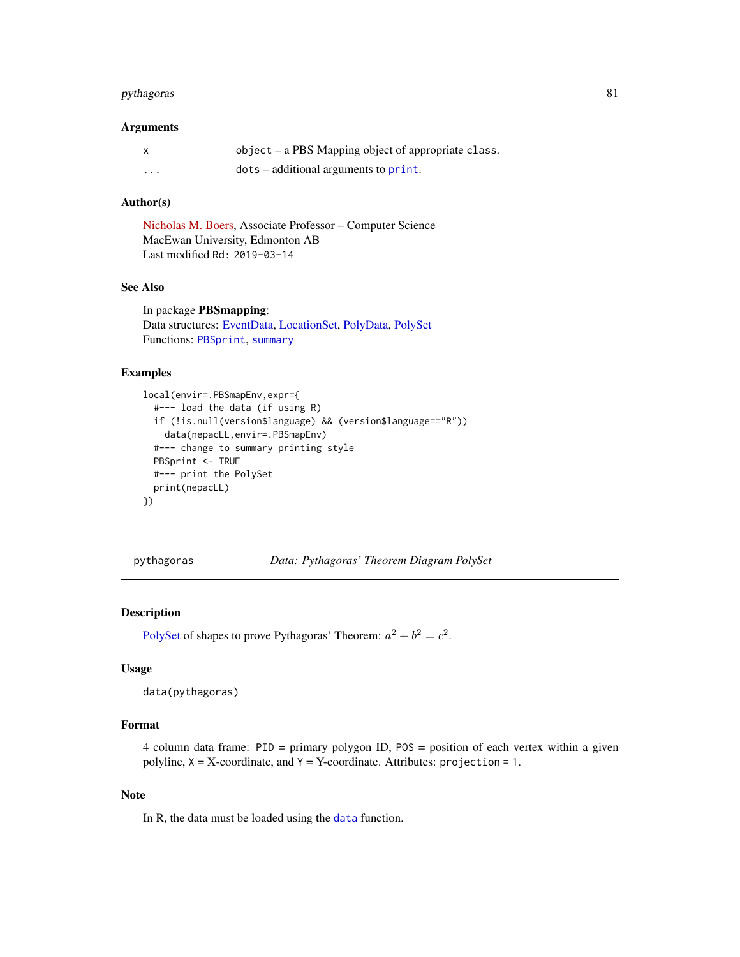# <span id="page-80-0"></span>pythagoras 81

# Arguments

|   | object – a PBS Mapping object of appropriate class. |
|---|-----------------------------------------------------|
| . | $dots - additional arguments to print.$             |

# Author(s)

[Nicholas M. Boers,](https://academic.macewan.ca/boersn/) Associate Professor – Computer Science MacEwan University, Edmonton AB Last modified Rd: 2019-03-14

# See Also

In package PBSmapping: Data structures: [EventData,](#page-37-0) [LocationSet,](#page-58-0) [PolyData,](#page-76-0) [PolySet](#page-77-0) Functions: [PBSprint](#page-65-0), [summary](#page-86-0)

# Examples

```
local(envir=.PBSmapEnv,expr={
  #--- load the data (if using R)
  if (!is.null(version$language) && (version$language=="R"))
   data(nepacLL,envir=.PBSmapEnv)
  #--- change to summary printing style
  PBSprint <- TRUE
  #--- print the PolySet
  print(nepacLL)
})
```
pythagoras *Data: Pythagoras' Theorem Diagram PolySet*

# Description

[PolySet](#page-77-0) of shapes to prove Pythagoras' Theorem:  $a^2 + b^2 = c^2$ .

## Usage

```
data(pythagoras)
```
# Format

4 column data frame: PID = primary polygon ID, POS = position of each vertex within a given polyline,  $X = X$ -coordinate, and  $Y = Y$ -coordinate. Attributes: projection = 1.

## Note

In R, the data must be loaded using the [data](#page-0-0) function.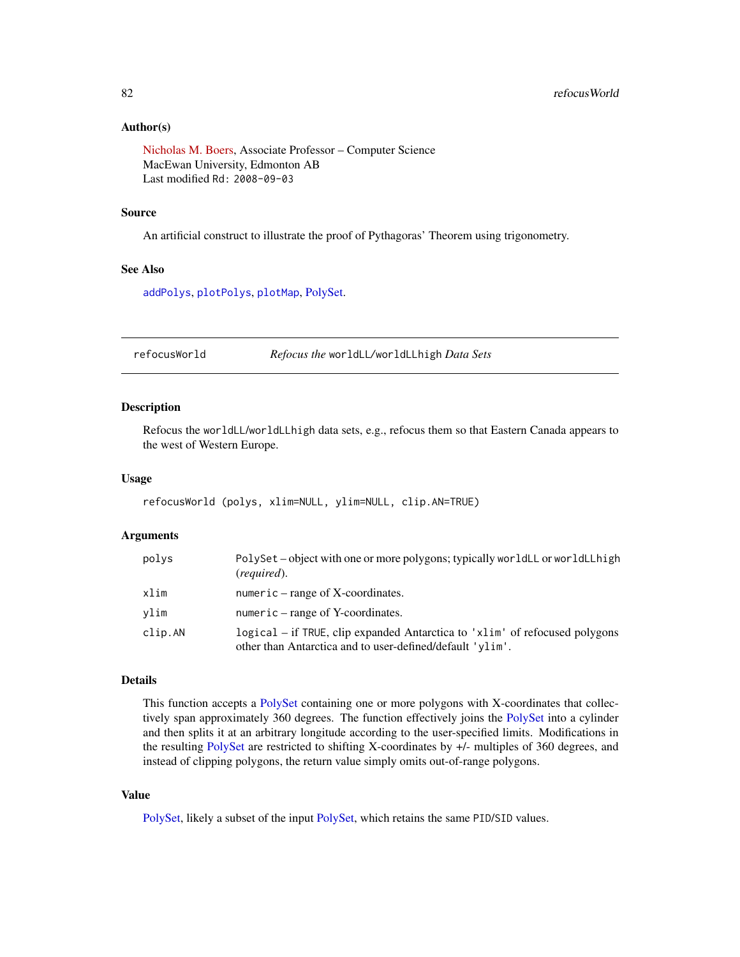# <span id="page-81-1"></span>Author(s)

[Nicholas M. Boers,](https://academic.macewan.ca/boersn/) Associate Professor – Computer Science MacEwan University, Edmonton AB Last modified Rd: 2008-09-03

# Source

An artificial construct to illustrate the proof of Pythagoras' Theorem using trigonometry.

## See Also

[addPolys](#page-10-0), [plotPolys](#page-74-0), [plotMap](#page-69-0), [PolySet.](#page-77-0)

<span id="page-81-0"></span>refocusWorld *Refocus the* worldLL*/*worldLLhigh *Data Sets*

#### Description

Refocus the worldLL/worldLLhigh data sets, e.g., refocus them so that Eastern Canada appears to the west of Western Europe.

## Usage

refocusWorld (polys, xlim=NULL, ylim=NULL, clip.AN=TRUE)

## Arguments

| polys   | PolySet - object with one or more polygons; typically worldLL or worldLLhigh<br>(required).                                              |
|---------|------------------------------------------------------------------------------------------------------------------------------------------|
| xlim    | numeric – range of $X$ -coordinates.                                                                                                     |
| vlim    | numeric $-$ range of Y-coordinates.                                                                                                      |
| clip.AN | logical – if TRUE, clip expanded Antarctica to 'xlim' of refocused polygons<br>other than Antarctica and to user-defined/default 'ylim'. |

# Details

This function accepts a [PolySet](#page-77-0) containing one or more polygons with X-coordinates that collectively span approximately 360 degrees. The function effectively joins the [PolySet](#page-77-0) into a cylinder and then splits it at an arbitrary longitude according to the user-specified limits. Modifications in the resulting [PolySet](#page-77-0) are restricted to shifting X-coordinates by +/- multiples of 360 degrees, and instead of clipping polygons, the return value simply omits out-of-range polygons.

# Value

[PolySet,](#page-77-0) likely a subset of the input [PolySet,](#page-77-0) which retains the same PID/SID values.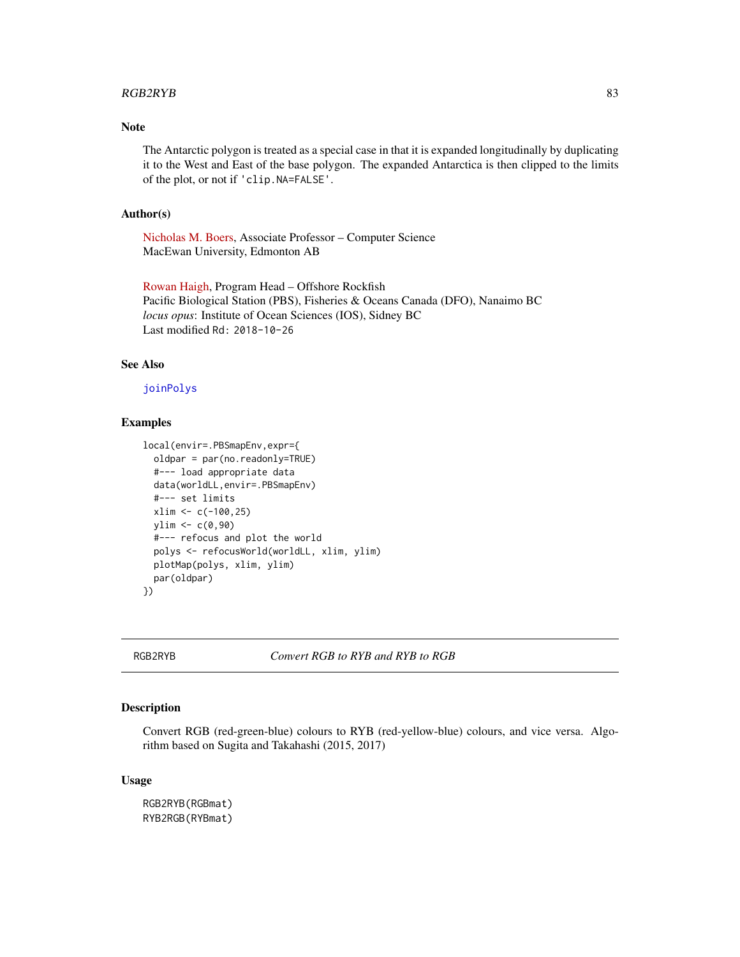## <span id="page-82-0"></span>RGB2RYB 83

# Note

The Antarctic polygon is treated as a special case in that it is expanded longitudinally by duplicating it to the West and East of the base polygon. The expanded Antarctica is then clipped to the limits of the plot, or not if 'clip.NA=FALSE'.

# Author(s)

[Nicholas M. Boers,](https://academic.macewan.ca/boersn/) Associate Professor – Computer Science MacEwan University, Edmonton AB

[Rowan Haigh,](mailto:rowan.haigh@dfo-mpo.gc.ca) Program Head – Offshore Rockfish Pacific Biological Station (PBS), Fisheries & Oceans Canada (DFO), Nanaimo BC *locus opus*: Institute of Ocean Sciences (IOS), Sidney BC Last modified Rd: 2018-10-26

# See Also

## [joinPolys](#page-53-0)

# Examples

```
local(envir=.PBSmapEnv,expr={
 oldpar = par(no.readonly=TRUE)
 #--- load appropriate data
 data(worldLL,envir=.PBSmapEnv)
 #--- set limits
 xlim <- c(-100,25)
 ylim < -c(0, 90)#--- refocus and plot the world
 polys <- refocusWorld(worldLL, xlim, ylim)
 plotMap(polys, xlim, ylim)
 par(oldpar)
})
```
RGB2RYB *Convert RGB to RYB and RYB to RGB*

# Description

Convert RGB (red-green-blue) colours to RYB (red-yellow-blue) colours, and vice versa. Algorithm based on Sugita and Takahashi (2015, 2017)

## Usage

```
RGB2RYB(RGBmat)
RYB2RGB(RYBmat)
```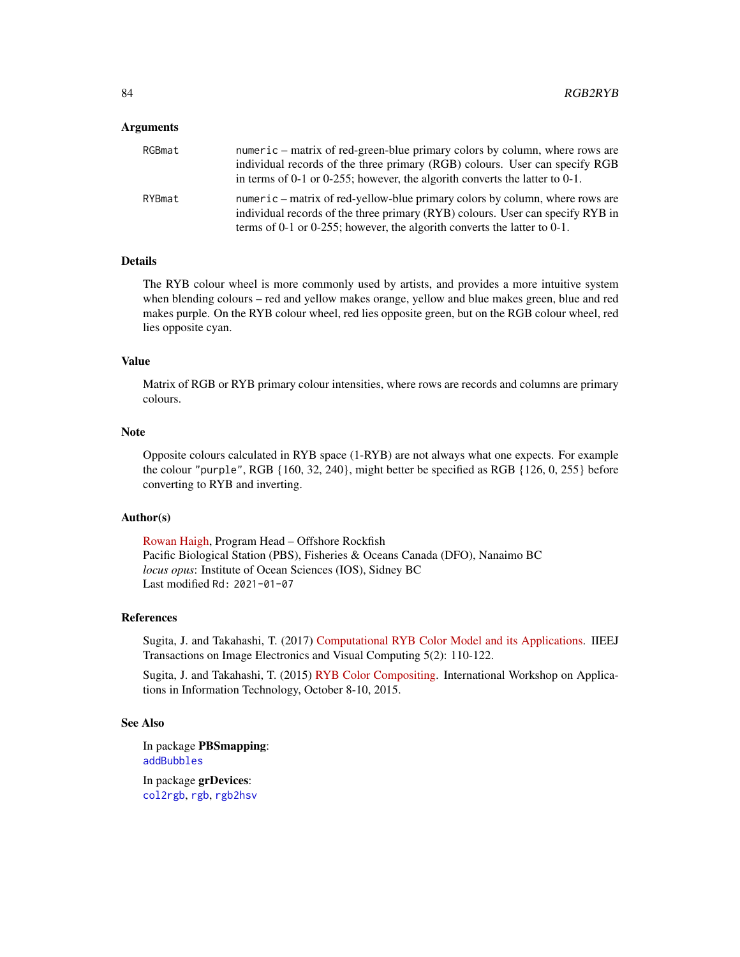## <span id="page-83-0"></span>Arguments

| RGBmat | numeric – matrix of red-green-blue primary colors by column, where rows are<br>individual records of the three primary (RGB) colours. User can specify RGB<br>in terms of 0-1 or 0-255; however, the algorith converts the latter to 0-1.     |
|--------|-----------------------------------------------------------------------------------------------------------------------------------------------------------------------------------------------------------------------------------------------|
| RYBmat | numeric – matrix of red-yellow-blue primary colors by column, where rows are<br>individual records of the three primary (RYB) colours. User can specify RYB in<br>terms of 0-1 or 0-255; however, the algorith converts the latter to $0-1$ . |

## Details

The RYB colour wheel is more commonly used by artists, and provides a more intuitive system when blending colours – red and yellow makes orange, yellow and blue makes green, blue and red makes purple. On the RYB colour wheel, red lies opposite green, but on the RGB colour wheel, red lies opposite cyan.

# Value

Matrix of RGB or RYB primary colour intensities, where rows are records and columns are primary colours.

# Note

Opposite colours calculated in RYB space (1-RYB) are not always what one expects. For example the colour "purple", RGB {160, 32, 240}, might better be specified as RGB {126, 0, 255} before converting to RYB and inverting.

# Author(s)

[Rowan Haigh,](mailto:rowan.haigh@dfo-mpo.gc.ca) Program Head – Offshore Rockfish Pacific Biological Station (PBS), Fisheries & Oceans Canada (DFO), Nanaimo BC *locus opus*: Institute of Ocean Sciences (IOS), Sidney BC Last modified Rd: 2021-01-07

## References

Sugita, J. and Takahashi, T. (2017) [Computational RYB Color Model and its Applications.](https://danielhaim.com/research/downloads/Computational%20RYB%20Color%20Model%20and%20its%20Applications.pdf) IIEEJ Transactions on Image Electronics and Visual Computing 5(2): 110-122.

Sugita, J. and Takahashi, T. (2015) [RYB Color Compositing.](http://nishitalab.org/user/UEI/publication/Sugita_IWAIT2015.pdf) International Workshop on Applications in Information Technology, October 8-10, 2015.

#### See Also

In package PBSmapping: [addBubbles](#page-2-0)

In package grDevices: [col2rgb](#page-0-0), [rgb](#page-0-0), [rgb2hsv](#page-0-0)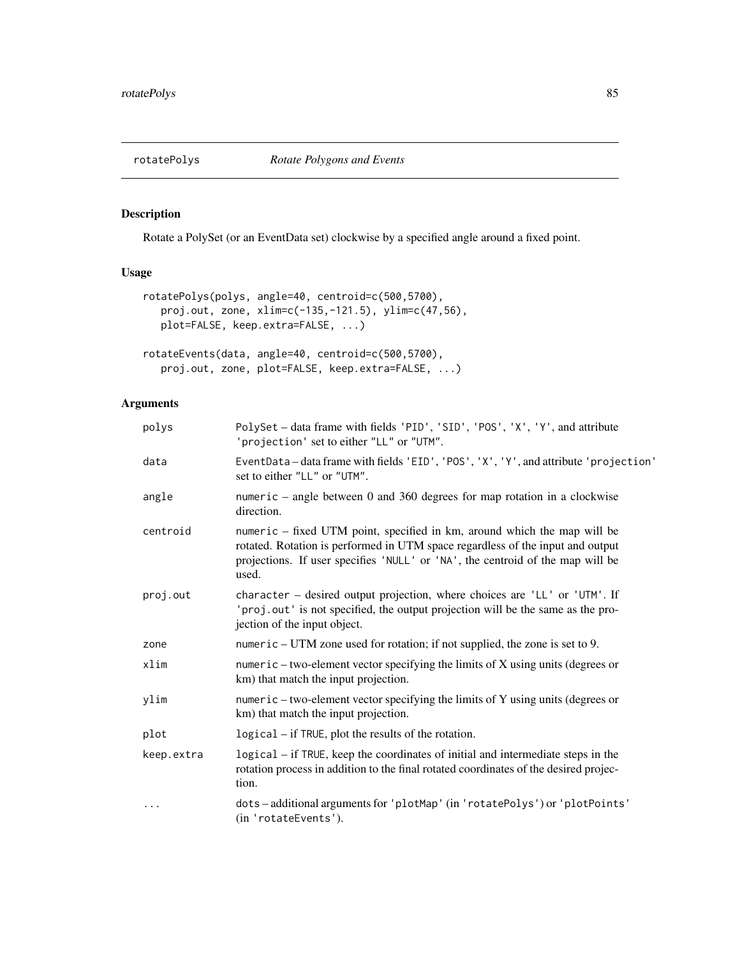<span id="page-84-0"></span>

Rotate a PolySet (or an EventData set) clockwise by a specified angle around a fixed point.

# Usage

```
rotatePolys(polys, angle=40, centroid=c(500,5700),
  proj.out, zone, xlim=c(-135,-121.5), ylim=c(47,56),
  plot=FALSE, keep.extra=FALSE, ...)
rotateEvents(data, angle=40, centroid=c(500,5700),
  proj.out, zone, plot=FALSE, keep.extra=FALSE, ...)
```
# Arguments

| polys      | PolySet - data frame with fields 'PID', 'SID', 'POS', 'X', 'Y', and attribute<br>'projection' set to either "LL" or "UTM".                                                                                                                            |
|------------|-------------------------------------------------------------------------------------------------------------------------------------------------------------------------------------------------------------------------------------------------------|
| data       | EventData-data frame with fields 'EID', 'POS', 'X', 'Y', and attribute 'projection'<br>set to either "LL" or "UTM".                                                                                                                                   |
| angle      | numeric – angle between 0 and 360 degrees for map rotation in a clockwise<br>direction.                                                                                                                                                               |
| centroid   | numeric – fixed UTM point, specified in km, around which the map will be<br>rotated. Rotation is performed in UTM space regardless of the input and output<br>projections. If user specifies 'NULL' or 'NA', the centroid of the map will be<br>used. |
| proj.out   | character - desired output projection, where choices are 'LL' or 'UTM'. If<br>'proj.out' is not specified, the output projection will be the same as the pro-<br>jection of the input object.                                                         |
| zone       | numeric – UTM zone used for rotation; if not supplied, the zone is set to 9.                                                                                                                                                                          |
| xlim       | numeric – two-element vector specifying the limits of X using units (degrees or<br>km) that match the input projection.                                                                                                                               |
| ylim       | numeric – two-element vector specifying the limits of Y using units (degrees or<br>km) that match the input projection.                                                                                                                               |
| plot       | logical – if TRUE, plot the results of the rotation.                                                                                                                                                                                                  |
| keep.extra | logical – if TRUE, keep the coordinates of initial and intermediate steps in the<br>rotation process in addition to the final rotated coordinates of the desired projec-<br>tion.                                                                     |
| $\cdots$   | dots-additional arguments for 'plotMap' (in 'rotatePolys') or 'plotPoints'<br>(in 'rotateEvents').                                                                                                                                                    |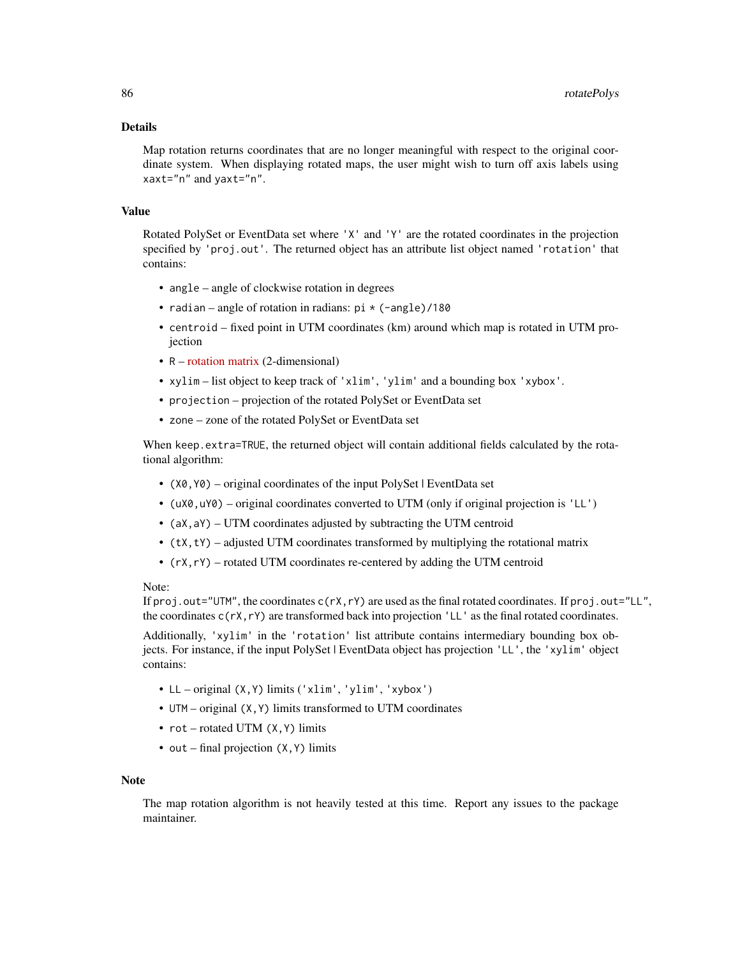## Details

Map rotation returns coordinates that are no longer meaningful with respect to the original coordinate system. When displaying rotated maps, the user might wish to turn off axis labels using xaxt="n" and yaxt="n".

# Value

Rotated PolySet or EventData set where 'X' and 'Y' are the rotated coordinates in the projection specified by 'proj.out'. The returned object has an attribute list object named 'rotation' that contains:

- angle angle of clockwise rotation in degrees
- radian angle of rotation in radians:  $pi \times (-angle)/180$
- centroid fixed point in UTM coordinates (km) around which map is rotated in UTM projection
- R [rotation matrix](https://academo.org/demos/rotation-about-point/) (2-dimensional)
- xylim list object to keep track of 'xlim', 'ylim' and a bounding box 'xybox'.
- projection projection of the rotated PolySet or EventData set
- zone zone of the rotated PolySet or EventData set

When keep.extra=TRUE, the returned object will contain additional fields calculated by the rotational algorithm:

- (X0,Y0) original coordinates of the input PolySet | EventData set
- (uX0,uY0) original coordinates converted to UTM (only if original projection is 'LL')
- (aX,aY) UTM coordinates adjusted by subtracting the UTM centroid
- $\bullet$  (tX, tY) adjusted UTM coordinates transformed by multiplying the rotational matrix
- (rX,rY) rotated UTM coordinates re-centered by adding the UTM centroid

## Note:

If proj.out="UTM", the coordinates c(rX,rY) are used as the final rotated coordinates. If proj.out="LL", the coordinates  $c(\mathsf{r} \mathsf{X}, \mathsf{r} \mathsf{Y})$  are transformed back into projection 'LL' as the final rotated coordinates.

Additionally, 'xylim' in the 'rotation' list attribute contains intermediary bounding box objects. For instance, if the input PolySet | EventData object has projection 'LL', the 'xylim' object contains:

- LL original (X,Y) limits ('xlim', 'ylim', 'xybox')
- UTM original (X,Y) limits transformed to UTM coordinates
- $rot$  rotated UTM  $(X, Y)$  limits
- out final projection (X, Y) limits

#### Note

The map rotation algorithm is not heavily tested at this time. Report any issues to the package maintainer.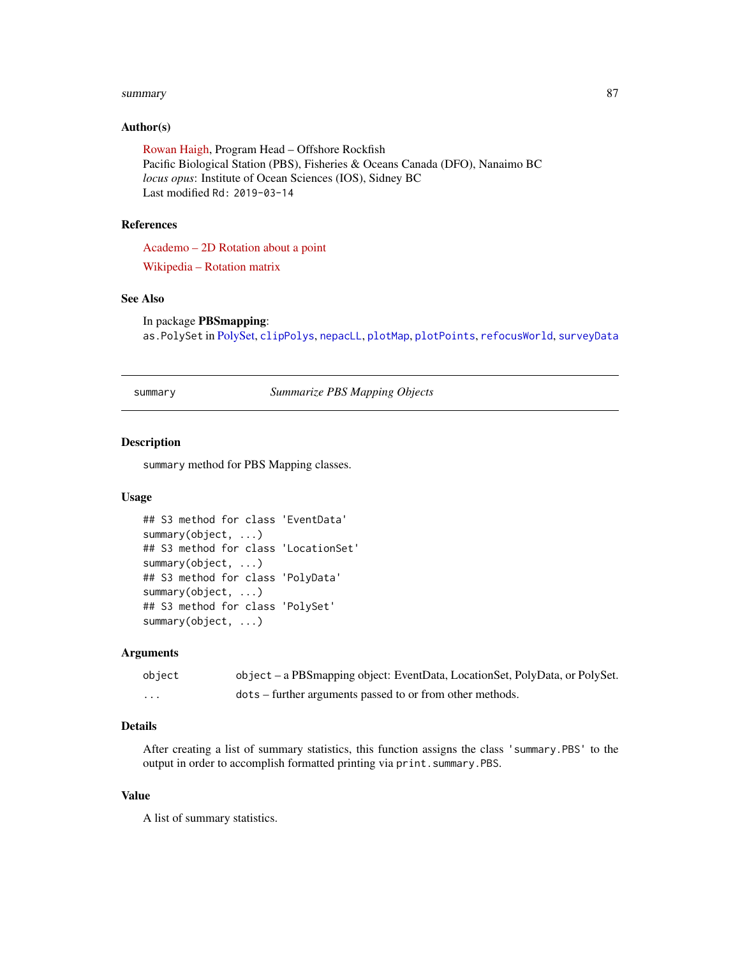#### <span id="page-86-1"></span>summary 87

# Author(s)

[Rowan Haigh,](mailto:rowan.haigh@dfo-mpo.gc.ca) Program Head – Offshore Rockfish Pacific Biological Station (PBS), Fisheries & Oceans Canada (DFO), Nanaimo BC *locus opus*: Institute of Ocean Sciences (IOS), Sidney BC Last modified Rd: 2019-03-14

# References

[Academo – 2D Rotation about a point](https://academo.org/demos/rotation-about-point/)

[Wikipedia – Rotation matrix](https://en.wikipedia.org/wiki/Rotation_matrix)

# See Also

In package PBSmapping: as.PolySet in [PolySet,](#page-77-0) [clipPolys](#page-26-0), [nepacLL](#page-63-0), [plotMap](#page-69-0), [plotPoints](#page-72-0), [refocusWorld](#page-81-0), [surveyData](#page-87-0)

<span id="page-86-0"></span>summary *Summarize PBS Mapping Objects*

# Description

summary method for PBS Mapping classes.

## Usage

```
## S3 method for class 'EventData'
summary(object, ...)
## S3 method for class 'LocationSet'
summary(object, ...)
## S3 method for class 'PolyData'
summary(object, ...)
## S3 method for class 'PolySet'
summary(object, ...)
```
#### Arguments

| object  | object – a PBSmapping object: EventData, LocationSet, PolyData, or PolySet. |
|---------|-----------------------------------------------------------------------------|
| $\cdot$ | dots – further arguments passed to or from other methods.                   |

# Details

After creating a list of summary statistics, this function assigns the class 'summary.PBS' to the output in order to accomplish formatted printing via print.summary.PBS.

# Value

A list of summary statistics.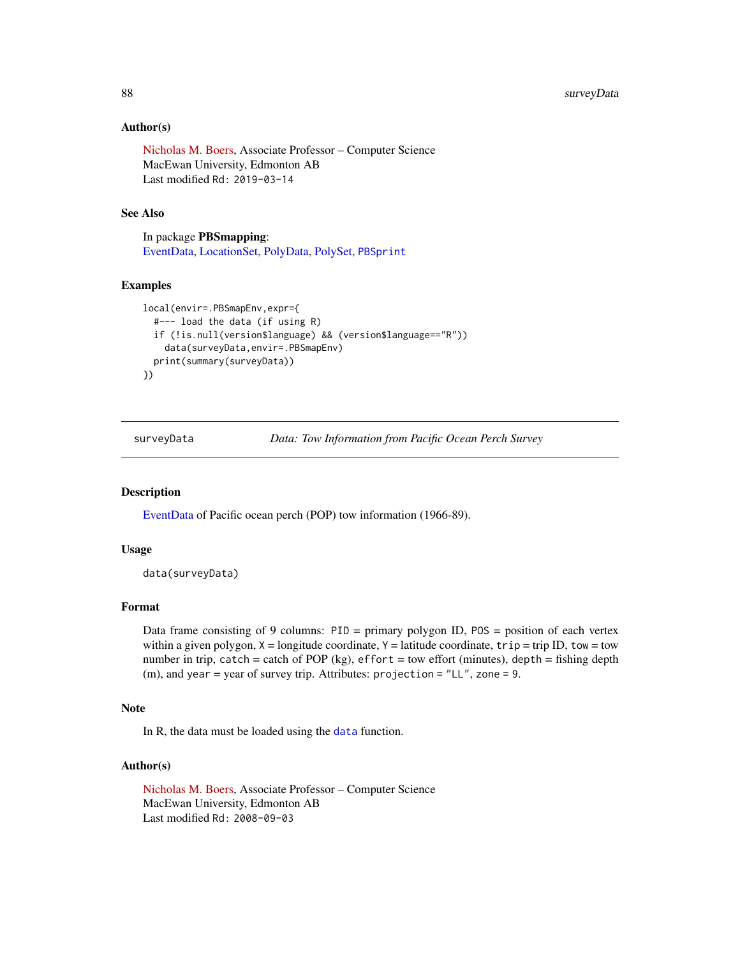# Author(s)

[Nicholas M. Boers,](https://academic.macewan.ca/boersn/) Associate Professor – Computer Science MacEwan University, Edmonton AB Last modified Rd: 2019-03-14

# See Also

In package PBSmapping: [EventData,](#page-37-0) [LocationSet,](#page-58-0) [PolyData,](#page-76-0) [PolySet,](#page-77-0) [PBSprint](#page-65-0)

# Examples

```
local(envir=.PBSmapEnv,expr={
  #--- load the data (if using R)
  if (!is.null(version$language) && (version$language=="R"))
    data(surveyData,envir=.PBSmapEnv)
  print(summary(surveyData))
})
```
<span id="page-87-0"></span>surveyData *Data: Tow Information from Pacific Ocean Perch Survey*

# Description

[EventData](#page-37-0) of Pacific ocean perch (POP) tow information (1966-89).

## Usage

```
data(surveyData)
```
# Format

Data frame consisting of 9 columns: PID = primary polygon ID, POS = position of each vertex within a given polygon,  $X =$ longitude coordinate,  $Y =$ latitude coordinate,  $trip = trip$  ID, tow = tow number in trip, catch = catch of POP (kg), effort = tow effort (minutes), depth = fishing depth (m), and year = year of survey trip. Attributes: projection = "LL", zone = 9.

## Note

In R, the data must be loaded using the [data](#page-0-0) function.

## Author(s)

[Nicholas M. Boers,](https://academic.macewan.ca/boersn/) Associate Professor – Computer Science MacEwan University, Edmonton AB Last modified Rd: 2008-09-03

<span id="page-87-1"></span>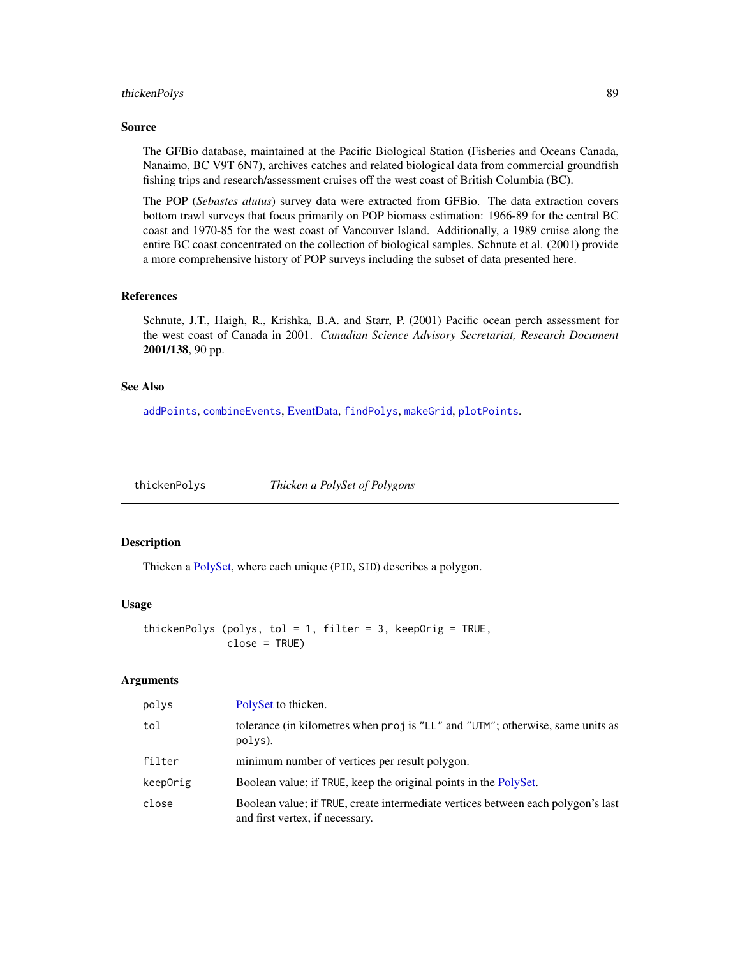# <span id="page-88-1"></span>thickenPolys 89

#### Source

The GFBio database, maintained at the Pacific Biological Station (Fisheries and Oceans Canada, Nanaimo, BC V9T 6N7), archives catches and related biological data from commercial groundfish fishing trips and research/assessment cruises off the west coast of British Columbia (BC).

The POP (*Sebastes alutus*) survey data were extracted from GFBio. The data extraction covers bottom trawl surveys that focus primarily on POP biomass estimation: 1966-89 for the central BC coast and 1970-85 for the west coast of Vancouver Island. Additionally, a 1989 cruise along the entire BC coast concentrated on the collection of biological samples. Schnute et al. (2001) provide a more comprehensive history of POP surveys including the subset of data presented here.

#### References

Schnute, J.T., Haigh, R., Krishka, B.A. and Starr, P. (2001) Pacific ocean perch assessment for the west coast of Canada in 2001. *Canadian Science Advisory Secretariat, Research Document* 2001/138, 90 pp.

# See Also

[addPoints](#page-9-0), [combineEvents](#page-29-0), [EventData,](#page-37-0) [findPolys](#page-41-0), [makeGrid](#page-59-0), [plotPoints](#page-72-0).

<span id="page-88-0"></span>thickenPolys *Thicken a PolySet of Polygons*

# Description

Thicken a [PolySet,](#page-77-0) where each unique (PID, SID) describes a polygon.

## Usage

```
thickenPolys (polys, tol = 1, filter = 3, keepOrig = TRUE,
              close = TRUE)
```
# Arguments

| polys    | PolySet to thicken.                                                                                                 |
|----------|---------------------------------------------------------------------------------------------------------------------|
| tol      | tolerance (in kilometres when proj is "LL" and "UTM"; otherwise, same units as<br>polys).                           |
| filter   | minimum number of vertices per result polygon.                                                                      |
| keepOrig | Boolean value; if TRUE, keep the original points in the PolySet.                                                    |
| close    | Boolean value; if TRUE, create intermediate vertices between each polygon's last<br>and first vertex, if necessary. |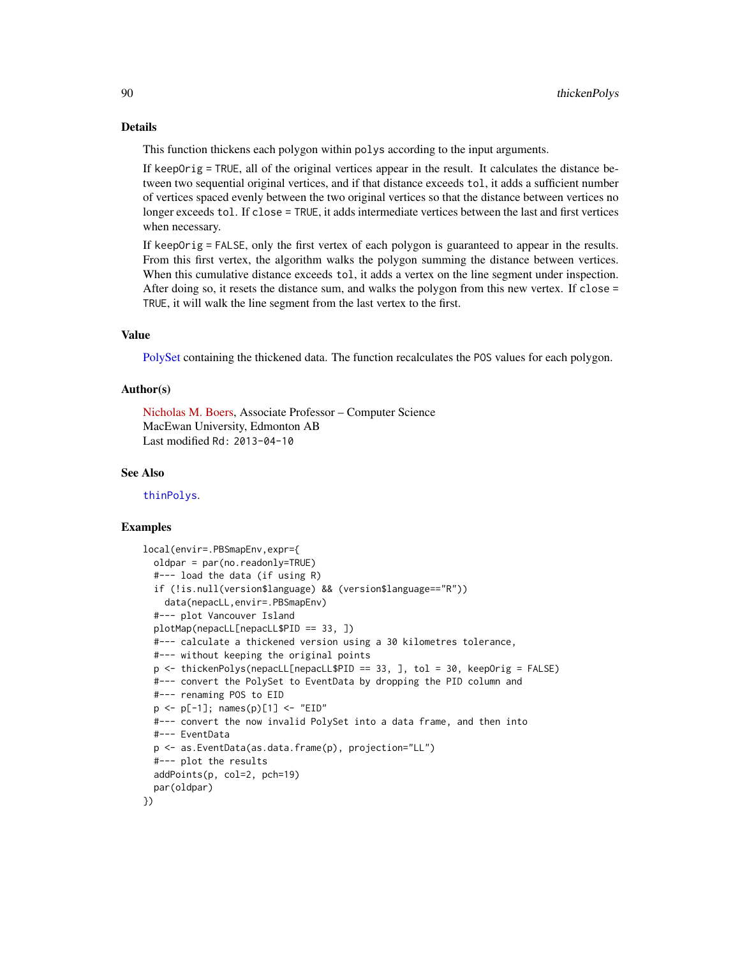This function thickens each polygon within polys according to the input arguments.

If keepOrig = TRUE, all of the original vertices appear in the result. It calculates the distance between two sequential original vertices, and if that distance exceeds tol, it adds a sufficient number of vertices spaced evenly between the two original vertices so that the distance between vertices no longer exceeds tol. If close = TRUE, it adds intermediate vertices between the last and first vertices when necessary.

If keepOrig = FALSE, only the first vertex of each polygon is guaranteed to appear in the results. From this first vertex, the algorithm walks the polygon summing the distance between vertices. When this cumulative distance exceeds tol, it adds a vertex on the line segment under inspection. After doing so, it resets the distance sum, and walks the polygon from this new vertex. If close = TRUE, it will walk the line segment from the last vertex to the first.

## Value

[PolySet](#page-77-0) containing the thickened data. The function recalculates the POS values for each polygon.

# Author(s)

[Nicholas M. Boers,](https://academic.macewan.ca/boersn/) Associate Professor – Computer Science MacEwan University, Edmonton AB Last modified Rd: 2013-04-10

## See Also

[thinPolys](#page-90-0).

#### Examples

```
local(envir=.PBSmapEnv,expr={
 oldpar = par(no.readonly=TRUE)
 #--- load the data (if using R)
 if (!is.null(version$language) && (version$language=="R"))
   data(nepacLL,envir=.PBSmapEnv)
 #--- plot Vancouver Island
 plotMap(nepacLL[nepacLL$PID == 33, ])
 #--- calculate a thickened version using a 30 kilometres tolerance,
 #--- without keeping the original points
 p <- thickenPolys(nepacLL[nepacLL$PID == 33, ], tol = 30, keepOrig = FALSE)
 #--- convert the PolySet to EventData by dropping the PID column and
 #--- renaming POS to EID
 p \leq -p[-1]; names(p)[1] \leq -r "EID"
 #--- convert the now invalid PolySet into a data frame, and then into
 #--- EventData
 p <- as.EventData(as.data.frame(p), projection="LL")
 #--- plot the results
 addPoints(p, col=2, pch=19)
 par(oldpar)
})
```
<span id="page-89-0"></span>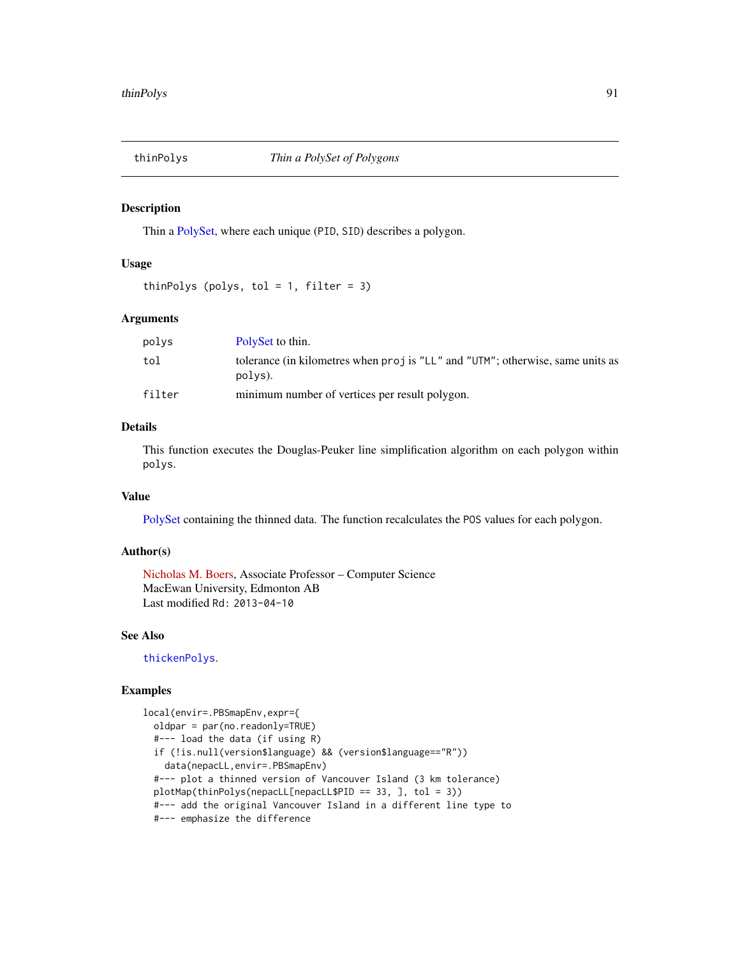<span id="page-90-1"></span><span id="page-90-0"></span>

Thin a [PolySet,](#page-77-0) where each unique (PID, SID) describes a polygon.

# Usage

thinPolys (polys, tol = 1, filter = 3)

# Arguments

| polvs  | PolySet to thin.                                                                          |
|--------|-------------------------------------------------------------------------------------------|
| tol    | tolerance (in kilometres when proj is "LL" and "UTM"; otherwise, same units as<br>polys). |
| filter | minimum number of vertices per result polygon.                                            |

## Details

This function executes the Douglas-Peuker line simplification algorithm on each polygon within polys.

# Value

[PolySet](#page-77-0) containing the thinned data. The function recalculates the POS values for each polygon.

# Author(s)

[Nicholas M. Boers,](https://academic.macewan.ca/boersn/) Associate Professor – Computer Science MacEwan University, Edmonton AB Last modified Rd: 2013-04-10

# See Also

[thickenPolys](#page-88-0).

# Examples

```
local(envir=.PBSmapEnv,expr={
 oldpar = par(no.readonly=TRUE)
 #--- load the data (if using R)
 if (!is.null(version$language) && (version$language=="R"))
   data(nepacLL,envir=.PBSmapEnv)
 #--- plot a thinned version of Vancouver Island (3 km tolerance)
 plotMap(thinPolys(nepacLL[nepacLL$PID == 33, ], tol = 3))
 #--- add the original Vancouver Island in a different line type to
 #--- emphasize the difference
```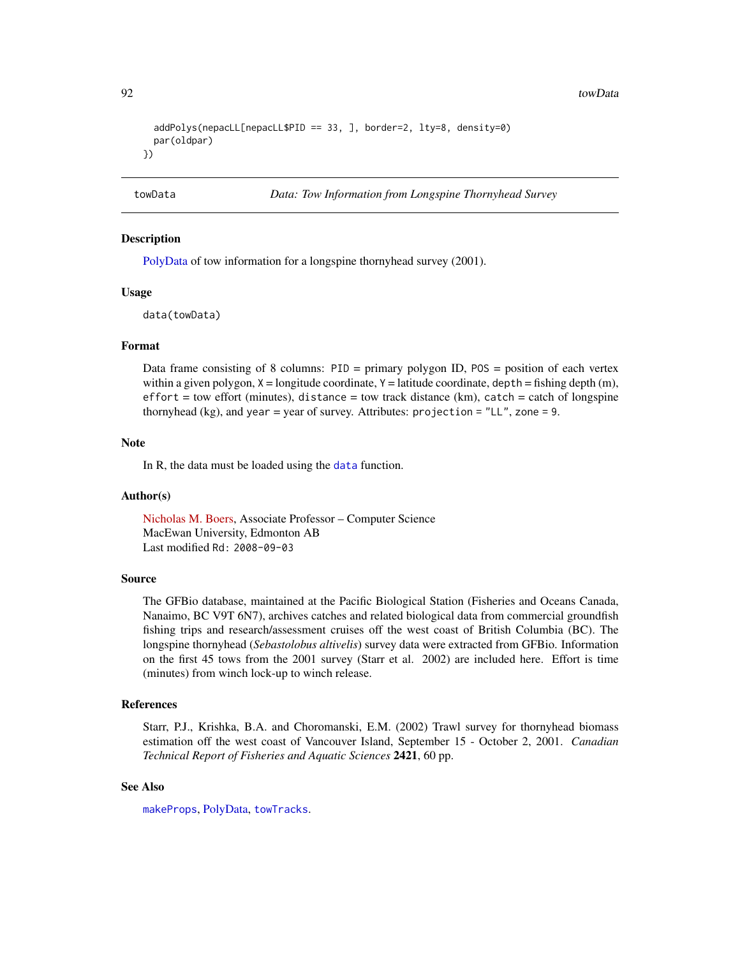```
addPolys(nepacLL[nepacLL$PID == 33, ], border=2, lty=8, density=0)
 par(oldpar)
})
```
<span id="page-91-0"></span>towData *Data: Tow Information from Longspine Thornyhead Survey*

# Description

[PolyData](#page-76-0) of tow information for a longspine thornyhead survey (2001).

## Usage

data(towData)

# Format

Data frame consisting of 8 columns: PID = primary polygon ID, POS = position of each vertex within a given polygon,  $X =$ longitude coordinate,  $Y =$ latitude coordinate, depth = fishing depth (m),  $effort =$  tow effort (minutes), distance = tow track distance (km), catch = catch of longspine thornyhead (kg), and year = year of survey. Attributes: projection = "LL", zone = 9.

## Note

In R, the data must be loaded using the [data](#page-0-0) function.

# Author(s)

[Nicholas M. Boers,](https://academic.macewan.ca/boersn/) Associate Professor – Computer Science MacEwan University, Edmonton AB Last modified Rd: 2008-09-03

## Source

The GFBio database, maintained at the Pacific Biological Station (Fisheries and Oceans Canada, Nanaimo, BC V9T 6N7), archives catches and related biological data from commercial groundfish fishing trips and research/assessment cruises off the west coast of British Columbia (BC). The longspine thornyhead (*Sebastolobus altivelis*) survey data were extracted from GFBio. Information on the first 45 tows from the 2001 survey (Starr et al. 2002) are included here. Effort is time (minutes) from winch lock-up to winch release.

# References

Starr, P.J., Krishka, B.A. and Choromanski, E.M. (2002) Trawl survey for thornyhead biomass estimation off the west coast of Vancouver Island, September 15 - October 2, 2001. *Canadian Technical Report of Fisheries and Aquatic Sciences* 2421, 60 pp.

# See Also

[makeProps](#page-60-0), [PolyData,](#page-76-0) [towTracks](#page-92-0).

<span id="page-91-1"></span>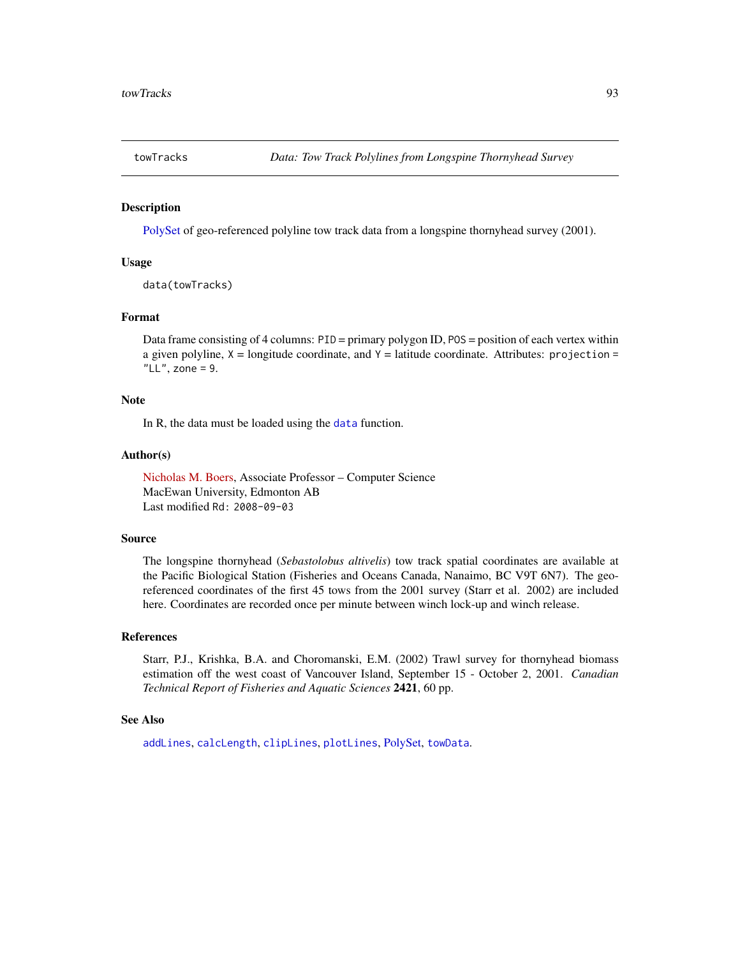<span id="page-92-1"></span><span id="page-92-0"></span>

[PolySet](#page-77-0) of geo-referenced polyline tow track data from a longspine thornyhead survey (2001).

## Usage

```
data(towTracks)
```
# Format

Data frame consisting of 4 columns: PID = primary polygon ID, POS = position of each vertex within a given polyline,  $X =$ longitude coordinate, and  $Y =$ latitude coordinate. Attributes: projection = "LL", zone =  $9$ .

## Note

In R, the [data](#page-0-0) must be loaded using the data function.

#### Author(s)

[Nicholas M. Boers,](https://academic.macewan.ca/boersn/) Associate Professor – Computer Science MacEwan University, Edmonton AB Last modified Rd: 2008-09-03

## Source

The longspine thornyhead (*Sebastolobus altivelis*) tow track spatial coordinates are available at the Pacific Biological Station (Fisheries and Oceans Canada, Nanaimo, BC V9T 6N7). The georeferenced coordinates of the first 45 tows from the 2001 survey (Starr et al. 2002) are included here. Coordinates are recorded once per minute between winch lock-up and winch release.

## References

Starr, P.J., Krishka, B.A. and Choromanski, E.M. (2002) Trawl survey for thornyhead biomass estimation off the west coast of Vancouver Island, September 15 - October 2, 2001. *Canadian Technical Report of Fisheries and Aquatic Sciences* 2421, 60 pp.

#### See Also

[addLines](#page-8-0), [calcLength](#page-20-0), [clipLines](#page-25-0), [plotLines](#page-67-0), [PolySet,](#page-77-0) [towData](#page-91-0).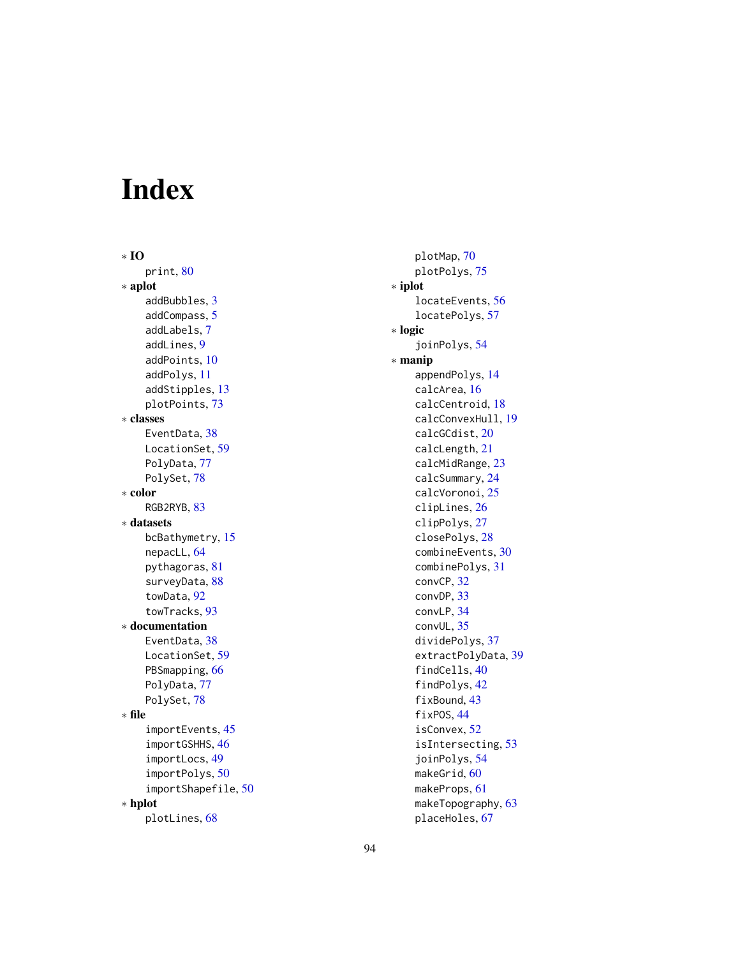# Index

∗ IO print, [80](#page-79-1) ∗ aplot addBubbles, [3](#page-2-1) addCompass, [5](#page-4-0) addLabels, [7](#page-6-1) addLines, [9](#page-8-1) addPoints, [10](#page-9-1) addPolys, [11](#page-10-1) addStipples, [13](#page-12-1) plotPoints, [73](#page-72-1) ∗ classes EventData, [38](#page-37-1) LocationSet, [59](#page-58-1) PolyData, [77](#page-76-1) PolySet, [78](#page-77-1) ∗ color RGB2RYB, [83](#page-82-0) ∗ datasets bcBathymetry, [15](#page-14-0) nepacLL, [64](#page-63-1) pythagoras, [81](#page-80-0) surveyData, [88](#page-87-1) towData, [92](#page-91-1) towTracks, [93](#page-92-1) ∗ documentation EventData, [38](#page-37-1) LocationSet, [59](#page-58-1) PBSmapping, [66](#page-65-1) PolyData, [77](#page-76-1) PolySet, [78](#page-77-1) ∗ file importEvents, [45](#page-44-0) importGSHHS, [46](#page-45-0) importLocs, [49](#page-48-0) importPolys, [50](#page-49-0) importShapefile, [50](#page-49-0) ∗ hplot plotLines, [68](#page-67-1)

plotMap, [70](#page-69-1) plotPolys, [75](#page-74-1) ∗ iplot locateEvents, [56](#page-55-1) locatePolys, [57](#page-56-1) ∗ logic joinPolys, [54](#page-53-1) ∗ manip appendPolys, [14](#page-13-0) calcArea, [16](#page-15-0) calcCentroid, [18](#page-17-0) calcConvexHull, [19](#page-18-0) calcGCdist, [20](#page-19-0) calcLength, [21](#page-20-1) calcMidRange, [23](#page-22-0) calcSummary, [24](#page-23-0) calcVoronoi, [25](#page-24-0) clipLines, [26](#page-25-1) clipPolys, [27](#page-26-1) closePolys, [28](#page-27-1) combineEvents, [30](#page-29-1) combinePolys, [31](#page-30-0) convCP, [32](#page-31-0) convDP, [33](#page-32-1) convLP, [34](#page-33-0) convUL, [35](#page-34-0) dividePolys, [37](#page-36-0) extractPolyData, [39](#page-38-0) findCells, [40](#page-39-0) findPolys, [42](#page-41-1) fixBound, [43](#page-42-1) fixPOS, [44](#page-43-1) isConvex, [52](#page-51-0) isIntersecting, [53](#page-52-0) joinPolys, [54](#page-53-1) makeGrid, [60](#page-59-1) makeProps, [61](#page-60-1) makeTopography, [63](#page-62-0) placeHoles, [67](#page-66-0)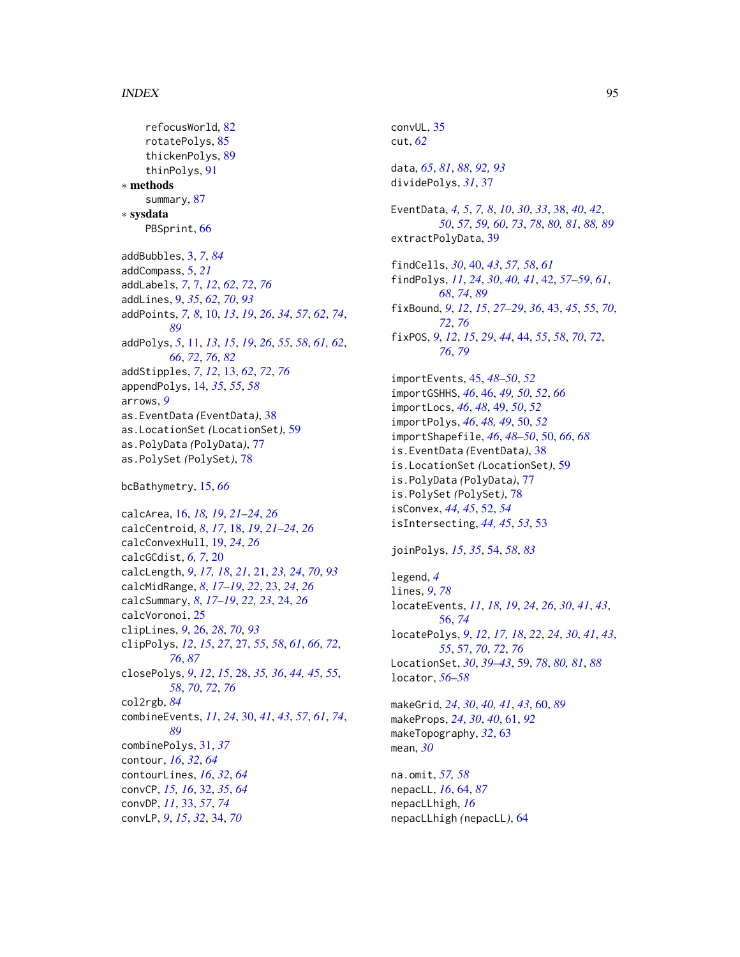## INDEX 95

```
refocusWorld, 82
    rotatePolys, 85
    thickenPolys, 89
    thinPolys, 91
∗ methods
    summary, 87
∗ sysdata
    PBSprint, 66
addBubbles, 3, 7, 84
addCompass, 5, 21
addLabels, 7, 7, 12, 62, 72, 76
addLines, 9, 35, 62, 70, 93
addPoints, 7, 8, 10, 13, 19, 26, 34, 57, 62, 74,
         89
addPolys, 5, 11, 13, 15, 19, 26, 55, 58, 61, 62,
         66, 72, 76, 82
addStipples, 7, 12, 13, 62, 72, 76
appendPolys, 14, 35, 55, 58
arrows, 9
as.EventData (EventData), 38
as.LocationSet (LocationSet), 59
as.PolyData (PolyData), 77
as.PolySet (PolySet), 78
bcBathymetry, 15, 66
calcArea, 16, 18, 19, 21–24, 26
calcCentroid, 8, 17, 18, 19, 21–24, 26
calcConvexHull, 19, 24, 26
calcGCdist, 6, 7, 20
calcLength, 9, 17, 18, 21, 21, 23, 24, 70, 93
calcMidRange, 8, 17–19, 22, 23, 24, 26
calcSummary, 8, 17–19, 22, 23, 24, 26
calcVoronoi, 25
clipLines, 9, 26, 28, 70, 93
clipPolys, 12, 15, 27, 27, 55, 58, 61, 66, 72,
         76, 87
closePolys, 9, 12, 15, 28, 35, 36, 44, 45, 55,
         58, 70, 72, 76
col2rgb, 84
combineEvents, 11, 24, 30, 41, 43, 57, 61, 74,
         89
combinePolys, 31, 37
contour, 16, 32, 64
contourLines, 16, 32, 64
convCP, 15, 16, 32, 35, 64
convDP, 11, 33, 57, 74
convLP, 9, 15, 32, 34, 70
```
convUL, [35](#page-34-0) cut, *[62](#page-61-0)* data, *[65](#page-64-0)*, *[81](#page-80-0)*, *[88](#page-87-1)*, *[92,](#page-91-1) [93](#page-92-1)* dividePolys, *[31](#page-30-0)*, [37](#page-36-0) EventData, *[4,](#page-3-0) [5](#page-4-0)*, *[7,](#page-6-1) [8](#page-7-0)*, *[10](#page-9-1)*, *[30](#page-29-1)*, *[33](#page-32-1)*, [38,](#page-37-1) *[40](#page-39-0)*, *[42](#page-41-1)*, *[50](#page-49-0)*, *[57](#page-56-1)*, *[59,](#page-58-1) [60](#page-59-1)*, *[73](#page-72-1)*, *[78](#page-77-1)*, *[80,](#page-79-1) [81](#page-80-0)*, *[88,](#page-87-1) [89](#page-88-1)* extractPolyData, [39](#page-38-0) findCells, *[30](#page-29-1)*, [40,](#page-39-0) *[43](#page-42-1)*, *[57,](#page-56-1) [58](#page-57-0)*, *[61](#page-60-1)* findPolys, *[11](#page-10-1)*, *[24](#page-23-0)*, *[30](#page-29-1)*, *[40,](#page-39-0) [41](#page-40-0)*, [42,](#page-41-1) *[57](#page-56-1)[–59](#page-58-1)*, *[61](#page-60-1)*, *[68](#page-67-1)*, *[74](#page-73-0)*, *[89](#page-88-1)* fixBound, *[9](#page-8-1)*, *[12](#page-11-0)*, *[15](#page-14-0)*, *[27](#page-26-1)[–29](#page-28-0)*, *[36](#page-35-0)*, [43,](#page-42-1) *[45](#page-44-0)*, *[55](#page-54-0)*, *[70](#page-69-1)*, *[72](#page-71-0)*, *[76](#page-75-0)* fixPOS, *[9](#page-8-1)*, *[12](#page-11-0)*, *[15](#page-14-0)*, *[29](#page-28-0)*, *[44](#page-43-1)*, [44,](#page-43-1) *[55](#page-54-0)*, *[58](#page-57-0)*, *[70](#page-69-1)*, *[72](#page-71-0)*, *[76](#page-75-0)*, *[79](#page-78-0)* importEvents, [45,](#page-44-0) *[48](#page-47-0)[–50](#page-49-0)*, *[52](#page-51-0)* importGSHHS, *[46](#page-45-0)*, [46,](#page-45-0) *[49,](#page-48-0) [50](#page-49-0)*, *[52](#page-51-0)*, *[66](#page-65-1)* importLocs, *[46](#page-45-0)*, *[48](#page-47-0)*, [49,](#page-48-0) *[50](#page-49-0)*, *[52](#page-51-0)* importPolys, *[46](#page-45-0)*, *[48,](#page-47-0) [49](#page-48-0)*, [50,](#page-49-0) *[52](#page-51-0)* importShapefile, *[46](#page-45-0)*, *[48](#page-47-0)[–50](#page-49-0)*, [50,](#page-49-0) *[66](#page-65-1)*, *[68](#page-67-1)* is.EventData *(*EventData*)*, [38](#page-37-1) is.LocationSet *(*LocationSet*)*, [59](#page-58-1) is.PolyData *(*PolyData*)*, [77](#page-76-1) is.PolySet *(*PolySet*)*, [78](#page-77-1) isConvex, *[44,](#page-43-1) [45](#page-44-0)*, [52,](#page-51-0) *[54](#page-53-1)* isIntersecting, *[44,](#page-43-1) [45](#page-44-0)*, *[53](#page-52-0)*, [53](#page-52-0) joinPolys, *[15](#page-14-0)*, *[35](#page-34-0)*, [54,](#page-53-1) *[58](#page-57-0)*, *[83](#page-82-0)* legend, *[4](#page-3-0)* lines, *[9](#page-8-1)*, *[78](#page-77-1)* locateEvents, *[11](#page-10-1)*, *[18,](#page-17-0) [19](#page-18-0)*, *[24](#page-23-0)*, *[26](#page-25-1)*, *[30](#page-29-1)*, *[41](#page-40-0)*, *[43](#page-42-1)*, [56,](#page-55-1) *[74](#page-73-0)* locatePolys, *[9](#page-8-1)*, *[12](#page-11-0)*, *[17,](#page-16-0) [18](#page-17-0)*, *[22](#page-21-0)*, *[24](#page-23-0)*, *[30](#page-29-1)*, *[41](#page-40-0)*, *[43](#page-42-1)*, *[55](#page-54-0)*, [57,](#page-56-1) *[70](#page-69-1)*, *[72](#page-71-0)*, *[76](#page-75-0)* LocationSet, *[30](#page-29-1)*, *[39](#page-38-0)[–43](#page-42-1)*, [59,](#page-58-1) *[78](#page-77-1)*, *[80,](#page-79-1) [81](#page-80-0)*, *[88](#page-87-1)* locator, *[56](#page-55-1)[–58](#page-57-0)* makeGrid, *[24](#page-23-0)*, *[30](#page-29-1)*, *[40,](#page-39-0) [41](#page-40-0)*, *[43](#page-42-1)*, [60,](#page-59-1) *[89](#page-88-1)* makeProps, *[24](#page-23-0)*, *[30](#page-29-1)*, *[40](#page-39-0)*, [61,](#page-60-1) *[92](#page-91-1)* makeTopography, *[32](#page-31-0)*, [63](#page-62-0) mean, *[30](#page-29-1)* na.omit, *[57,](#page-56-1) [58](#page-57-0)* nepacLL, *[16](#page-15-0)*, [64,](#page-63-1) *[87](#page-86-1)* nepacLLhigh, *[16](#page-15-0)* nepacLLhigh *(*nepacLL*)*, [64](#page-63-1)